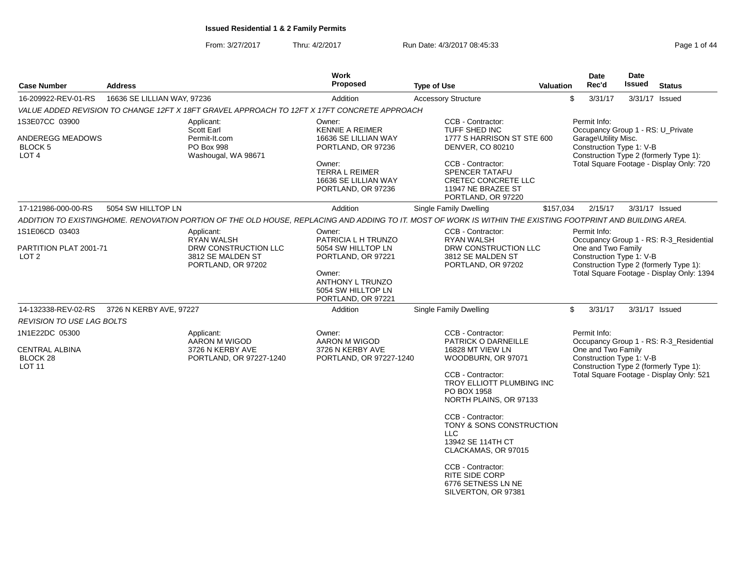From: 3/27/2017Thru: 4/2/2017 **Run Date: 4/3/2017 08:45:33** Page 1 of 44

| <b>Case Number</b>                                 | <b>Address</b>              |                                                                                             | Work<br><b>Proposed</b>                                                       | <b>Type of Use</b>                                                                                                                                          | <b>Valuation</b> | <b>Date</b><br>Rec'd | <b>Date</b><br><b>Issued</b>                                                                                                                                                                                                                                                                                                                                                                                                                                   | <b>Status</b> |  |
|----------------------------------------------------|-----------------------------|---------------------------------------------------------------------------------------------|-------------------------------------------------------------------------------|-------------------------------------------------------------------------------------------------------------------------------------------------------------|------------------|----------------------|----------------------------------------------------------------------------------------------------------------------------------------------------------------------------------------------------------------------------------------------------------------------------------------------------------------------------------------------------------------------------------------------------------------------------------------------------------------|---------------|--|
| 16-209922-REV-01-RS                                | 16636 SE LILLIAN WAY, 97236 |                                                                                             | Addition                                                                      | <b>Accessory Structure</b>                                                                                                                                  |                  | \$<br>3/31/17        |                                                                                                                                                                                                                                                                                                                                                                                                                                                                |               |  |
|                                                    |                             | VALUE ADDED REVISION TO CHANGE 12FT X 18FT GRAVEL APPROACH TO 12FT X 17FT CONCRETE APPROACH |                                                                               |                                                                                                                                                             |                  |                      |                                                                                                                                                                                                                                                                                                                                                                                                                                                                |               |  |
| 1S3E07CC 03900                                     |                             | Applicant:<br>Scott Earl                                                                    | Owner:<br><b>KENNIE A REIMER</b>                                              | CCB - Contractor:<br>TUFF SHED INC                                                                                                                          |                  | Permit Info:         |                                                                                                                                                                                                                                                                                                                                                                                                                                                                |               |  |
| ANDEREGG MEADOWS<br>BLOCK 5<br>LOT <sub>4</sub>    |                             | Permit-It.com<br>PO Box 998<br>Washougal, WA 98671                                          | 16636 SE LILLIAN WAY<br>PORTLAND, OR 97236                                    | 1777 S HARRISON ST STE 600<br><b>DENVER, CO 80210</b>                                                                                                       |                  | Garage\Utility Misc. | 3/31/17 Issued<br>Occupancy Group 1 - RS: U_Private<br>Construction Type 1: V-B<br>Construction Type 2 (formerly Type 1):<br>Total Square Footage - Display Only: 720<br>3/31/17 Issued<br>Occupancy Group 1 - RS: R-3_Residential<br>Total Square Footage - Display Only: 1394<br>3/31/17 Issued<br>Occupancy Group 1 - RS: R-3_Residential<br>Construction Type 1: V-B<br>Construction Type 2 (formerly Type 1):<br>Total Square Footage - Display Only: 521 |               |  |
|                                                    |                             |                                                                                             | Owner:<br><b>TERRA L REIMER</b><br>16636 SE LILLIAN WAY<br>PORTLAND, OR 97236 | CCB - Contractor:<br><b>SPENCER TATAFU</b><br>CRETEC CONCRETE LLC<br>11947 NE BRAZEE ST<br>PORTLAND, OR 97220                                               |                  |                      |                                                                                                                                                                                                                                                                                                                                                                                                                                                                |               |  |
| 17-121986-000-00-RS                                | 5054 SW HILLTOP LN          |                                                                                             | Addition                                                                      | <b>Single Family Dwelling</b>                                                                                                                               | \$157,034        | 2/15/17              |                                                                                                                                                                                                                                                                                                                                                                                                                                                                |               |  |
|                                                    |                             |                                                                                             |                                                                               | ADDITION TO EXISTINGHOME. RENOVATION PORTION OF THE OLD HOUSE, REPLACING AND ADDING TO IT. MOST OF WORK IS WITHIN THE EXISTING FOOTPRINT AND BUILDING AREA. |                  |                      |                                                                                                                                                                                                                                                                                                                                                                                                                                                                |               |  |
| 1S1E06CD 03403                                     |                             | Applicant:<br><b>RYAN WALSH</b>                                                             | Owner:<br>PATRICIA L H TRUNZO                                                 | CCB - Contractor:<br>RYAN WALSH                                                                                                                             |                  | Permit Info:         |                                                                                                                                                                                                                                                                                                                                                                                                                                                                |               |  |
| PARTITION PLAT 2001-71<br>LOT <sub>2</sub>         |                             | DRW CONSTRUCTION LLC<br>3812 SE MALDEN ST<br>PORTLAND, OR 97202                             | 5054 SW HILLTOP LN<br>PORTLAND, OR 97221                                      | DRW CONSTRUCTION LLC<br>3812 SE MALDEN ST<br>PORTLAND, OR 97202                                                                                             |                  |                      | One and Two Family<br>Construction Type 1: V-B<br>Construction Type 2 (formerly Type 1):                                                                                                                                                                                                                                                                                                                                                                       |               |  |
|                                                    |                             |                                                                                             | Owner:<br>ANTHONY L TRUNZO<br>5054 SW HILLTOP LN<br>PORTLAND, OR 97221        |                                                                                                                                                             |                  |                      |                                                                                                                                                                                                                                                                                                                                                                                                                                                                |               |  |
| 14-132338-REV-02-RS                                | 3726 N KERBY AVE, 97227     |                                                                                             | Addition                                                                      | Single Family Dwelling                                                                                                                                      |                  | \$<br>3/31/17        |                                                                                                                                                                                                                                                                                                                                                                                                                                                                |               |  |
| <b>REVISION TO USE LAG BOLTS</b>                   |                             |                                                                                             |                                                                               |                                                                                                                                                             |                  |                      |                                                                                                                                                                                                                                                                                                                                                                                                                                                                |               |  |
| 1N1E22DC 05300                                     |                             | Applicant:<br>AARON M WIGOD                                                                 | Owner:<br>AARON M WIGOD                                                       | CCB - Contractor:<br>PATRICK O DARNEILLE                                                                                                                    |                  | Permit Info:         |                                                                                                                                                                                                                                                                                                                                                                                                                                                                |               |  |
| <b>CENTRAL ALBINA</b><br>BLOCK 28<br><b>LOT 11</b> |                             | 3726 N KERBY AVE<br>PORTLAND, OR 97227-1240                                                 | 3726 N KERBY AVE<br>PORTLAND, OR 97227-1240                                   | 16828 MT VIEW LN<br>WOODBURN, OR 97071                                                                                                                      |                  | One and Two Family   |                                                                                                                                                                                                                                                                                                                                                                                                                                                                |               |  |
|                                                    |                             |                                                                                             |                                                                               | CCB - Contractor:<br><b>TROY ELLIOTT PLUMBING INC</b><br>PO BOX 1958<br>NORTH PLAINS, OR 97133                                                              |                  |                      |                                                                                                                                                                                                                                                                                                                                                                                                                                                                |               |  |
|                                                    |                             |                                                                                             |                                                                               | CCB - Contractor:<br>TONY & SONS CONSTRUCTION<br>LLC.<br>13942 SE 114TH CT<br>CLACKAMAS, OR 97015                                                           |                  |                      |                                                                                                                                                                                                                                                                                                                                                                                                                                                                |               |  |
|                                                    |                             |                                                                                             |                                                                               | CCB - Contractor:<br><b>RITE SIDE CORP</b><br>6776 SETNESS LN NE<br>SILVERTON, OR 97381                                                                     |                  |                      |                                                                                                                                                                                                                                                                                                                                                                                                                                                                |               |  |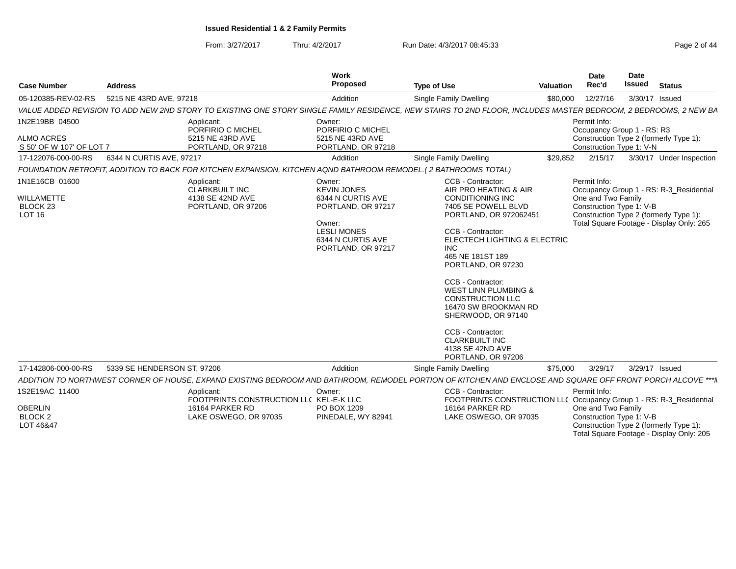From: 3/27/2017

Thru: 4/2/2017 **Run Date: 4/3/2017 08:45:33** Page 2 of 44

| <b>Case Number</b>                                                   | <b>Address</b>              |                                                                                                                | Work<br>Proposed                                                                                                                                   | <b>Type of Use</b>                                                                                                                                                                                                                                                                                                                                                                                                                                           | <b>Valuation</b> | <b>Date</b><br>Rec'd                                                   | <b>Date</b><br><b>Issued</b> | <b>Status</b>                                                                                                                 |
|----------------------------------------------------------------------|-----------------------------|----------------------------------------------------------------------------------------------------------------|----------------------------------------------------------------------------------------------------------------------------------------------------|--------------------------------------------------------------------------------------------------------------------------------------------------------------------------------------------------------------------------------------------------------------------------------------------------------------------------------------------------------------------------------------------------------------------------------------------------------------|------------------|------------------------------------------------------------------------|------------------------------|-------------------------------------------------------------------------------------------------------------------------------|
| 05-120385-REV-02-RS                                                  | 5215 NE 43RD AVE, 97218     |                                                                                                                | Addition                                                                                                                                           | Single Family Dwelling                                                                                                                                                                                                                                                                                                                                                                                                                                       | \$80,000         | 12/27/16                                                               |                              | 3/30/17 Issued                                                                                                                |
|                                                                      |                             |                                                                                                                |                                                                                                                                                    | VALUE ADDED REVISION TO ADD NEW 2ND STORY TO EXISTING ONE STORY SINGLE FAMILY RESIDENCE, NEW STAIRS TO 2ND FLOOR, INCLUDES MASTER BEDROOM, 2 BEDROOMS, 2 NEW BA                                                                                                                                                                                                                                                                                              |                  |                                                                        |                              |                                                                                                                               |
| 1N2E19BB 04500<br><b>ALMO ACRES</b><br>S 50' OF W 107' OF LOT 7      |                             | Applicant:<br>PORFIRIO C MICHEL<br>5215 NE 43RD AVE<br>PORTLAND, OR 97218                                      | Owner:<br>PORFIRIO C MICHEL<br>5215 NE 43RD AVE<br>PORTLAND, OR 97218                                                                              |                                                                                                                                                                                                                                                                                                                                                                                                                                                              |                  | Permit Info:<br>Occupancy Group 1 - RS: R3<br>Construction Type 1: V-N |                              | Construction Type 2 (formerly Type 1):                                                                                        |
| 17-122076-000-00-RS                                                  | 6344 N CURTIS AVE, 97217    |                                                                                                                | Addition                                                                                                                                           | Single Family Dwelling                                                                                                                                                                                                                                                                                                                                                                                                                                       | \$29,852         | 2/15/17                                                                |                              | 3/30/17 Under Inspection                                                                                                      |
|                                                                      |                             | FOUNDATION RETROFIT, ADDITION TO BACK FOR KITCHEN EXPANSION, KITCHEN AQND BATHROOM REMODEL.(2 BATHROOMS TOTAL) |                                                                                                                                                    |                                                                                                                                                                                                                                                                                                                                                                                                                                                              |                  |                                                                        |                              |                                                                                                                               |
| 1N1E16CB 01600<br>WILLAMETTE<br>BLOCK <sub>23</sub><br><b>LOT 16</b> |                             | Applicant:<br><b>CLARKBUILT INC</b><br>4138 SE 42ND AVE<br>PORTLAND, OR 97206                                  | Owner:<br><b>KEVIN JONES</b><br>6344 N CURTIS AVE<br>PORTLAND, OR 97217<br>Owner:<br><b>LESLI MONES</b><br>6344 N CURTIS AVE<br>PORTLAND, OR 97217 | CCB - Contractor:<br>AIR PRO HEATING & AIR<br><b>CONDITIONING INC</b><br>7405 SE POWELL BLVD<br>PORTLAND, OR 972062451<br>CCB - Contractor:<br>ELECTECH LIGHTING & ELECTRIC<br><b>INC</b><br>465 NE 181ST 189<br>PORTLAND, OR 97230<br>CCB - Contractor:<br><b>WEST LINN PLUMBING &amp;</b><br><b>CONSTRUCTION LLC</b><br>16470 SW BROOKMAN RD<br>SHERWOOD, OR 97140<br>CCB - Contractor:<br><b>CLARKBUILT INC</b><br>4138 SE 42ND AVE<br>PORTLAND, OR 97206 |                  | Permit Info:<br>One and Two Family<br>Construction Type 1: V-B         |                              | Occupancy Group 1 - RS: R-3_Residential<br>Construction Type 2 (formerly Type 1):<br>Total Square Footage - Display Only: 265 |
| 17-142806-000-00-RS                                                  | 5339 SE HENDERSON ST, 97206 |                                                                                                                | Addition                                                                                                                                           | Single Family Dwelling                                                                                                                                                                                                                                                                                                                                                                                                                                       | \$75,000         | 3/29/17                                                                |                              | 3/29/17 Issued                                                                                                                |
|                                                                      |                             |                                                                                                                |                                                                                                                                                    | ADDITION TO NORTHWEST CORNER OF HOUSE, EXPAND EXISTING BEDROOM AND BATHROOM, REMODEL PORTION OF KITCHEN AND ENCLOSE AND SQUARE OFF FRONT PORCH ALCOVE ***N                                                                                                                                                                                                                                                                                                   |                  |                                                                        |                              |                                                                                                                               |
| 1S2E19AC 11400<br><b>OBERLIN</b><br><b>BLOCK 2</b><br>LOT 46&47      |                             | Applicant:<br>FOOTPRINTS CONSTRUCTION LLC KEL-E-K LLC<br>16164 PARKER RD<br>LAKE OSWEGO, OR 97035              | Owner:<br>PO BOX 1209<br>PINEDALE, WY 82941                                                                                                        | CCB - Contractor:<br>FOOTPRINTS CONSTRUCTION LL( Occupancy Group 1 - RS: R-3_Residential<br>16164 PARKER RD<br>LAKE OSWEGO, OR 97035                                                                                                                                                                                                                                                                                                                         |                  | Permit Info:<br>One and Two Family<br>Construction Type 1: V-B         |                              | Construction Type 2 (formerly Type 1):<br>Total Square Footage - Display Only: 205                                            |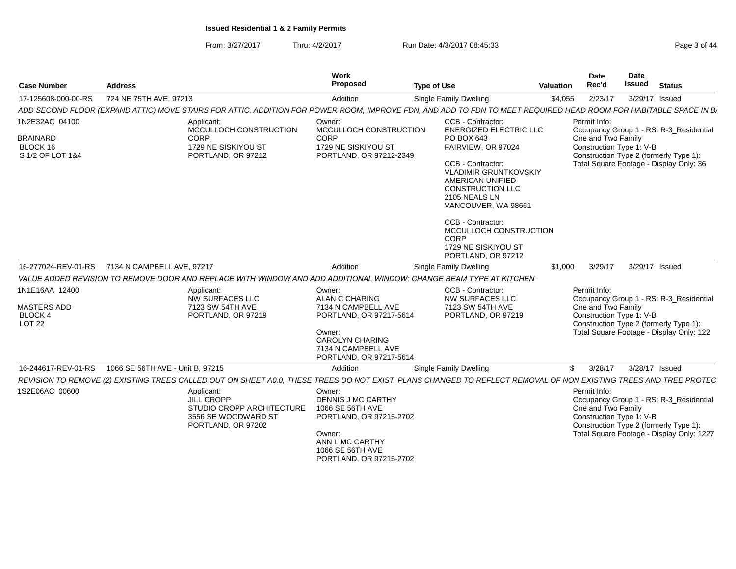From: 3/27/2017Thru: 4/2/2017 **Run Date: 4/3/2017 08:45:33** Page 3 of 44

| <b>Case Number</b>                                                      | <b>Address</b>                                                                                                                                                   | <b>Work</b><br>Proposed                                                                                                                                                 | <b>Type of Use</b>                                                                                                                                                                                                                                                                                                                            | <b>Valuation</b> | Date<br>Rec'd                                                  | Date<br>Issued | <b>Status</b>                                                                                                                  |
|-------------------------------------------------------------------------|------------------------------------------------------------------------------------------------------------------------------------------------------------------|-------------------------------------------------------------------------------------------------------------------------------------------------------------------------|-----------------------------------------------------------------------------------------------------------------------------------------------------------------------------------------------------------------------------------------------------------------------------------------------------------------------------------------------|------------------|----------------------------------------------------------------|----------------|--------------------------------------------------------------------------------------------------------------------------------|
| 17-125608-000-00-RS                                                     | 724 NE 75TH AVE, 97213                                                                                                                                           | Addition                                                                                                                                                                | Single Family Dwelling                                                                                                                                                                                                                                                                                                                        | \$4,055          | 2/23/17                                                        |                | 3/29/17 Issued                                                                                                                 |
|                                                                         | ADD SECOND FLOOR (EXPAND ATTIC) MOVE STAIRS FOR ATTIC, ADDITION FOR POWER ROOM, IMPROVE FDN, AND ADD TO FDN TO MEET REQUIRED HEAD ROOM FOR HABITABLE SPACE IN B, |                                                                                                                                                                         |                                                                                                                                                                                                                                                                                                                                               |                  |                                                                |                |                                                                                                                                |
| 1N2E32AC 04100<br>BRAINARD<br>BLOCK 16<br>S 1/2 OF LOT 1&4              | Applicant:<br>MCCULLOCH CONSTRUCTION<br><b>CORP</b><br>1729 NE SISKIYOU ST<br>PORTLAND, OR 97212                                                                 | Owner:<br>MCCULLOCH CONSTRUCTION<br><b>CORP</b><br>1729 NE SISKIYOU ST<br>PORTLAND, OR 97212-2349                                                                       | CCB - Contractor:<br><b>ENERGIZED ELECTRIC LLC</b><br>PO BOX 643<br>FAIRVIEW, OR 97024<br>CCB - Contractor:<br><b>VLADIMIR GRUNTKOVSKIY</b><br>AMERICAN UNIFIED<br><b>CONSTRUCTION LLC</b><br>2105 NEALS LN<br>VANCOUVER, WA 98661<br>CCB - Contractor:<br>MCCULLOCH CONSTRUCTION<br><b>CORP</b><br>1729 NE SISKIYOU ST<br>PORTLAND, OR 97212 |                  | Permit Info:<br>One and Two Family<br>Construction Type 1: V-B |                | Occupancy Group 1 - RS: R-3_Residential<br>Construction Type 2 (formerly Type 1):<br>Total Square Footage - Display Only: 36   |
| 16-277024-REV-01-RS                                                     | 7134 N CAMPBELL AVE, 97217                                                                                                                                       | Addition                                                                                                                                                                | Single Family Dwelling                                                                                                                                                                                                                                                                                                                        | \$1,000          | 3/29/17                                                        |                | 3/29/17 Issued                                                                                                                 |
|                                                                         | VALUE ADDED REVISION TO REMOVE DOOR AND REPLACE WITH WINDOW AND ADD ADDITIONAL WINDOW; CHANGE BEAM TYPE AT KITCHEN                                               |                                                                                                                                                                         |                                                                                                                                                                                                                                                                                                                                               |                  |                                                                |                |                                                                                                                                |
| 1N1E16AA 12400<br><b>MASTERS ADD</b><br><b>BLOCK 4</b><br><b>LOT 22</b> | Applicant:<br><b>NW SURFACES LLC</b><br>7123 SW 54TH AVE<br>PORTLAND, OR 97219                                                                                   | Owner:<br><b>ALAN C CHARING</b><br>7134 N CAMPBELL AVE<br>PORTLAND, OR 97217-5614<br>Owner:<br><b>CAROLYN CHARING</b><br>7134 N CAMPBELL AVE<br>PORTLAND, OR 97217-5614 | CCB - Contractor:<br><b>NW SURFACES LLC</b><br>7123 SW 54TH AVE<br>PORTLAND, OR 97219                                                                                                                                                                                                                                                         |                  | Permit Info:<br>One and Two Family<br>Construction Type 1: V-B |                | Occupancy Group 1 - RS: R-3_Residential<br>Construction Type 2 (formerly Type 1):<br>Total Square Footage - Display Only: 122  |
| 16-244617-REV-01-RS                                                     | 1066 SE 56TH AVE - Unit B, 97215                                                                                                                                 | Addition                                                                                                                                                                | Single Family Dwelling                                                                                                                                                                                                                                                                                                                        | \$               | 3/28/17                                                        |                | 3/28/17 Issued                                                                                                                 |
|                                                                         | REVISION TO REMOVE (2) EXISTING TREES CALLED OUT ON SHEET A0.0, THESE TREES DO NOT EXIST. PLANS CHANGED TO REFLECT REMOVAL OF NON EXISTING TREES AND TREE PROTEC |                                                                                                                                                                         |                                                                                                                                                                                                                                                                                                                                               |                  |                                                                |                |                                                                                                                                |
| 1S2E06AC 00600                                                          | Applicant:<br><b>JILL CROPP</b><br>STUDIO CROPP ARCHITECTURE<br>3556 SE WOODWARD ST<br>PORTLAND, OR 97202                                                        | Owner:<br><b>DENNIS J MC CARTHY</b><br>1066 SE 56TH AVE<br>PORTLAND, OR 97215-2702<br>Owner:<br>ANN L MC CARTHY<br>1066 SE 56TH AVE<br>PORTLAND, OR 97215-2702          |                                                                                                                                                                                                                                                                                                                                               |                  | Permit Info:<br>One and Two Family<br>Construction Type 1: V-B |                | Occupancy Group 1 - RS: R-3_Residential<br>Construction Type 2 (formerly Type 1):<br>Total Square Footage - Display Only: 1227 |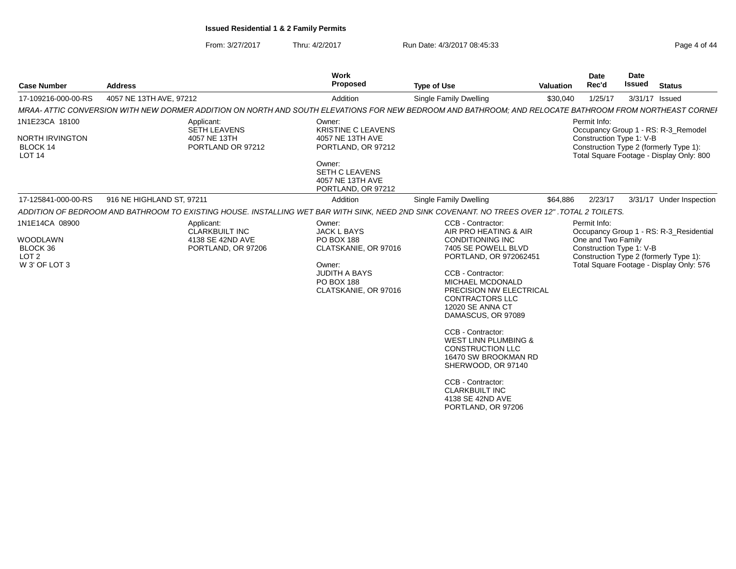From: 3/27/2017Thru: 4/2/2017 **Run Date: 4/3/2017 08:45:33** Page 4 of 44

| <b>Case Number</b>                                                                 | <b>Address</b>                                                                                                                                          | <b>Work</b><br><b>Proposed</b>                                                                                                                             | <b>Type of Use</b>                                                                                                                                                                                                                                                                                                                                                                                                                                                                             | <b>Valuation</b> | <b>Date</b><br>Rec'd                                           | <b>Date</b><br><b>Issued</b> | <b>Status</b>                                                                                                                 |
|------------------------------------------------------------------------------------|---------------------------------------------------------------------------------------------------------------------------------------------------------|------------------------------------------------------------------------------------------------------------------------------------------------------------|------------------------------------------------------------------------------------------------------------------------------------------------------------------------------------------------------------------------------------------------------------------------------------------------------------------------------------------------------------------------------------------------------------------------------------------------------------------------------------------------|------------------|----------------------------------------------------------------|------------------------------|-------------------------------------------------------------------------------------------------------------------------------|
| 17-109216-000-00-RS                                                                | 4057 NE 13TH AVE, 97212                                                                                                                                 | Addition                                                                                                                                                   | <b>Single Family Dwelling</b>                                                                                                                                                                                                                                                                                                                                                                                                                                                                  | \$30,040         | 1/25/17                                                        |                              | 3/31/17 Issued                                                                                                                |
|                                                                                    | MRAA- ATTIC CONVERSION WITH NEW DORMER ADDITION ON NORTH AND SOUTH ELEVATIONS FOR NEW BEDROOM AND BATHROOM; AND RELOCATE BATHROOM FROM NORTHEAST CORNEI |                                                                                                                                                            |                                                                                                                                                                                                                                                                                                                                                                                                                                                                                                |                  |                                                                |                              |                                                                                                                               |
| 1N1E23CA 18100<br>NORTH IRVINGTON<br>BLOCK 14<br>LOT <sub>14</sub>                 | Applicant:<br><b>SETH LEAVENS</b><br>4057 NE 13TH<br>PORTLAND OR 97212                                                                                  | Owner:<br><b>KRISTINE C LEAVENS</b><br>4057 NE 13TH AVE<br>PORTLAND, OR 97212<br>Owner:<br><b>SETH C LEAVENS</b><br>4057 NE 13TH AVE<br>PORTLAND, OR 97212 |                                                                                                                                                                                                                                                                                                                                                                                                                                                                                                |                  | Permit Info:<br>Construction Type 1: V-B                       |                              | Occupancy Group 1 - RS: R-3_Remodel<br>Construction Type 2 (formerly Type 1):<br>Total Square Footage - Display Only: 800     |
| 17-125841-000-00-RS                                                                | 916 NE HIGHLAND ST, 97211                                                                                                                               | Addition                                                                                                                                                   | Single Family Dwelling                                                                                                                                                                                                                                                                                                                                                                                                                                                                         | \$64,886         | 2/23/17                                                        |                              | 3/31/17 Under Inspection                                                                                                      |
|                                                                                    | ADDITION OF BEDROOM AND BATHROOM TO EXISTING HOUSE. INSTALLING WET BAR WITH SINK, NEED 2ND SINK COVENANT. NO TREES OVER 12" .TOTAL 2 TOILETS.           |                                                                                                                                                            |                                                                                                                                                                                                                                                                                                                                                                                                                                                                                                |                  |                                                                |                              |                                                                                                                               |
| 1N1E14CA 08900<br><b>WOODLAWN</b><br>BLOCK 36<br>LOT <sub>2</sub><br>W 3' OF LOT 3 | Applicant:<br>CLARKBUILT INC<br>4138 SE 42ND AVE<br>PORTLAND, OR 97206                                                                                  | Owner:<br><b>JACK L BAYS</b><br><b>PO BOX 188</b><br>CLATSKANIE, OR 97016<br>Owner:<br>JUDITH A BAYS<br><b>PO BOX 188</b><br>CLATSKANIE, OR 97016          | CCB - Contractor:<br>AIR PRO HEATING & AIR<br><b>CONDITIONING INC</b><br>7405 SE POWELL BLVD<br>PORTLAND, OR 972062451<br>CCB - Contractor:<br>MICHAEL MCDONALD<br>PRECISION NW ELECTRICAL<br><b>CONTRACTORS LLC</b><br><b>12020 SE ANNA CT</b><br>DAMASCUS, OR 97089<br>CCB - Contractor:<br><b>WEST LINN PLUMBING &amp;</b><br><b>CONSTRUCTION LLC</b><br>16470 SW BROOKMAN RD<br>SHERWOOD, OR 97140<br>CCB - Contractor:<br><b>CLARKBUILT INC</b><br>4138 SE 42ND AVE<br>PORTLAND, OR 97206 |                  | Permit Info:<br>One and Two Family<br>Construction Type 1: V-B |                              | Occupancy Group 1 - RS: R-3_Residential<br>Construction Type 2 (formerly Type 1):<br>Total Square Footage - Display Only: 576 |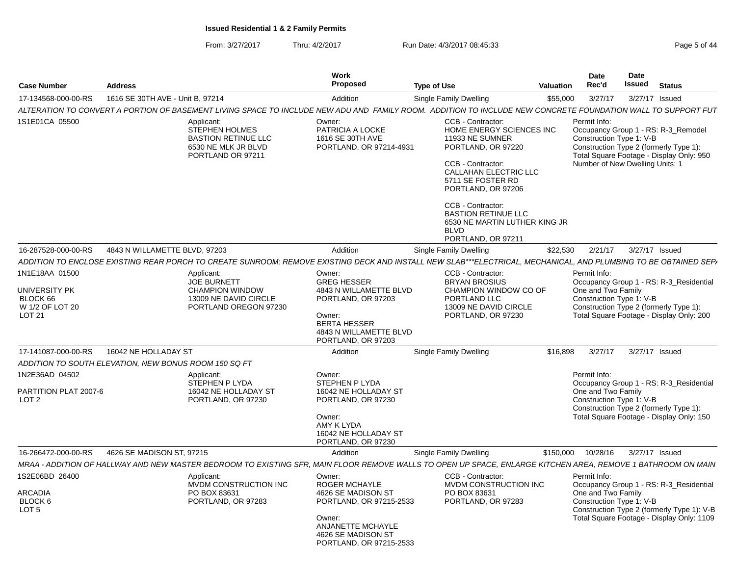From: 3/27/2017Thru: 4/2/2017 **Run Date: 4/3/2017 08:45:33** Page 5 of 44

| <b>Case Number</b>                                                                  | <b>Address</b>                                        |                                                                                                                                                                 | <b>Work</b><br><b>Proposed</b>                                                                                                                                  | <b>Type of Use</b>                                                                                                                                                                                                                                                                        | Valuation | <b>Date</b><br>Rec'd               | Date<br>Issued                                              | <b>Status</b>                                                                                                                      |
|-------------------------------------------------------------------------------------|-------------------------------------------------------|-----------------------------------------------------------------------------------------------------------------------------------------------------------------|-----------------------------------------------------------------------------------------------------------------------------------------------------------------|-------------------------------------------------------------------------------------------------------------------------------------------------------------------------------------------------------------------------------------------------------------------------------------------|-----------|------------------------------------|-------------------------------------------------------------|------------------------------------------------------------------------------------------------------------------------------------|
| 17-134568-000-00-RS                                                                 | 1616 SE 30TH AVE - Unit B. 97214                      |                                                                                                                                                                 | Addition                                                                                                                                                        | <b>Single Family Dwelling</b>                                                                                                                                                                                                                                                             | \$55,000  | 3/27/17                            | 3/27/17 Issued                                              |                                                                                                                                    |
|                                                                                     |                                                       | ALTERATION TO CONVERT A PORTION OF BASEMENT LIVING SPACE TO INCLUDE NEW ADU AND FAMILY ROOM. ADDITION TO INCLUDE NEW CONCRETE FOUNDATION WALL TO SUPPORT FUT    |                                                                                                                                                                 |                                                                                                                                                                                                                                                                                           |           |                                    |                                                             |                                                                                                                                    |
| 1S1E01CA 05500                                                                      |                                                       | Applicant:<br><b>STEPHEN HOLMES</b><br><b>BASTION RETINUE LLC</b><br>6530 NE MLK JR BLVD<br>PORTLAND OR 97211                                                   | Owner:<br>PATRICIA A LOCKE<br>1616 SE 30TH AVE<br>PORTLAND, OR 97214-4931                                                                                       | CCB - Contractor:<br>HOME ENERGY SCIENCES INC<br>11933 NE SUMNER<br>PORTLAND, OR 97220<br>CCB - Contractor:<br><b>CALLAHAN ELECTRIC LLC</b><br>5711 SE FOSTER RD<br>PORTLAND, OR 97206<br>CCB - Contractor:<br><b>BASTION RETINUE LLC</b><br>6530 NE MARTIN LUTHER KING JR<br><b>BLVD</b> |           | Permit Info:                       | Construction Type 1: V-B<br>Number of New Dwelling Units: 1 | Occupancy Group 1 - RS: R-3_Remodel<br>Construction Type 2 (formerly Type 1):<br>Total Square Footage - Display Only: 950          |
|                                                                                     |                                                       |                                                                                                                                                                 |                                                                                                                                                                 | PORTLAND, OR 97211                                                                                                                                                                                                                                                                        |           |                                    |                                                             |                                                                                                                                    |
| 16-287528-000-00-RS                                                                 | 4843 N WILLAMETTE BLVD, 97203                         |                                                                                                                                                                 | Addition                                                                                                                                                        | Single Family Dwelling                                                                                                                                                                                                                                                                    | \$22,530  | 2/21/17                            | 3/27/17 Issued                                              |                                                                                                                                    |
|                                                                                     |                                                       | ADDITION TO ENCLOSE EXISTING REAR PORCH TO CREATE SUNROOM; REMOVE EXISTING DECK AND INSTALL NEW SLAB***ELECTRICAL, MECHANICAL, AND PLUMBING TO BE OBTAINED SEP/ |                                                                                                                                                                 |                                                                                                                                                                                                                                                                                           |           |                                    |                                                             |                                                                                                                                    |
| 1N1E18AA 01500<br>UNIVERSITY PK<br>BLOCK 66<br>W 1/2 OF LOT 20<br>LOT <sub>21</sub> |                                                       | Applicant:<br><b>JOE BURNETT</b><br><b>CHAMPION WINDOW</b><br>13009 NE DAVID CIRCLE<br>PORTLAND OREGON 97230                                                    | Owner:<br><b>GREG HESSER</b><br>4843 N WILLAMETTE BLVD<br>PORTLAND, OR 97203<br>Owner:<br><b>BERTA HESSER</b><br>4843 N WILLAMETTE BLVD<br>PORTLAND, OR 97203   | CCB - Contractor:<br><b>BRYAN BROSIUS</b><br>CHAMPION WINDOW CO OF<br>PORTLAND LLC<br>13009 NE DAVID CIRCLE<br>PORTLAND, OR 97230                                                                                                                                                         |           | Permit Info:<br>One and Two Family | Construction Type 1: V-B                                    | Occupancy Group 1 - RS: R-3 Residential<br>Construction Type 2 (formerly Type 1):<br>Total Square Footage - Display Only: 200      |
| 17-141087-000-00-RS                                                                 | 16042 NE HOLLADAY ST                                  |                                                                                                                                                                 | Addition                                                                                                                                                        | <b>Single Family Dwelling</b>                                                                                                                                                                                                                                                             | \$16,898  | 3/27/17                            | 3/27/17 Issued                                              |                                                                                                                                    |
|                                                                                     | ADDITION TO SOUTH ELEVATION, NEW BONUS ROOM 150 SQ FT |                                                                                                                                                                 |                                                                                                                                                                 |                                                                                                                                                                                                                                                                                           |           |                                    |                                                             |                                                                                                                                    |
| 1N2E36AD 04502<br>PARTITION PLAT 2007-6<br>LOT <sub>2</sub>                         |                                                       | Applicant:<br>STEPHEN P LYDA<br>16042 NE HOLLADAY ST<br>PORTLAND, OR 97230                                                                                      | Owner:<br><b>STEPHEN P LYDA</b><br>16042 NE HOLLADAY ST<br>PORTLAND, OR 97230<br>Owner:<br>AMY K LYDA<br>16042 NE HOLLADAY ST<br>PORTLAND, OR 97230             |                                                                                                                                                                                                                                                                                           |           | Permit Info:<br>One and Two Family | Construction Type 1: V-B                                    | Occupancy Group 1 - RS: R-3_Residential<br>Construction Type 2 (formerly Type 1):<br>Total Square Footage - Display Only: 150      |
| 16-266472-000-00-RS                                                                 | 4626 SE MADISON ST, 97215                             |                                                                                                                                                                 | Addition                                                                                                                                                        | <b>Single Family Dwelling</b>                                                                                                                                                                                                                                                             | \$150,000 | 10/28/16                           | 3/27/17 Issued                                              |                                                                                                                                    |
|                                                                                     |                                                       | MRAA - ADDITION OF HALLWAY AND NEW MASTER BEDROOM TO EXISTING SFR, MAIN FLOOR REMOVE WALLS TO OPEN UP SPACE, ENLARGE KITCHEN AREA, REMOVE 1 BATHROOM ON MAIN    |                                                                                                                                                                 |                                                                                                                                                                                                                                                                                           |           |                                    |                                                             |                                                                                                                                    |
| 1S2E06BD 26400<br>ARCADIA<br>BLOCK 6<br>LOT <sub>5</sub>                            |                                                       | Applicant:<br>MVDM CONSTRUCTION INC<br>PO BOX 83631<br>PORTLAND, OR 97283                                                                                       | Owner:<br><b>ROGER MCHAYLE</b><br>4626 SE MADISON ST<br>PORTLAND, OR 97215-2533<br>Owner:<br>ANJANETTE MCHAYLE<br>4626 SE MADISON ST<br>PORTLAND, OR 97215-2533 | CCB - Contractor:<br>MVDM CONSTRUCTION INC<br>PO BOX 83631<br>PORTLAND, OR 97283                                                                                                                                                                                                          |           | Permit Info:<br>One and Two Family | Construction Type 1: V-B                                    | Occupancy Group 1 - RS: R-3_Residential<br>Construction Type 2 (formerly Type 1): V-B<br>Total Square Footage - Display Only: 1109 |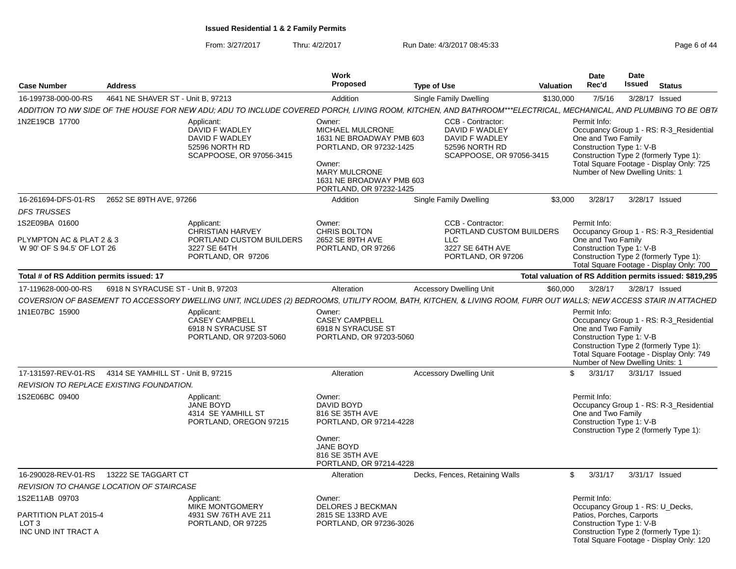From: 3/27/2017Thru: 4/2/2017 **Run Date: 4/3/2017 08:45:33** Page 6 of 44

| <b>Case Number</b>                                                                 | <b>Address</b>                                  |                                                                                                                                                                   | Work<br>Proposed                                                                                                                                                    | <b>Type of Use</b>                                                                                    | Valuation | <b>Date</b><br>Rec'd                                                                                      | <b>Date</b><br><b>Issued</b> | <b>Status</b>                                                                                                                 |
|------------------------------------------------------------------------------------|-------------------------------------------------|-------------------------------------------------------------------------------------------------------------------------------------------------------------------|---------------------------------------------------------------------------------------------------------------------------------------------------------------------|-------------------------------------------------------------------------------------------------------|-----------|-----------------------------------------------------------------------------------------------------------|------------------------------|-------------------------------------------------------------------------------------------------------------------------------|
| 16-199738-000-00-RS                                                                | 4641 NE SHAVER ST - Unit B, 97213               |                                                                                                                                                                   | Addition                                                                                                                                                            | Single Family Dwelling                                                                                | \$130,000 | 7/5/16                                                                                                    |                              | 3/28/17 Issued                                                                                                                |
|                                                                                    |                                                 | ADDITION TO NW SIDE OF THE HOUSE FOR NEW ADU; ADU TO INCLUDE COVERED PORCH, LIVING ROOM, KITCHEN, AND BATHROOM***ELECTRICAL, MECHANICAL, AND PLUMBING TO BE OBT/  |                                                                                                                                                                     |                                                                                                       |           |                                                                                                           |                              |                                                                                                                               |
| 1N2E19CB 17700                                                                     |                                                 | Applicant:<br>DAVID F WADLEY<br>DAVID F WADLEY<br>52596 NORTH RD<br>SCAPPOOSE, OR 97056-3415                                                                      | Owner:<br>MICHAEL MULCRONE<br>1631 NE BROADWAY PMB 603<br>PORTLAND, OR 97232-1425<br>Owner:<br>MARY MULCRONE<br>1631 NE BROADWAY PMB 603<br>PORTLAND, OR 97232-1425 | CCB - Contractor:<br>DAVID F WADLEY<br>DAVID F WADLEY<br>52596 NORTH RD<br>SCAPPOOSE, OR 97056-3415   |           | Permit Info:<br>One and Two Family<br>Construction Type 1: V-B<br>Number of New Dwelling Units: 1         |                              | Occupancy Group 1 - RS: R-3_Residential<br>Construction Type 2 (formerly Type 1):<br>Total Square Footage - Display Only: 725 |
| 16-261694-DFS-01-RS                                                                | 2652 SE 89TH AVE, 97266                         |                                                                                                                                                                   | Addition                                                                                                                                                            | Single Family Dwelling                                                                                | \$3,000   | 3/28/17                                                                                                   |                              | 3/28/17 Issued                                                                                                                |
| <b>DFS TRUSSES</b>                                                                 |                                                 |                                                                                                                                                                   |                                                                                                                                                                     |                                                                                                       |           |                                                                                                           |                              |                                                                                                                               |
| 1S2E09BA 01600<br>PLYMPTON AC & PLAT 2 & 3<br>W 90' OF S 94.5' OF LOT 26           |                                                 | Applicant:<br><b>CHRISTIAN HARVEY</b><br>PORTLAND CUSTOM BUILDERS<br>3227 SE 64TH<br>PORTLAND, OR 97206                                                           | Owner:<br><b>CHRIS BOLTON</b><br>2652 SE 89TH AVE<br>PORTLAND, OR 97266                                                                                             | CCB - Contractor:<br>PORTLAND CUSTOM BUILDERS<br><b>LLC</b><br>3227 SE 64TH AVE<br>PORTLAND, OR 97206 |           | Permit Info:<br>One and Two Family<br>Construction Type 1: V-B                                            |                              | Occupancy Group 1 - RS: R-3 Residential<br>Construction Type 2 (formerly Type 1):<br>Total Square Footage - Display Only: 700 |
| Total # of RS Addition permits issued: 17                                          |                                                 |                                                                                                                                                                   |                                                                                                                                                                     |                                                                                                       |           |                                                                                                           |                              | Total valuation of RS Addition permits issued: \$819,295                                                                      |
| 17-119628-000-00-RS                                                                | 6918 N SYRACUSE ST - Unit B, 97203              |                                                                                                                                                                   | Alteration                                                                                                                                                          | <b>Accessory Dwelling Unit</b>                                                                        | \$60,000  | 3/28/17                                                                                                   |                              | 3/28/17 Issued                                                                                                                |
|                                                                                    |                                                 | COVERSION OF BASEMENT TO ACCESSORY DWELLING UNIT, INCLUDES (2) BEDROOMS, UTILITY ROOM, BATH, KITCHEN, & LIVING ROOM, FURR OUT WALLS; NEW ACCESS STAIR IN ATTACHED |                                                                                                                                                                     |                                                                                                       |           |                                                                                                           |                              |                                                                                                                               |
| 1N1E07BC 15900                                                                     |                                                 | Applicant:<br><b>CASEY CAMPBELL</b><br>6918 N SYRACUSE ST<br>PORTLAND, OR 97203-5060                                                                              | Owner:<br><b>CASEY CAMPBELL</b><br>6918 N SYRACUSE ST<br>PORTLAND, OR 97203-5060                                                                                    |                                                                                                       |           | Permit Info:<br>One and Two Family<br>Construction Type 1: V-B<br>Number of New Dwelling Units: 1         |                              | Occupancy Group 1 - RS: R-3_Residential<br>Construction Type 2 (formerly Type 1):<br>Total Square Footage - Display Only: 749 |
| 17-131597-REV-01-RS                                                                | 4314 SE YAMHILL ST - Unit B, 97215              |                                                                                                                                                                   | Alteration                                                                                                                                                          | <b>Accessory Dwelling Unit</b>                                                                        |           | \$<br>3/31/17                                                                                             |                              | 3/31/17 Issued                                                                                                                |
|                                                                                    | <b>REVISION TO REPLACE EXISTING FOUNDATION.</b> |                                                                                                                                                                   |                                                                                                                                                                     |                                                                                                       |           |                                                                                                           |                              |                                                                                                                               |
| 1S2E06BC 09400                                                                     |                                                 | Applicant:<br><b>JANE BOYD</b><br>4314 SE YAMHILL ST<br>PORTLAND, OREGON 97215                                                                                    | Owner:<br>DAVID BOYD<br>816 SE 35TH AVE<br>PORTLAND, OR 97214-4228<br>Owner:                                                                                        |                                                                                                       |           | Permit Info:<br>One and Two Family<br>Construction Type 1: V-B                                            |                              | Occupancy Group 1 - RS: R-3 Residential<br>Construction Type 2 (formerly Type 1):                                             |
|                                                                                    |                                                 |                                                                                                                                                                   | <b>JANE BOYD</b><br>816 SE 35TH AVE<br>PORTLAND, OR 97214-4228                                                                                                      |                                                                                                       |           |                                                                                                           |                              |                                                                                                                               |
| 16-290028-REV-01-RS                                                                | 13222 SE TAGGART CT                             |                                                                                                                                                                   | Alteration                                                                                                                                                          | Decks, Fences, Retaining Walls                                                                        |           | \$<br>3/31/17                                                                                             |                              | 3/31/17 Issued                                                                                                                |
|                                                                                    | <b>REVISION TO CHANGE LOCATION OF STAIRCASE</b> |                                                                                                                                                                   |                                                                                                                                                                     |                                                                                                       |           |                                                                                                           |                              |                                                                                                                               |
| 1S2E11AB 09703<br>PARTITION PLAT 2015-4<br>LOT <sub>3</sub><br>INC UND INT TRACT A |                                                 | Applicant:<br>MIKE MONTGOMERY<br>4931 SW 76TH AVE 211<br>PORTLAND, OR 97225                                                                                       | Owner:<br><b>DELORES J BECKMAN</b><br>2815 SE 133RD AVE<br>PORTLAND, OR 97236-3026                                                                                  |                                                                                                       |           | Permit Info:<br>Occupancy Group 1 - RS: U Decks,<br>Patios, Porches, Carports<br>Construction Type 1: V-B |                              | Construction Type 2 (formerly Type 1):<br>Total Square Footage - Display Only: 120                                            |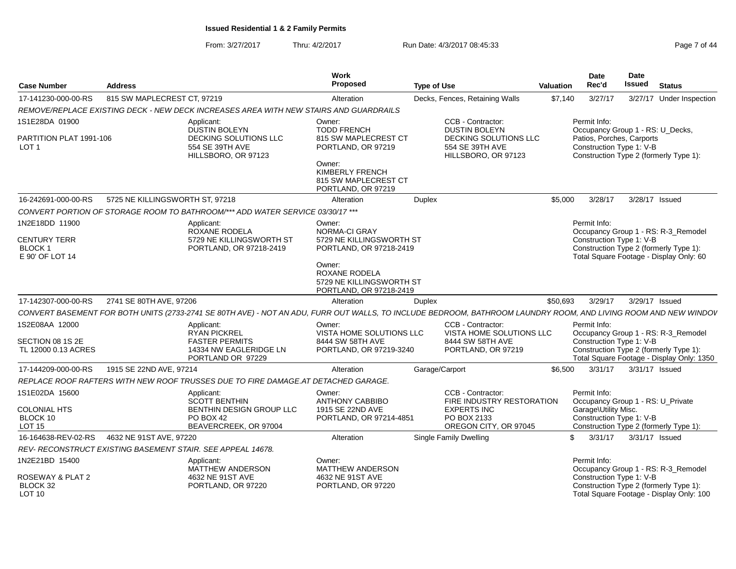From: 3/27/2017Thru: 4/2/2017 **Run Date: 4/3/2017 08:45:33** Page 7 of 44

| <b>Case Number</b>                                   | <b>Address</b>                  |                                                                                                                                                                 | <b>Work</b><br>Proposed                                                        | <b>Type of Use</b> |                                                                    | Valuation | <b>Date</b><br>Rec'd                                                          | Date<br><b>Issued</b> | <b>Status</b>                                                                       |
|------------------------------------------------------|---------------------------------|-----------------------------------------------------------------------------------------------------------------------------------------------------------------|--------------------------------------------------------------------------------|--------------------|--------------------------------------------------------------------|-----------|-------------------------------------------------------------------------------|-----------------------|-------------------------------------------------------------------------------------|
| 17-141230-000-00-RS                                  | 815 SW MAPLECREST CT, 97219     |                                                                                                                                                                 | Alteration                                                                     |                    | Decks, Fences, Retaining Walls                                     | \$7,140   | 3/27/17                                                                       |                       | 3/27/17 Under Inspection                                                            |
|                                                      |                                 | REMOVE/REPLACE EXISTING DECK - NEW DECK INCREASES AREA WITH NEW STAIRS AND GUARDRAILS                                                                           |                                                                                |                    |                                                                    |           |                                                                               |                       |                                                                                     |
| 1S1E28DA 01900<br>PARTITION PLAT 1991-106            |                                 | Applicant:<br><b>DUSTIN BOLEYN</b><br>DECKING SOLUTIONS LLC                                                                                                     | Owner:<br><b>TODD FRENCH</b><br>815 SW MAPLECREST CT                           |                    | CCB - Contractor:<br><b>DUSTIN BOLEYN</b><br>DECKING SOLUTIONS LLC |           | Permit Info:<br>Occupancy Group 1 - RS: U_Decks,<br>Patios, Porches, Carports |                       |                                                                                     |
| LOT 1                                                |                                 | 554 SE 39TH AVE<br>HILLSBORO, OR 97123                                                                                                                          | PORTLAND, OR 97219                                                             |                    | 554 SE 39TH AVE<br>HILLSBORO, OR 97123                             |           | Construction Type 1: V-B                                                      |                       | Construction Type 2 (formerly Type 1):                                              |
|                                                      |                                 |                                                                                                                                                                 | Owner:<br>KIMBERLY FRENCH<br>815 SW MAPLECREST CT<br>PORTLAND, OR 97219        |                    |                                                                    |           |                                                                               |                       |                                                                                     |
| 16-242691-000-00-RS                                  | 5725 NE KILLINGSWORTH ST, 97218 |                                                                                                                                                                 | Alteration                                                                     | <b>Duplex</b>      |                                                                    | \$5,000   | 3/28/17                                                                       |                       | 3/28/17 Issued                                                                      |
|                                                      |                                 | CONVERT PORTION OF STORAGE ROOM TO BATHROOM/*** ADD WATER SERVICE 03/30/17 ***                                                                                  |                                                                                |                    |                                                                    |           |                                                                               |                       |                                                                                     |
| 1N2E18DD 11900<br><b>CENTURY TERR</b>                |                                 | Applicant:<br>ROXANE RODELA<br>5729 NE KILLINGSWORTH ST                                                                                                         | Owner:<br>NORMA-CI GRAY<br>5729 NE KILLINGSWORTH ST                            |                    |                                                                    |           | Permit Info:<br>Construction Type 1: V-B                                      |                       | Occupancy Group 1 - RS: R-3_Remodel                                                 |
| <b>BLOCK1</b><br>E 90' OF LOT 14                     |                                 | PORTLAND, OR 97218-2419                                                                                                                                         | PORTLAND, OR 97218-2419                                                        |                    |                                                                    |           |                                                                               |                       | Construction Type 2 (formerly Type 1):<br>Total Square Footage - Display Only: 60   |
|                                                      |                                 |                                                                                                                                                                 | Owner:<br>ROXANE RODELA<br>5729 NE KILLINGSWORTH ST<br>PORTLAND, OR 97218-2419 |                    |                                                                    |           |                                                                               |                       |                                                                                     |
| 17-142307-000-00-RS                                  | 2741 SE 80TH AVE, 97206         |                                                                                                                                                                 | Alteration                                                                     | Duplex             |                                                                    | \$50,693  | 3/29/17                                                                       |                       | 3/29/17 Issued                                                                      |
|                                                      |                                 | CONVERT BASEMENT FOR BOTH UNITS (2733-2741 SE 80TH AVE) - NOT AN ADU, FURR OUT WALLS, TO INCLUDE BEDROOM, BATHROOM LAUNDRY ROOM, AND LIVING ROOM AND NEW WINDOV |                                                                                |                    |                                                                    |           |                                                                               |                       |                                                                                     |
| 1S2E08AA 12000                                       |                                 | Applicant:<br><b>RYAN PICKREL</b>                                                                                                                               | Owner:<br>VISTA HOME SOLUTIONS LLC                                             |                    | CCB - Contractor:<br>VISTA HOME SOLUTIONS LLC                      |           | Permit Info:                                                                  |                       | Occupancy Group 1 - RS: R-3_Remodel                                                 |
| SECTION 08 1S 2E<br>TL 12000 0.13 ACRES              |                                 | <b>FASTER PERMITS</b><br>14334 NW EAGLERIDGE LN<br>PORTLAND OR 97229                                                                                            | 8444 SW 58TH AVE<br>PORTLAND, OR 97219-3240                                    |                    | 8444 SW 58TH AVE<br>PORTLAND, OR 97219                             |           | Construction Type 1: V-B                                                      |                       | Construction Type 2 (formerly Type 1):<br>Total Square Footage - Display Only: 1350 |
| 17-144209-000-00-RS                                  | 1915 SE 22ND AVE, 97214         |                                                                                                                                                                 | Alteration                                                                     |                    | Garage/Carport                                                     | \$6,500   | 3/31/17                                                                       |                       | 3/31/17 Issued                                                                      |
|                                                      |                                 | REPLACE ROOF RAFTERS WITH NEW ROOF TRUSSES DUE TO FIRE DAMAGE.AT DETACHED GARAGE.                                                                               |                                                                                |                    |                                                                    |           |                                                                               |                       |                                                                                     |
| 1S1E02DA 15600                                       |                                 | Applicant:<br><b>SCOTT BENTHIN</b>                                                                                                                              | Owner:<br><b>ANTHONY CABBIBO</b>                                               |                    | CCB - Contractor:<br>FIRE INDUSTRY RESTORATION                     |           | Permit Info:<br>Occupancy Group 1 - RS: U_Private                             |                       |                                                                                     |
| <b>COLONIAL HTS</b><br>BLOCK 10<br>LOT <sub>15</sub> |                                 | BENTHIN DESIGN GROUP LLC<br><b>PO BOX 42</b><br>BEAVERCREEK, OR 97004                                                                                           | 1915 SE 22ND AVE<br>PORTLAND, OR 97214-4851                                    |                    | <b>EXPERTS INC</b><br>PO BOX 2133<br>OREGON CITY, OR 97045         |           | Garage\Utility Misc.<br>Construction Type 1: V-B                              |                       | Construction Type 2 (formerly Type 1):                                              |
| 16-164638-REV-02-RS                                  | 4632 NE 91ST AVE, 97220         |                                                                                                                                                                 | Alteration                                                                     |                    | Single Family Dwelling                                             |           | \$<br>3/31/17                                                                 |                       | 3/31/17 Issued                                                                      |
|                                                      |                                 | REV- RECONSTRUCT EXISTING BASEMENT STAIR. SEE APPEAL 14678.                                                                                                     |                                                                                |                    |                                                                    |           |                                                                               |                       |                                                                                     |
| 1N2E21BD 15400                                       |                                 | Applicant:<br><b>MATTHEW ANDERSON</b>                                                                                                                           | Owner:<br><b>MATTHEW ANDERSON</b>                                              |                    |                                                                    |           | Permit Info:                                                                  |                       | Occupancy Group 1 - RS: R-3_Remodel                                                 |
| ROSEWAY & PLAT 2<br>BLOCK 32<br><b>LOT 10</b>        |                                 | 4632 NE 91ST AVE<br>PORTLAND, OR 97220                                                                                                                          | 4632 NE 91ST AVE<br>PORTLAND, OR 97220                                         |                    |                                                                    |           | Construction Type 1: V-B                                                      |                       | Construction Type 2 (formerly Type 1):<br>Total Square Footage - Display Only: 100  |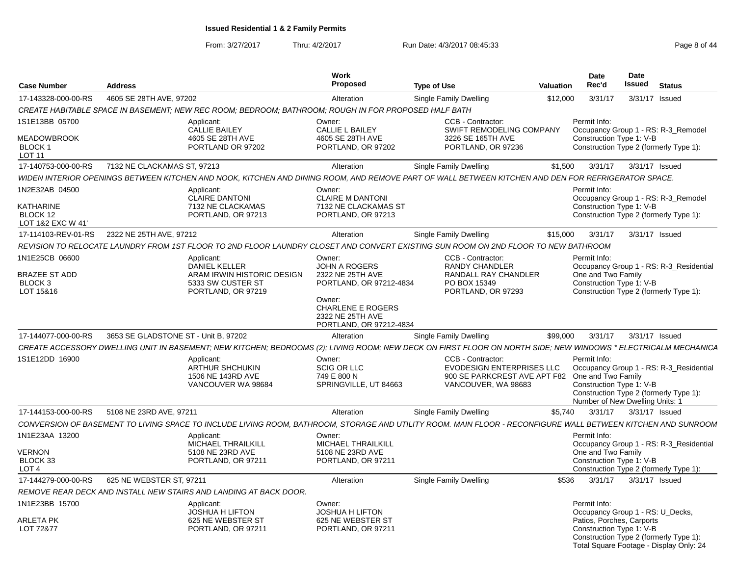From: 3/27/2017

Thru: 4/2/2017 **Run Date: 4/3/2017 08:45:33** Page 8 of 44

| <b>Case Number</b>                                                        | <b>Address</b>                       |                                                                                                                                                                | Work<br><b>Proposed</b>                                                                                             | <b>Type of Use</b>                                                                                           | <b>Valuation</b> | Date<br>Rec'd                                                                                             | <b>Date</b><br><b>Issued</b> | <b>Status</b>                                                                     |
|---------------------------------------------------------------------------|--------------------------------------|----------------------------------------------------------------------------------------------------------------------------------------------------------------|---------------------------------------------------------------------------------------------------------------------|--------------------------------------------------------------------------------------------------------------|------------------|-----------------------------------------------------------------------------------------------------------|------------------------------|-----------------------------------------------------------------------------------|
| 17-143328-000-00-RS                                                       | 4605 SE 28TH AVE, 97202              |                                                                                                                                                                | Alteration                                                                                                          | <b>Single Family Dwelling</b>                                                                                | \$12,000         | 3/31/17                                                                                                   |                              | 3/31/17 Issued                                                                    |
|                                                                           |                                      | CREATE HABITABLE SPACE IN BASEMENT; NEW REC ROOM; BEDROOM; BATHROOM; ROUGH IN FOR PROPOSED HALF BATH                                                           |                                                                                                                     |                                                                                                              |                  |                                                                                                           |                              |                                                                                   |
| 1S1E13BB 05700<br><b>MEADOWBROOK</b><br>BLOCK 1<br><b>LOT 11</b>          |                                      | Applicant:<br><b>CALLIE BAILEY</b><br>4605 SE 28TH AVE<br>PORTLAND OR 97202                                                                                    | Owner:<br><b>CALLIE L BAILEY</b><br>4605 SE 28TH AVE<br>PORTLAND, OR 97202                                          | CCB - Contractor:<br>SWIFT REMODELING COMPANY<br>3226 SE 165TH AVE<br>PORTLAND, OR 97236                     |                  | Permit Info:<br>Construction Type 1: V-B                                                                  |                              | Occupancy Group 1 - RS: R-3_Remodel<br>Construction Type 2 (formerly Type 1):     |
| 17-140753-000-00-RS                                                       | 7132 NE CLACKAMAS ST, 97213          |                                                                                                                                                                | Alteration                                                                                                          | Single Family Dwelling                                                                                       | \$1,500          | 3/31/17                                                                                                   |                              | 3/31/17 Issued                                                                    |
|                                                                           |                                      | WIDEN INTERIOR OPENINGS BETWEEN KITCHEN AND NOOK, KITCHEN AND DINING ROOM, AND REMOVE PART OF WALL BETWEEN KITCHEN AND DEN FOR REFRIGERATOR SPACE.             |                                                                                                                     |                                                                                                              |                  |                                                                                                           |                              |                                                                                   |
| 1N2E32AB 04500<br>KATHARINE<br>BLOCK 12<br>LOT 1&2 EXC W 41'              |                                      | Applicant:<br><b>CLAIRE DANTONI</b><br>7132 NE CLACKAMAS<br>PORTLAND, OR 97213                                                                                 | Owner:<br><b>CLAIRE M DANTONI</b><br>7132 NE CLACKAMAS ST<br>PORTLAND, OR 97213                                     |                                                                                                              |                  | Permit Info:<br>Construction Type 1: V-B                                                                  |                              | Occupancy Group 1 - RS: R-3_Remodel<br>Construction Type 2 (formerly Type 1):     |
| 17-114103-REV-01-RS                                                       | 2322 NE 25TH AVE, 97212              |                                                                                                                                                                | Alteration                                                                                                          | Single Family Dwelling                                                                                       | \$15,000         | 3/31/17                                                                                                   |                              | 3/31/17 Issued                                                                    |
|                                                                           |                                      | REVISION TO RELOCATE LAUNDRY FROM 1ST FLOOR TO 2ND FLOOR LAUNDRY CLOSET AND CONVERT EXISTING SUN ROOM ON 2ND FLOOR TO NEW BATHROOM                             |                                                                                                                     |                                                                                                              |                  |                                                                                                           |                              |                                                                                   |
| 1N1E25CB 06600<br><b>BRAZEE ST ADD</b><br>BLOCK <sub>3</sub><br>LOT 15&16 |                                      | Applicant:<br><b>DANIEL KELLER</b><br>ARAM IRWIN HISTORIC DESIGN<br>5333 SW CUSTER ST<br>PORTLAND, OR 97219                                                    | Owner:<br><b>JOHN A ROGERS</b><br>2322 NE 25TH AVE<br>PORTLAND, OR 97212-4834<br>Owner:<br><b>CHARLENE E ROGERS</b> | CCB - Contractor:<br><b>RANDY CHANDLER</b><br>RANDALL RAY CHANDLER<br>PO BOX 15349<br>PORTLAND, OR 97293     |                  | Permit Info:<br>One and Two Family<br>Construction Type 1: V-B                                            |                              | Occupancy Group 1 - RS: R-3 Residential<br>Construction Type 2 (formerly Type 1): |
| 17-144077-000-00-RS                                                       | 3653 SE GLADSTONE ST - Unit B, 97202 |                                                                                                                                                                | 2322 NE 25TH AVE<br>PORTLAND, OR 97212-4834<br>Alteration                                                           | <b>Single Family Dwelling</b>                                                                                | \$99,000         | 3/31/17                                                                                                   |                              | 3/31/17 Issued                                                                    |
|                                                                           |                                      | CREATE ACCESSORY DWELLING UNIT IN BASEMENT; NEW KITCHEN; BEDROOMS (2); LIVING ROOM; NEW DECK ON FIRST FLOOR ON NORTH SIDE; NEW WINDOWS * ELECTRICALM MECHANICA |                                                                                                                     |                                                                                                              |                  |                                                                                                           |                              |                                                                                   |
| 1S1E12DD 16900                                                            |                                      | Applicant:<br>ARTHUR SHCHUKIN<br>1506 NE 143RD AVE<br>VANCOUVER WA 98684                                                                                       | Owner:<br><b>SCIG OR LLC</b><br>749 E 800 N<br>SPRINGVILLE, UT 84663                                                | CCB - Contractor:<br><b>EVODESIGN ENTERPRISES LLC</b><br>900 SE PARKCREST AVE APT F82<br>VANCOUVER, WA 98683 |                  | Permit Info:<br>One and Two Family<br>Construction Type 1: V-B<br>Number of New Dwelling Units: 1         |                              | Occupancy Group 1 - RS: R-3_Residential<br>Construction Type 2 (formerly Type 1): |
| 17-144153-000-00-RS                                                       | 5108 NE 23RD AVE, 97211              |                                                                                                                                                                | Alteration                                                                                                          | <b>Single Family Dwelling</b>                                                                                | \$5.740          | 3/31/17                                                                                                   |                              | 3/31/17 Issued                                                                    |
|                                                                           |                                      | CONVERSION OF BASEMENT TO LIVING SPACE TO INCLUDE LIVING ROOM, BATHROOM, STORAGE AND UTILITY ROOM. MAIN FLOOR - RECONFIGURE WALL BETWEEN KITCHEN AND SUNROOM   |                                                                                                                     |                                                                                                              |                  |                                                                                                           |                              |                                                                                   |
| 1N1E23AA 13200<br><b>VERNON</b><br>BLOCK 33<br>LOT <sub>4</sub>           |                                      | Applicant:<br>MICHAEL THRAILKILL<br>5108 NE 23RD AVE<br>PORTLAND, OR 97211                                                                                     | Owner:<br>MICHAEL THRAILKILL<br>5108 NE 23RD AVE<br>PORTLAND, OR 97211                                              |                                                                                                              |                  | Permit Info:<br>One and Two Family<br>Construction Type 1: V-B                                            |                              | Occupancy Group 1 - RS: R-3_Residential<br>Construction Type 2 (formerly Type 1): |
| 17-144279-000-00-RS                                                       | 625 NE WEBSTER ST, 97211             |                                                                                                                                                                | Alteration                                                                                                          | <b>Single Family Dwelling</b>                                                                                | \$536            | 3/31/17                                                                                                   |                              | 3/31/17 Issued                                                                    |
|                                                                           |                                      | REMOVE REAR DECK AND INSTALL NEW STAIRS AND LANDING AT BACK DOOR.                                                                                              |                                                                                                                     |                                                                                                              |                  |                                                                                                           |                              |                                                                                   |
| 1N1E23BB 15700<br>ARLETA PK<br>LOT 72&77                                  |                                      | Applicant:<br><b>JOSHUA H LIFTON</b><br>625 NE WEBSTER ST<br>PORTLAND, OR 97211                                                                                | Owner:<br><b>JOSHUA H LIFTON</b><br>625 NE WEBSTER ST<br>PORTLAND, OR 97211                                         |                                                                                                              |                  | Permit Info:<br>Occupancy Group 1 - RS: U_Decks,<br>Patios, Porches, Carports<br>Construction Type 1: V-B |                              | Construction Type 2 (formerly Type 1):<br>Total Square Footage - Display Only: 24 |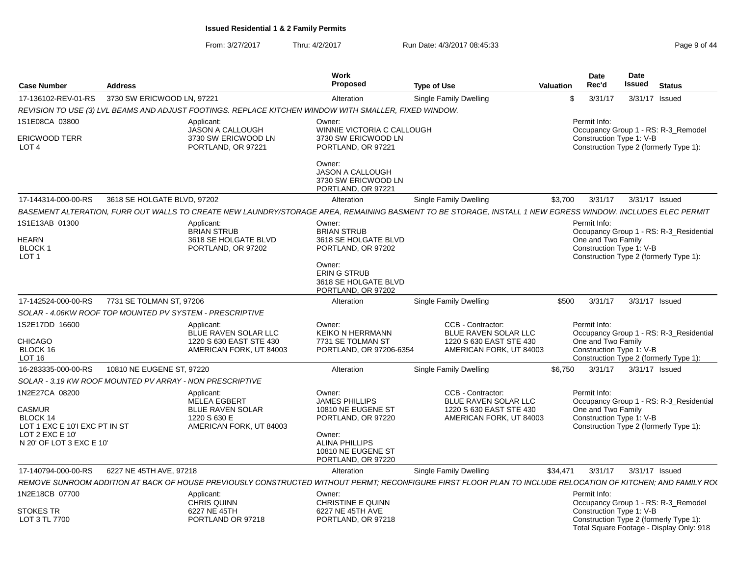From: 3/27/2017Thru: 4/2/2017 Run Date: 4/3/2017 08:45:33 Page 9 of 44

| <b>Case Number</b>                                                                                                          | <b>Address</b>                                           |                                                                                                         | <b>Work</b><br><b>Proposed</b>                                                                                                                             | <b>Type of Use</b>                                                                                                                                           | Valuation | <b>Date</b><br>Rec'd                                           | Date<br><b>Issued</b> | <b>Status</b>                                                                      |
|-----------------------------------------------------------------------------------------------------------------------------|----------------------------------------------------------|---------------------------------------------------------------------------------------------------------|------------------------------------------------------------------------------------------------------------------------------------------------------------|--------------------------------------------------------------------------------------------------------------------------------------------------------------|-----------|----------------------------------------------------------------|-----------------------|------------------------------------------------------------------------------------|
| 17-136102-REV-01-RS                                                                                                         | 3730 SW ERICWOOD LN, 97221                               |                                                                                                         | Alteration                                                                                                                                                 | Single Family Dwelling                                                                                                                                       | \$        | 3/31/17                                                        |                       | 3/31/17 Issued                                                                     |
|                                                                                                                             |                                                          | REVISION TO USE (3) LVL BEAMS AND ADJUST FOOTINGS. REPLACE KITCHEN WINDOW WITH SMALLER, FIXED WINDOW.   |                                                                                                                                                            |                                                                                                                                                              |           |                                                                |                       |                                                                                    |
| 1S1E08CA 03800<br><b>ERICWOOD TERR</b><br>LOT <sub>4</sub>                                                                  |                                                          | Applicant:<br><b>JASON A CALLOUGH</b><br>3730 SW ERICWOOD LN<br>PORTLAND, OR 97221                      | Owner:<br>WINNIE VICTORIA C CALLOUGH<br>3730 SW ERICWOOD LN<br>PORTLAND, OR 97221                                                                          |                                                                                                                                                              |           | Permit Info:<br>Construction Type 1: V-B                       |                       | Occupancy Group 1 - RS: R-3 Remodel<br>Construction Type 2 (formerly Type 1):      |
|                                                                                                                             |                                                          |                                                                                                         | Owner:<br><b>JASON A CALLOUGH</b><br>3730 SW ERICWOOD LN<br>PORTLAND, OR 97221                                                                             |                                                                                                                                                              |           |                                                                |                       |                                                                                    |
| 17-144314-000-00-RS                                                                                                         | 3618 SE HOLGATE BLVD, 97202                              |                                                                                                         | Alteration                                                                                                                                                 | Single Family Dwelling                                                                                                                                       | \$3,700   | 3/31/17                                                        |                       | 3/31/17 Issued                                                                     |
|                                                                                                                             |                                                          |                                                                                                         |                                                                                                                                                            | BASEMENT ALTERATION, FURR OUT WALLS TO CREATE NEW LAUNDRY/STORAGE AREA, REMAINING BASMENT TO BE STORAGE, INSTALL 1 NEW EGRESS WINDOW. INCLUDES ELEC PERMIT   |           |                                                                |                       |                                                                                    |
| 1S1E13AB 01300<br><b>HEARN</b><br>BLOCK 1<br>LOT <sub>1</sub>                                                               |                                                          | Applicant:<br><b>BRIAN STRUB</b><br>3618 SE HOLGATE BLVD<br>PORTLAND, OR 97202                          | Owner:<br><b>BRIAN STRUB</b><br>3618 SE HOLGATE BLVD<br>PORTLAND, OR 97202<br>Owner:<br><b>ERING STRUB</b><br>3618 SE HOLGATE BLVD                         |                                                                                                                                                              |           | Permit Info:<br>One and Two Family<br>Construction Type 1: V-B |                       | Occupancy Group 1 - RS: R-3_Residential<br>Construction Type 2 (formerly Type 1):  |
|                                                                                                                             |                                                          |                                                                                                         | PORTLAND, OR 97202                                                                                                                                         |                                                                                                                                                              |           |                                                                |                       |                                                                                    |
| 17-142524-000-00-RS                                                                                                         | 7731 SE TOLMAN ST, 97206                                 |                                                                                                         | Alteration                                                                                                                                                 | Single Family Dwelling                                                                                                                                       | \$500     | 3/31/17                                                        |                       | 3/31/17 Issued                                                                     |
|                                                                                                                             | SOLAR - 4.06KW ROOF TOP MOUNTED PV SYSTEM - PRESCRIPTIVE |                                                                                                         |                                                                                                                                                            |                                                                                                                                                              |           |                                                                |                       |                                                                                    |
| 1S2E17DD 16600<br><b>CHICAGO</b><br>BLOCK 16<br><b>LOT 16</b>                                                               |                                                          | Applicant:<br>BLUE RAVEN SOLAR LLC<br>1220 S 630 EAST STE 430<br>AMERICAN FORK, UT 84003                | Owner:<br><b>KEIKO N HERRMANN</b><br>7731 SE TOLMAN ST<br>PORTLAND, OR 97206-6354                                                                          | CCB - Contractor:<br>BLUE RAVEN SOLAR LLC<br>1220 S 630 EAST STE 430<br>AMERICAN FORK, UT 84003                                                              |           | Permit Info:<br>One and Two Family<br>Construction Type 1: V-B |                       | Occupancy Group 1 - RS: R-3_Residential<br>Construction Type 2 (formerly Type 1):  |
| 16-283335-000-00-RS                                                                                                         | 10810 NE EUGENE ST, 97220                                |                                                                                                         | Alteration                                                                                                                                                 | Single Family Dwelling                                                                                                                                       | \$6.750   | 3/31/17                                                        |                       | 3/31/17 Issued                                                                     |
|                                                                                                                             | SOLAR - 3.19 KW ROOF MOUNTED PV ARRAY - NON PRESCRIPTIVE |                                                                                                         |                                                                                                                                                            |                                                                                                                                                              |           |                                                                |                       |                                                                                    |
| 1N2E27CA 08200<br><b>CASMUR</b><br>BLOCK 14<br>LOT 1 EXC E 10'I EXC PT IN ST<br>LOT 2 EXC E 10'<br>N 20' OF LOT 3 EXC E 10' |                                                          | Applicant:<br><b>MELEA EGBERT</b><br><b>BLUE RAVEN SOLAR</b><br>1220 S 630 E<br>AMERICAN FORK, UT 84003 | Owner:<br><b>JAMES PHILLIPS</b><br>10810 NE EUGENE ST<br>PORTLAND, OR 97220<br>Owner:<br><b>ALINA PHILLIPS</b><br>10810 NE EUGENE ST<br>PORTLAND, OR 97220 | CCB - Contractor:<br>BLUE RAVEN SOLAR LLC<br>1220 S 630 EAST STE 430<br>AMERICAN FORK, UT 84003                                                              |           | Permit Info:<br>One and Two Family<br>Construction Type 1: V-B |                       | Occupancy Group 1 - RS: R-3_Residential<br>Construction Type 2 (formerly Type 1):  |
| 17-140794-000-00-RS                                                                                                         | 6227 NE 45TH AVE, 97218                                  |                                                                                                         | Alteration                                                                                                                                                 | <b>Single Family Dwelling</b>                                                                                                                                | \$34,471  | 3/31/17                                                        |                       | 3/31/17 Issued                                                                     |
|                                                                                                                             |                                                          |                                                                                                         |                                                                                                                                                            | REMOVE SUNROOM ADDITION AT BACK OF HOUSE PREVIOUSLY CONSTRUCTED WITHOUT PERMT: RECONFIGURE FIRST FLOOR PLAN TO INCLUDE RELOCATION OF KITCHEN: AND FAMILY RO( |           |                                                                |                       |                                                                                    |
| 1N2E18CB 07700                                                                                                              |                                                          | Applicant:<br><b>CHRIS QUINN</b>                                                                        | Owner:<br><b>CHRISTINE E QUINN</b>                                                                                                                         |                                                                                                                                                              |           | Permit Info:                                                   |                       | Occupancy Group 1 - RS: R-3_Remodel                                                |
| <b>STOKES TR</b><br>LOT 3 TL 7700                                                                                           |                                                          | 6227 NE 45TH<br>PORTLAND OR 97218                                                                       | 6227 NE 45TH AVE<br>PORTLAND, OR 97218                                                                                                                     |                                                                                                                                                              |           | Construction Type 1: V-B                                       |                       | Construction Type 2 (formerly Type 1):<br>Total Square Footage - Display Only: 918 |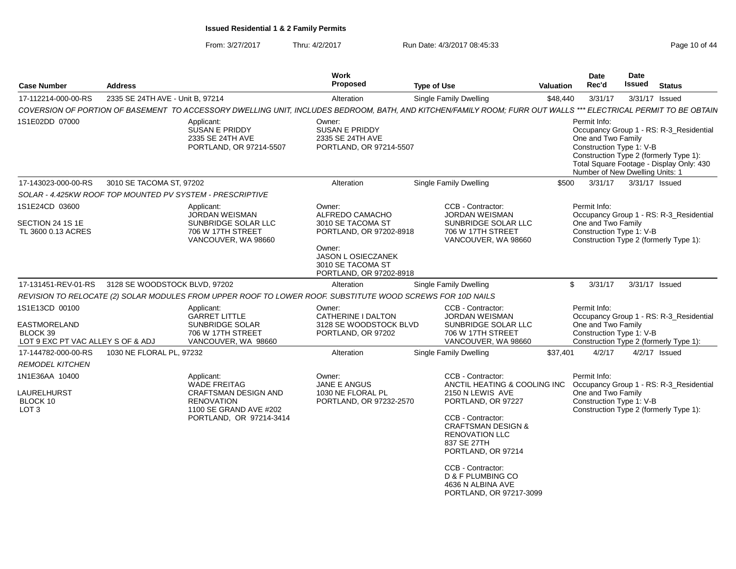From: 3/27/2017Thru: 4/2/2017 **Run Date: 4/3/2017 08:45:33** Page 10 of 44

| <b>Case Number</b>                                                                     | <b>Address</b>                                    |                                                                                                                                            | <b>Work</b><br>Proposed                                                                                                                                   | <b>Type of Use</b>                                                                                                                                                                                                                                                                                        | <b>Valuation</b> | Date<br>Rec'd                                                                                                                               | Date<br>Issued | <b>Status</b>                                                                       |
|----------------------------------------------------------------------------------------|---------------------------------------------------|--------------------------------------------------------------------------------------------------------------------------------------------|-----------------------------------------------------------------------------------------------------------------------------------------------------------|-----------------------------------------------------------------------------------------------------------------------------------------------------------------------------------------------------------------------------------------------------------------------------------------------------------|------------------|---------------------------------------------------------------------------------------------------------------------------------------------|----------------|-------------------------------------------------------------------------------------|
| 17-112214-000-00-RS                                                                    | 2335 SE 24TH AVE - Unit B, 97214                  |                                                                                                                                            | Alteration                                                                                                                                                | Single Family Dwelling                                                                                                                                                                                                                                                                                    | \$48,440         | 3/31/17                                                                                                                                     |                | 3/31/17 Issued                                                                      |
|                                                                                        |                                                   |                                                                                                                                            |                                                                                                                                                           | COVERSION OF PORTION OF BASEMENT TO ACCESSORY DWELLING UNIT, INCLUDES BEDROOM, BATH, AND KITCHEN/FAMILY ROOM; FURR OUT WALLS *** ELECTRICAL PERMIT TO BE OBTAIN                                                                                                                                           |                  |                                                                                                                                             |                |                                                                                     |
| 1S1E02DD 07000                                                                         |                                                   | Applicant:<br>SUSAN E PRIDDY<br>2335 SE 24TH AVE<br>PORTLAND, OR 97214-5507                                                                | Owner:<br>SUSAN E PRIDDY<br>2335 SE 24TH AVE<br>PORTLAND, OR 97214-5507                                                                                   |                                                                                                                                                                                                                                                                                                           |                  | Permit Info:<br>One and Two Family<br>Construction Type 1: V-B<br>Construction Type 2 (formerly Type 1):<br>Number of New Dwelling Units: 1 |                | Occupancy Group 1 - RS: R-3_Residential<br>Total Square Footage - Display Only: 430 |
| 17-143023-000-00-RS                                                                    | 3010 SE TACOMA ST, 97202                          |                                                                                                                                            | Alteration                                                                                                                                                | Single Family Dwelling                                                                                                                                                                                                                                                                                    | \$500            | 3/31/17                                                                                                                                     |                | 3/31/17 Issued                                                                      |
|                                                                                        |                                                   | SOLAR - 4.425KW ROOF TOP MOUNTED PV SYSTEM - PRESCRIPTIVE                                                                                  |                                                                                                                                                           |                                                                                                                                                                                                                                                                                                           |                  |                                                                                                                                             |                |                                                                                     |
| 1S1E24CD 03600<br>SECTION 24 1S 1E<br>TL 3600 0.13 ACRES                               |                                                   | Applicant:<br><b>JORDAN WEISMAN</b><br>SUNBRIDGE SOLAR LLC<br>706 W 17TH STREET<br>VANCOUVER, WA 98660                                     | Owner:<br>ALFREDO CAMACHO<br>3010 SE TACOMA ST<br>PORTLAND, OR 97202-8918<br>Owner:<br>JASON L OSIECZANEK<br>3010 SE TACOMA ST<br>PORTLAND, OR 97202-8918 | CCB - Contractor:<br><b>JORDAN WEISMAN</b><br>SUNBRIDGE SOLAR LLC<br>706 W 17TH STREET<br>VANCOUVER, WA 98660                                                                                                                                                                                             |                  | Permit Info:<br>One and Two Family<br>Construction Type 1: V-B<br>Construction Type 2 (formerly Type 1):                                    |                | Occupancy Group 1 - RS: R-3 Residential                                             |
|                                                                                        | 17-131451-REV-01-RS 3128 SE WOODSTOCK BLVD, 97202 |                                                                                                                                            | Alteration                                                                                                                                                | <b>Single Family Dwelling</b>                                                                                                                                                                                                                                                                             |                  | \$<br>3/31/17                                                                                                                               |                | 3/31/17 Issued                                                                      |
|                                                                                        |                                                   | REVISION TO RELOCATE (2) SOLAR MODULES FROM UPPER ROOF TO LOWER ROOF. SUBSTITUTE WOOD SCREWS FOR 10D NAILS                                 |                                                                                                                                                           |                                                                                                                                                                                                                                                                                                           |                  |                                                                                                                                             |                |                                                                                     |
| 1S1E13CD 00100<br><b>EASTMORELAND</b><br>BLOCK 39<br>LOT 9 EXC PT VAC ALLEY S OF & ADJ |                                                   | Applicant:<br><b>GARRET LITTLE</b><br>SUNBRIDGE SOLAR<br>706 W 17TH STREET<br>VANCOUVER, WA 98660                                          | Owner:<br>CATHERINE I DALTON<br>3128 SE WOODSTOCK BLVD<br>PORTLAND, OR 97202                                                                              | CCB - Contractor:<br>JORDAN WEISMAN<br>SUNBRIDGE SOLAR LLC<br>706 W 17TH STREET<br>VANCOUVER, WA 98660                                                                                                                                                                                                    |                  | Permit Info:<br>One and Two Family<br>Construction Type 1: V-B<br>Construction Type 2 (formerly Type 1):                                    |                | Occupancy Group 1 - RS: R-3_Residential                                             |
| 17-144782-000-00-RS                                                                    | 1030 NE FLORAL PL, 97232                          |                                                                                                                                            | Alteration                                                                                                                                                | <b>Single Family Dwelling</b>                                                                                                                                                                                                                                                                             | \$37,401         | 4/2/17                                                                                                                                      |                | $4/2/17$ Issued                                                                     |
| <b>REMODEL KITCHEN</b>                                                                 |                                                   |                                                                                                                                            |                                                                                                                                                           |                                                                                                                                                                                                                                                                                                           |                  |                                                                                                                                             |                |                                                                                     |
| 1N1E36AA 10400<br>LAURELHURST<br>BLOCK 10<br>LOT <sub>3</sub>                          |                                                   | Applicant:<br><b>WADE FREITAG</b><br><b>CRAFTSMAN DESIGN AND</b><br><b>RENOVATION</b><br>1100 SE GRAND AVE #202<br>PORTLAND, OR 97214-3414 | Owner:<br>JANE E ANGUS<br>1030 NE FLORAL PL<br>PORTLAND, OR 97232-2570                                                                                    | CCB - Contractor:<br>ANCTIL HEATING & COOLING INC<br>2150 N LEWIS AVE<br>PORTLAND, OR 97227<br>CCB - Contractor:<br><b>CRAFTSMAN DESIGN &amp;</b><br><b>RENOVATION LLC</b><br>837 SE 27TH<br>PORTLAND, OR 97214<br>CCB - Contractor:<br>D & F PLUMBING CO<br>4636 N ALBINA AVE<br>PORTLAND, OR 97217-3099 |                  | Permit Info:<br>One and Two Family<br>Construction Type 1: V-B                                                                              |                | Occupancy Group 1 - RS: R-3_Residential<br>Construction Type 2 (formerly Type 1):   |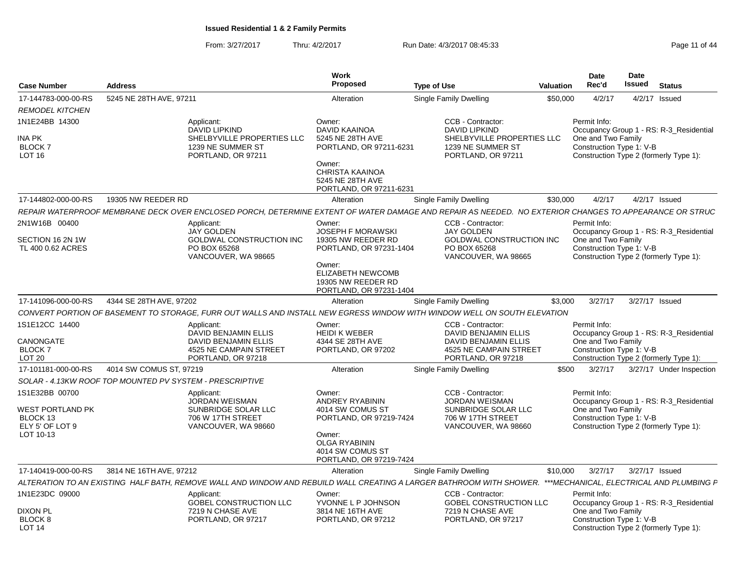From: 3/27/2017Thru: 4/2/2017 **Run Date: 4/3/2017 08:45:33** Page 11 of 44

| <b>Case Number</b>                                                                    | <b>Address</b>                                           |                                                                                                                   | Work<br>Proposed                                                                                                                                   | <b>Type of Use</b>                                                                                                                                            | <b>Valuation</b> | Date<br>Rec'd                                                  | Date<br><b>Issued</b> | <b>Status</b>                                                                     |
|---------------------------------------------------------------------------------------|----------------------------------------------------------|-------------------------------------------------------------------------------------------------------------------|----------------------------------------------------------------------------------------------------------------------------------------------------|---------------------------------------------------------------------------------------------------------------------------------------------------------------|------------------|----------------------------------------------------------------|-----------------------|-----------------------------------------------------------------------------------|
| 17-144783-000-00-RS                                                                   | 5245 NE 28TH AVE, 97211                                  |                                                                                                                   | Alteration                                                                                                                                         | <b>Single Family Dwelling</b>                                                                                                                                 | \$50,000         | 4/2/17                                                         |                       | 4/2/17 Issued                                                                     |
| <b>REMODEL KITCHEN</b>                                                                |                                                          |                                                                                                                   |                                                                                                                                                    |                                                                                                                                                               |                  |                                                                |                       |                                                                                   |
| 1N1E24BB 14300<br>INA PK<br><b>BLOCK7</b><br>LOT <sub>16</sub>                        |                                                          | Applicant:<br><b>DAVID LIPKIND</b><br>SHELBYVILLE PROPERTIES LLC<br>1239 NE SUMMER ST<br>PORTLAND, OR 97211       | Owner:<br>DAVID KAAINOA<br>5245 NE 28TH AVE<br>PORTLAND, OR 97211-6231<br>Owner:<br><b>CHRISTA KAAINOA</b>                                         | CCB - Contractor:<br><b>DAVID LIPKIND</b><br>SHELBYVILLE PROPERTIES LLC<br>1239 NE SUMMER ST<br>PORTLAND, OR 97211                                            |                  | Permit Info:<br>One and Two Family<br>Construction Type 1: V-B |                       | Occupancy Group 1 - RS: R-3_Residential<br>Construction Type 2 (formerly Type 1): |
|                                                                                       |                                                          |                                                                                                                   | 5245 NE 28TH AVE<br>PORTLAND, OR 97211-6231                                                                                                        |                                                                                                                                                               |                  |                                                                |                       |                                                                                   |
| 17-144802-000-00-RS                                                                   | 19305 NW REEDER RD                                       |                                                                                                                   | Alteration                                                                                                                                         | Single Family Dwelling                                                                                                                                        | \$30,000         | 4/2/17                                                         |                       | 4/2/17 Issued                                                                     |
|                                                                                       |                                                          |                                                                                                                   |                                                                                                                                                    | REPAIR WATERPROOF MEMBRANE DECK OVER ENCLOSED PORCH, DETERMINE EXTENT OF WATER DAMAGE AND REPAIR AS NEEDED.  NO EXTERIOR CHANGES TO APPEARANCE OR STRUC       |                  |                                                                |                       |                                                                                   |
| 2N1W16B 00400                                                                         |                                                          | Applicant:<br><b>JAY GOLDEN</b>                                                                                   | Owner:<br><b>JOSEPH F MORAWSKI</b>                                                                                                                 | CCB - Contractor:<br><b>JAY GOLDEN</b>                                                                                                                        |                  | Permit Info:                                                   |                       | Occupancy Group 1 - RS: R-3_Residential                                           |
| SECTION 16 2N 1W<br>TL 400 0.62 ACRES                                                 |                                                          | <b>GOLDWAL CONSTRUCTION INC</b><br>PO BOX 65268<br>VANCOUVER, WA 98665                                            | 19305 NW REEDER RD<br>PORTLAND, OR 97231-1404<br>Owner:<br><b>ELIZABETH NEWCOMB</b>                                                                | GOLDWAL CONSTRUCTION INC<br>PO BOX 65268<br>VANCOUVER, WA 98665                                                                                               |                  | One and Two Family<br>Construction Type 1: V-B                 |                       | Construction Type 2 (formerly Type 1):                                            |
|                                                                                       |                                                          |                                                                                                                   | 19305 NW REEDER RD<br>PORTLAND, OR 97231-1404                                                                                                      |                                                                                                                                                               |                  |                                                                |                       |                                                                                   |
| 17-141096-000-00-RS                                                                   | 4344 SE 28TH AVE, 97202                                  |                                                                                                                   | Alteration                                                                                                                                         | Single Family Dwelling                                                                                                                                        | \$3,000          | 3/27/17                                                        | 3/27/17 Issued        |                                                                                   |
|                                                                                       |                                                          |                                                                                                                   |                                                                                                                                                    | CONVERT PORTION OF BASEMENT TO STORAGE. FURR OUT WALLS AND INSTALL NEW EGRESS WINDOW WITH WINDOW WELL ON SOUTH ELEVATION                                      |                  |                                                                |                       |                                                                                   |
| 1S1E12CC 14400<br>CANONGATE<br><b>BLOCK7</b><br>LOT <sub>20</sub>                     |                                                          | Applicant:<br>DAVID BENJAMIN ELLIS<br><b>DAVID BENJAMIN ELLIS</b><br>4525 NE CAMPAIN STREET<br>PORTLAND, OR 97218 | Owner:<br><b>HEIDI K WEBER</b><br>4344 SE 28TH AVE<br>PORTLAND, OR 97202                                                                           | CCB - Contractor:<br>DAVID BENJAMIN ELLIS<br>DAVID BENJAMIN ELLIS<br>4525 NE CAMPAIN STREET<br>PORTLAND, OR 97218                                             |                  | Permit Info:<br>One and Two Family<br>Construction Type 1: V-B |                       | Occupancy Group 1 - RS: R-3_Residential<br>Construction Type 2 (formerly Type 1): |
| 17-101181-000-00-RS                                                                   | 4014 SW COMUS ST, 97219                                  |                                                                                                                   | Alteration                                                                                                                                         | <b>Single Family Dwelling</b>                                                                                                                                 | \$500            | 3/27/17                                                        |                       | 3/27/17 Under Inspection                                                          |
|                                                                                       | SOLAR - 4.13KW ROOF TOP MOUNTED PV SYSTEM - PRESCRIPTIVE |                                                                                                                   |                                                                                                                                                    |                                                                                                                                                               |                  |                                                                |                       |                                                                                   |
| 1S1E32BB 00700<br><b>WEST PORTLAND PK</b><br>BLOCK 13<br>ELY 5' OF LOT 9<br>LOT 10-13 |                                                          | Applicant:<br><b>JORDAN WEISMAN</b><br>SUNBRIDGE SOLAR LLC<br>706 W 17TH STREET<br>VANCOUVER, WA 98660            | Owner:<br>ANDREY RYABININ<br>4014 SW COMUS ST<br>PORTLAND, OR 97219-7424<br>Owner:<br>OLGA RYABININ<br>4014 SW COMUS ST<br>PORTLAND, OR 97219-7424 | CCB - Contractor:<br><b>JORDAN WEISMAN</b><br>SUNBRIDGE SOLAR LLC<br>706 W 17TH STREET<br>VANCOUVER, WA 98660                                                 |                  | Permit Info:<br>One and Two Family<br>Construction Type 1: V-B |                       | Occupancy Group 1 - RS: R-3_Residential<br>Construction Type 2 (formerly Type 1): |
| 17-140419-000-00-RS                                                                   | 3814 NE 16TH AVE, 97212                                  |                                                                                                                   | Alteration                                                                                                                                         | Single Family Dwelling                                                                                                                                        | \$10,000         | 3/27/17                                                        | 3/27/17 Issued        |                                                                                   |
|                                                                                       |                                                          |                                                                                                                   |                                                                                                                                                    | ALTERATION TO AN EXISTING HALF BATH, REMOVE WALL AND WINDOW AND REBUILD WALL CREATING A LARGER BATHROOM WITH SHOWER. ***MECHANICAL, ELECTRICAL AND PLUMBING F |                  |                                                                |                       |                                                                                   |
| 1N1E23DC 09000                                                                        |                                                          | Applicant:<br>GOBEL CONSTRUCTION LLC                                                                              | Owner:<br>YVONNE L P JOHNSON                                                                                                                       | CCB - Contractor:<br>GOBEL CONSTRUCTION LLC                                                                                                                   |                  | Permit Info:                                                   |                       | Occupancy Group 1 - RS: R-3_Residential                                           |
| <b>DIXON PL</b><br>BLOCK <sub>8</sub><br>LOT <sub>14</sub>                            |                                                          | 7219 N CHASE AVE<br>PORTLAND, OR 97217                                                                            | 3814 NE 16TH AVE<br>PORTLAND, OR 97212                                                                                                             | 7219 N CHASE AVE<br>PORTLAND, OR 97217                                                                                                                        |                  | One and Two Family<br>Construction Type 1: V-B                 |                       | Construction Type 2 (formerly Type 1):                                            |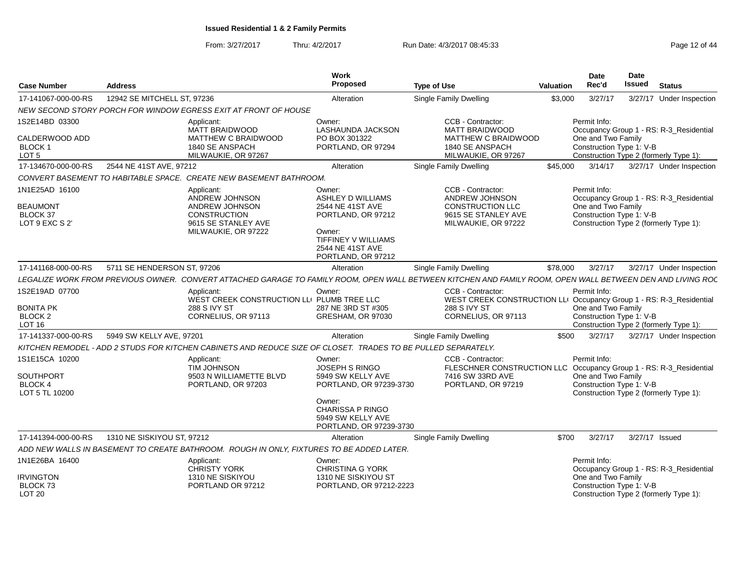From: 3/27/2017Thru: 4/2/2017 **Run Date: 4/3/2017 08:45:33** Page 12 of 44

| <b>Case Number</b>                                                      | <b>Address</b>              |                                                                                                                     | Work<br>Proposed                                                                                                                                 | <b>Type of Use</b>                                                                                          | <b>Valuation</b> | Date<br>Rec'd                                                                                                                                                                                                                                                                                                                                                                                                                                                                                                                                                                                                                                                                                                                                                                                                                                                                                                                                                                                             | <b>Date</b><br><b>Issued</b> | <b>Status</b>                                                                     |  |
|-------------------------------------------------------------------------|-----------------------------|---------------------------------------------------------------------------------------------------------------------|--------------------------------------------------------------------------------------------------------------------------------------------------|-------------------------------------------------------------------------------------------------------------|------------------|-----------------------------------------------------------------------------------------------------------------------------------------------------------------------------------------------------------------------------------------------------------------------------------------------------------------------------------------------------------------------------------------------------------------------------------------------------------------------------------------------------------------------------------------------------------------------------------------------------------------------------------------------------------------------------------------------------------------------------------------------------------------------------------------------------------------------------------------------------------------------------------------------------------------------------------------------------------------------------------------------------------|------------------------------|-----------------------------------------------------------------------------------|--|
| 17-141067-000-00-RS                                                     | 12942 SE MITCHELL ST, 97236 |                                                                                                                     | Alteration                                                                                                                                       | <b>Single Family Dwelling</b>                                                                               |                  | 3/27/17                                                                                                                                                                                                                                                                                                                                                                                                                                                                                                                                                                                                                                                                                                                                                                                                                                                                                                                                                                                                   |                              |                                                                                   |  |
|                                                                         |                             | NEW SECOND STORY PORCH FOR WINDOW EGRESS EXIT AT FRONT OF HOUSE                                                     |                                                                                                                                                  |                                                                                                             |                  | 3/27/17 Under Inspection<br>\$3,000<br>Permit Info:<br>Occupancy Group 1 - RS: R-3_Residential<br>One and Two Family<br>Construction Type 1: V-B<br>Construction Type 2 (formerly Type 1):<br>3/14/17<br>3/27/17 Under Inspection<br>Permit Info:<br>Occupancy Group 1 - RS: R-3_Residential<br>One and Two Family<br>Construction Type 1: V-B<br>Construction Type 2 (formerly Type 1):<br>3/27/17<br>3/27/17 Under Inspection<br>LEGALIZE WORK FROM PREVIOUS OWNER. CONVERT ATTACHED GARAGE TO FAMILY ROOM, OPEN WALL BETWEEN KITCHEN AND FAMILY ROOM, OPEN WALL BETWEEN DEN AND LIVING RO(<br>Permit Info:<br>WEST CREEK CONSTRUCTION LLI Occupancy Group 1 - RS: R-3_Residential<br>One and Two Family<br>Construction Type 1: V-B<br>Construction Type 2 (formerly Type 1):<br>\$500<br>3/27/17<br>3/27/17 Under Inspection<br>Permit Info:<br>Occupancy Group 1 - RS: R-3_Residential<br>One and Two Family<br>Construction Type 1: V-B<br>Construction Type 2 (formerly Type 1):<br>3/27/17 Issued |                              |                                                                                   |  |
| 1S2E14BD 03300<br>CALDERWOOD ADD<br>BLOCK 1<br>LOT <sub>5</sub>         |                             | Applicant:<br><b>MATT BRAIDWOOD</b><br>MATTHEW C BRAIDWOOD<br>1840 SE ANSPACH<br>MILWAUKIE, OR 97267                | Owner:<br>LASHAUNDA JACKSON<br>PO BOX 301322<br>PORTLAND, OR 97294                                                                               | CCB - Contractor:<br><b>MATT BRAIDWOOD</b><br>MATTHEW C BRAIDWOOD<br>1840 SE ANSPACH<br>MILWAUKIE, OR 97267 |                  |                                                                                                                                                                                                                                                                                                                                                                                                                                                                                                                                                                                                                                                                                                                                                                                                                                                                                                                                                                                                           |                              |                                                                                   |  |
| 17-134670-000-00-RS                                                     | 2544 NE 41ST AVE, 97212     |                                                                                                                     | Alteration                                                                                                                                       | Single Family Dwelling                                                                                      | \$45,000         |                                                                                                                                                                                                                                                                                                                                                                                                                                                                                                                                                                                                                                                                                                                                                                                                                                                                                                                                                                                                           |                              |                                                                                   |  |
|                                                                         |                             | CONVERT BASEMENT TO HABITABLE SPACE. CREATE NEW BASEMENT BATHROOM.                                                  |                                                                                                                                                  |                                                                                                             |                  |                                                                                                                                                                                                                                                                                                                                                                                                                                                                                                                                                                                                                                                                                                                                                                                                                                                                                                                                                                                                           |                              |                                                                                   |  |
| 1N1E25AD 16100<br><b>BEAUMONT</b><br>BLOCK 37<br>LOT 9 EXC S 2'         |                             | Applicant:<br>ANDREW JOHNSON<br>ANDREW JOHNSON<br><b>CONSTRUCTION</b><br>9615 SE STANLEY AVE<br>MILWAUKIE, OR 97222 | Owner:<br>ASHLEY D WILLIAMS<br>2544 NE 41ST AVE<br>PORTLAND, OR 97212<br>Owner:<br>TIFFINEY V WILLIAMS<br>2544 NE 41ST AVE<br>PORTLAND, OR 97212 | CCB - Contractor:<br>ANDREW JOHNSON<br>CONSTRUCTION LLC<br>9615 SE STANLEY AVE<br>MILWAUKIE, OR 97222       |                  |                                                                                                                                                                                                                                                                                                                                                                                                                                                                                                                                                                                                                                                                                                                                                                                                                                                                                                                                                                                                           |                              |                                                                                   |  |
| 17-141168-000-00-RS                                                     | 5711 SE HENDERSON ST, 97206 |                                                                                                                     | Alteration                                                                                                                                       | Single Family Dwelling                                                                                      | \$78,000         |                                                                                                                                                                                                                                                                                                                                                                                                                                                                                                                                                                                                                                                                                                                                                                                                                                                                                                                                                                                                           |                              |                                                                                   |  |
|                                                                         |                             |                                                                                                                     |                                                                                                                                                  |                                                                                                             |                  |                                                                                                                                                                                                                                                                                                                                                                                                                                                                                                                                                                                                                                                                                                                                                                                                                                                                                                                                                                                                           |                              |                                                                                   |  |
| 1S2E19AD 07700<br>BONITA PK<br>BLOCK 2<br>LOT <sub>16</sub>             |                             | Applicant:<br>WEST CREEK CONSTRUCTION LLI PLUMB TREE LLC<br>288 S IVY ST<br>CORNELIUS, OR 97113                     | Owner:<br>287 NE 3RD ST #305<br>GRESHAM, OR 97030                                                                                                | CCB - Contractor:<br>288 S IVY ST<br>CORNELIUS, OR 97113                                                    |                  |                                                                                                                                                                                                                                                                                                                                                                                                                                                                                                                                                                                                                                                                                                                                                                                                                                                                                                                                                                                                           |                              |                                                                                   |  |
| 17-141337-000-00-RS                                                     | 5949 SW KELLY AVE, 97201    |                                                                                                                     | Alteration                                                                                                                                       | <b>Single Family Dwelling</b>                                                                               |                  |                                                                                                                                                                                                                                                                                                                                                                                                                                                                                                                                                                                                                                                                                                                                                                                                                                                                                                                                                                                                           |                              |                                                                                   |  |
|                                                                         |                             | KITCHEN REMODEL - ADD 2 STUDS FOR KITCHEN CABINETS AND REDUCE SIZE OF CLOSET. TRADES TO BE PULLED SEPARATELY.       |                                                                                                                                                  |                                                                                                             |                  |                                                                                                                                                                                                                                                                                                                                                                                                                                                                                                                                                                                                                                                                                                                                                                                                                                                                                                                                                                                                           |                              |                                                                                   |  |
| 1S1E15CA 10200<br>SOUTHPORT<br><b>BLOCK 4</b><br>LOT 5 TL 10200         |                             | Applicant:<br><b>TIM JOHNSON</b><br>9503 N WILLIAMETTE BLVD<br>PORTLAND, OR 97203                                   | Owner:<br><b>JOSEPH S RINGO</b><br>5949 SW KELLY AVE<br>PORTLAND, OR 97239-3730                                                                  | CCB - Contractor:<br>FLESCHNER CONSTRUCTION LLC<br>7416 SW 33RD AVE<br>PORTLAND, OR 97219                   |                  |                                                                                                                                                                                                                                                                                                                                                                                                                                                                                                                                                                                                                                                                                                                                                                                                                                                                                                                                                                                                           |                              |                                                                                   |  |
|                                                                         |                             |                                                                                                                     | Owner:<br><b>CHARISSA P RINGO</b><br>5949 SW KELLY AVE<br>PORTLAND, OR 97239-3730                                                                |                                                                                                             |                  |                                                                                                                                                                                                                                                                                                                                                                                                                                                                                                                                                                                                                                                                                                                                                                                                                                                                                                                                                                                                           |                              |                                                                                   |  |
| 17-141394-000-00-RS                                                     | 1310 NE SISKIYOU ST, 97212  |                                                                                                                     | Alteration                                                                                                                                       | Single Family Dwelling                                                                                      | \$700            | 3/27/17                                                                                                                                                                                                                                                                                                                                                                                                                                                                                                                                                                                                                                                                                                                                                                                                                                                                                                                                                                                                   |                              |                                                                                   |  |
|                                                                         |                             | ADD NEW WALLS IN BASEMENT TO CREATE BATHROOM. ROUGH IN ONLY, FIXTURES TO BE ADDED LATER.                            |                                                                                                                                                  |                                                                                                             |                  |                                                                                                                                                                                                                                                                                                                                                                                                                                                                                                                                                                                                                                                                                                                                                                                                                                                                                                                                                                                                           |                              |                                                                                   |  |
| 1N1E26BA 16400<br>IRVINGTON<br>BLOCK <sub>73</sub><br>LOT <sub>20</sub> |                             | Applicant:<br>CHRISTY YORK<br>1310 NE SISKIYOU<br>PORTLAND OR 97212                                                 | Owner:<br><b>CHRISTINA G YORK</b><br>1310 NE SISKIYOU ST<br>PORTLAND, OR 97212-2223                                                              |                                                                                                             |                  | Permit Info:<br>One and Two Family<br>Construction Type 1: V-B                                                                                                                                                                                                                                                                                                                                                                                                                                                                                                                                                                                                                                                                                                                                                                                                                                                                                                                                            |                              | Occupancy Group 1 - RS: R-3_Residential<br>Construction Type 2 (formerly Type 1): |  |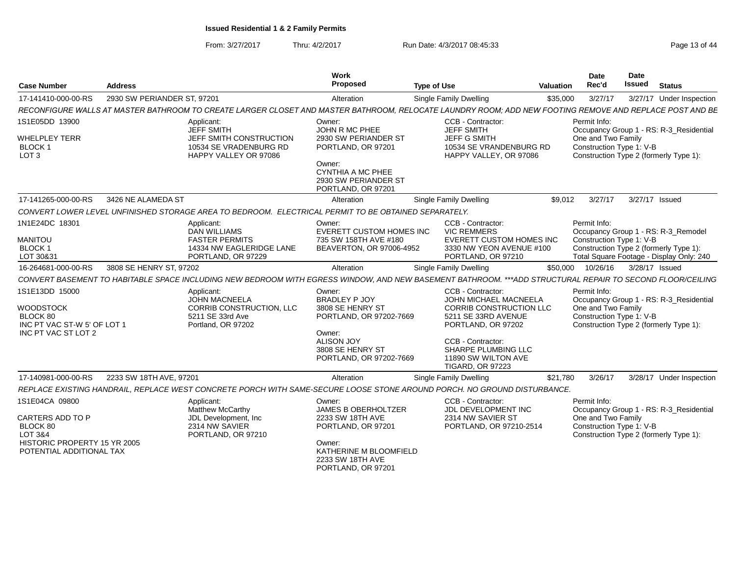From: 3/27/2017Thru: 4/2/2017 **Run Date: 4/3/2017 08:45:33** Page 13 of 44

| <b>Case Number</b>                                                                                                           | <b>Address</b>              |                                                                                                                                                           | <b>Work</b><br>Proposed                                                                  | <b>Type of Use</b>                                                                                                 | <b>Valuation</b> | <b>Date</b><br>Rec'd                                                                                     | Date<br><b>Issued</b> | <b>Status</b>                            |
|------------------------------------------------------------------------------------------------------------------------------|-----------------------------|-----------------------------------------------------------------------------------------------------------------------------------------------------------|------------------------------------------------------------------------------------------|--------------------------------------------------------------------------------------------------------------------|------------------|----------------------------------------------------------------------------------------------------------|-----------------------|------------------------------------------|
| 17-141410-000-00-RS                                                                                                          | 2930 SW PERIANDER ST, 97201 |                                                                                                                                                           | Alteration                                                                               | <b>Single Family Dwelling</b>                                                                                      | \$35,000         | 3/27/17                                                                                                  |                       | 3/27/17 Under Inspection                 |
|                                                                                                                              |                             | RECONFIGURE WALLS AT MASTER BATHROOM TO CREATE LARGER CLOSET AND MASTER BATHROOM, RELOCATE LAUNDRY ROOM; ADD NEW FOOTING REMOVE AND REPLACE POST AND BE   |                                                                                          |                                                                                                                    |                  |                                                                                                          |                       |                                          |
| 1S1E05DD 13900<br><b>WHELPLEY TERR</b><br><b>BLOCK1</b><br>LOT <sub>3</sub>                                                  |                             | Applicant:<br><b>JEFF SMITH</b><br>JEFF SMITH CONSTRUCTION<br>10534 SE VRADENBURG RD<br>HAPPY VALLEY OR 97086                                             | Owner:<br>JOHN R MC PHEE<br>2930 SW PERIANDER ST<br>PORTLAND, OR 97201                   | CCB - Contractor:<br><b>JEFF SMITH</b><br><b>JEFF G SMITH</b><br>10534 SE VRANDENBURG RD<br>HAPPY VALLEY, OR 97086 |                  | Permit Info:<br>One and Two Family<br>Construction Type 1: V-B<br>Construction Type 2 (formerly Type 1): |                       | Occupancy Group 1 - RS: R-3_Residential  |
|                                                                                                                              |                             |                                                                                                                                                           | Owner:<br><b>CYNTHIA A MC PHEE</b><br>2930 SW PERIANDER ST<br>PORTLAND, OR 97201         |                                                                                                                    |                  |                                                                                                          |                       |                                          |
| 17-141265-000-00-RS                                                                                                          | 3426 NE ALAMEDA ST          |                                                                                                                                                           | Alteration                                                                               | <b>Single Family Dwelling</b>                                                                                      | \$9,012          | 3/27/17                                                                                                  | 3/27/17 Issued        |                                          |
|                                                                                                                              |                             | CONVERT LOWER LEVEL UNFINISHED STORAGE AREA TO BEDROOM. ELECTRICAL PERMIT TO BE OBTAINED SEPARATELY.                                                      |                                                                                          |                                                                                                                    |                  |                                                                                                          |                       |                                          |
| 1N1E24DC 18301                                                                                                               |                             | Applicant:<br><b>DAN WILLIAMS</b>                                                                                                                         | Owner:<br><b>EVERETT CUSTOM HOMES INC</b>                                                | CCB - Contractor:<br><b>VIC REMMERS</b>                                                                            |                  | Permit Info:                                                                                             |                       | Occupancy Group 1 - RS: R-3_Remodel      |
| <b>MANITOU</b><br><b>BLOCK1</b><br>LOT 30&31                                                                                 |                             | <b>FASTER PERMITS</b><br>14334 NW EAGLERIDGE LANE<br>PORTLAND, OR 97229                                                                                   | 735 SW 158TH AVE #180<br>BEAVERTON, OR 97006-4952                                        | <b>EVERETT CUSTOM HOMES INC</b><br>3330 NW YEON AVENUE #100<br>PORTLAND, OR 97210                                  |                  | Construction Type 1: V-B<br>Construction Type 2 (formerly Type 1):                                       |                       | Total Square Footage - Display Only: 240 |
| 16-264681-000-00-RS                                                                                                          | 3808 SE HENRY ST, 97202     |                                                                                                                                                           | Alteration                                                                               | <b>Single Family Dwelling</b>                                                                                      | \$50,000         | 10/26/16                                                                                                 | 3/28/17 Issued        |                                          |
|                                                                                                                              |                             | CONVERT BASEMENT TO HABITABLE SPACE INCLUDING NEW BEDROOM WITH EGRESS WINDOW, AND NEW BASEMENT BATHROOM. ***ADD STRUCTURAL REPAIR TO SECOND FLOOR/CEILING |                                                                                          |                                                                                                                    |                  |                                                                                                          |                       |                                          |
| 1S1E13DD 15000<br><b>WOODSTOCK</b><br>BLOCK 80<br>INC PT VAC ST-W 5' OF LOT 1                                                |                             | Applicant:<br><b>JOHN MACNEELA</b><br>CORRIB CONSTRUCTION, LLC<br>5211 SE 33rd Ave<br>Portland, OR 97202                                                  | Owner:<br><b>BRADLEY P JOY</b><br>3808 SE HENRY ST<br>PORTLAND, OR 97202-7669            | CCB - Contractor:<br>JOHN MICHAEL MACNEELA<br>CORRIB CONSTRUCTION LLC<br>5211 SE 33RD AVENUE<br>PORTLAND, OR 97202 |                  | Permit Info:<br>One and Two Family<br>Construction Type 1: V-B<br>Construction Type 2 (formerly Type 1): |                       | Occupancy Group 1 - RS: R-3_Residential  |
| INC PT VAC ST LOT 2                                                                                                          |                             |                                                                                                                                                           | Owner:<br><b>ALISON JOY</b><br>3808 SE HENRY ST<br>PORTLAND, OR 97202-7669               | CCB - Contractor:<br>SHARPE PLUMBING LLC<br>11890 SW WILTON AVE<br><b>TIGARD, OR 97223</b>                         |                  |                                                                                                          |                       |                                          |
| 17-140981-000-00-RS                                                                                                          | 2233 SW 18TH AVE, 97201     |                                                                                                                                                           | Alteration                                                                               | <b>Single Family Dwelling</b>                                                                                      | \$21,780         | 3/26/17                                                                                                  |                       | 3/28/17 Under Inspection                 |
|                                                                                                                              |                             | REPLACE EXISTING HANDRAIL, REPLACE WEST CONCRETE PORCH WITH SAME-SECURE LOOSE STONE AROUND PORCH. NO GROUND DISTURBANCE.                                  |                                                                                          |                                                                                                                    |                  |                                                                                                          |                       |                                          |
| 1S1E04CA 09800<br><b>CARTERS ADD TO P</b><br>BLOCK 80<br>LOT 3&4<br>HISTORIC PROPERTY 15 YR 2005<br>POTENTIAL ADDITIONAL TAX |                             | Applicant:<br><b>Matthew McCarthy</b><br>JDL Development, Inc.<br>2314 NW SAVIER<br>PORTLAND, OR 97210                                                    | Owner:<br><b>JAMES B OBERHOLTZER</b><br>2233 SW 18TH AVE<br>PORTLAND, OR 97201<br>Owner: | CCB - Contractor:<br>JDL DEVELOPMENT INC<br>2314 NW SAVIER ST<br>PORTLAND, OR 97210-2514                           |                  | Permit Info:<br>One and Two Family<br>Construction Type 1: V-B<br>Construction Type 2 (formerly Type 1): |                       | Occupancy Group 1 - RS: R-3_Residential  |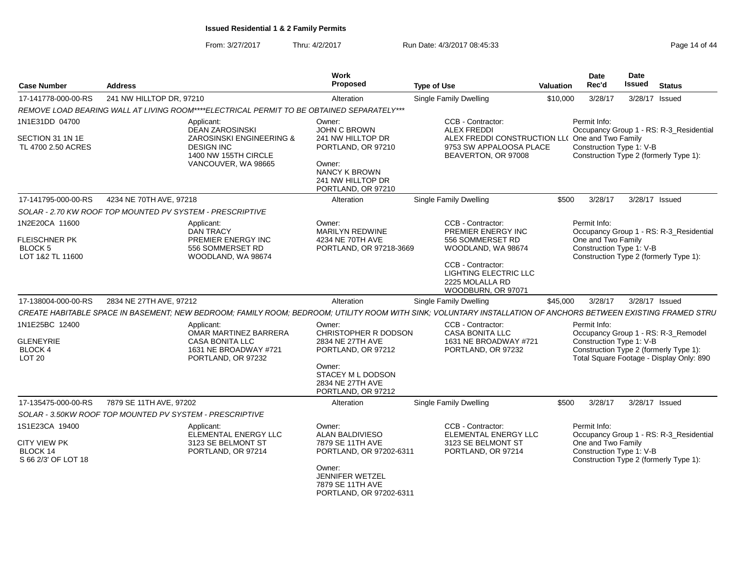From: 3/27/2017Thru: 4/2/2017 **Run Date: 4/3/2017 08:45:33** Page 14 of 44

| <b>Case Number</b>                                         | <b>Address</b>                                            |                                                                                           | Work<br>Proposed                                                             | <b>Type of Use</b>                                                                                                                                            | <b>Valuation</b> | <b>Date</b><br>Rec'd                                                                     | <b>Date</b><br>Issued | <b>Status</b>                            |  |
|------------------------------------------------------------|-----------------------------------------------------------|-------------------------------------------------------------------------------------------|------------------------------------------------------------------------------|---------------------------------------------------------------------------------------------------------------------------------------------------------------|------------------|------------------------------------------------------------------------------------------|-----------------------|------------------------------------------|--|
| 17-141778-000-00-RS                                        | 241 NW HILLTOP DR, 97210                                  |                                                                                           | Alteration                                                                   | Single Family Dwelling                                                                                                                                        | \$10,000         | 3/28/17                                                                                  | 3/28/17 Issued        |                                          |  |
|                                                            |                                                           | REMOVE LOAD BEARING WALL AT LIVING ROOM****ELECTRICAL PERMIT TO BE OBTAINED SEPARATELY*** |                                                                              |                                                                                                                                                               |                  |                                                                                          |                       |                                          |  |
| 1N1E31DD 04700                                             |                                                           | Applicant:<br><b>DEAN ZAROSINSKI</b>                                                      | Owner:<br>JOHN C BROWN                                                       | CCB - Contractor:<br><b>ALEX FREDDI</b>                                                                                                                       |                  | Permit Info:                                                                             |                       | Occupancy Group 1 - RS: R-3_Residential  |  |
| SECTION 31 1N 1E<br>TL 4700 2.50 ACRES                     |                                                           | ZAROSINSKI ENGINEERING &<br><b>DESIGN INC</b><br>1400 NW 155TH CIRCLE                     | 241 NW HILLTOP DR<br>PORTLAND, OR 97210                                      | ALEX FREDDI CONSTRUCTION LL( One and Two Family<br>9753 SW APPALOOSA PLACE<br>BEAVERTON, OR 97008                                                             |                  | Construction Type 1: V-B<br>Construction Type 2 (formerly Type 1):                       |                       |                                          |  |
|                                                            |                                                           | VANCOUVER, WA 98665                                                                       | Owner:<br>NANCY K BROWN<br>241 NW HILLTOP DR<br>PORTLAND, OR 97210           |                                                                                                                                                               |                  |                                                                                          |                       |                                          |  |
| 17-141795-000-00-RS                                        | 4234 NE 70TH AVE, 97218                                   |                                                                                           | Alteration                                                                   | <b>Single Family Dwelling</b>                                                                                                                                 | \$500            | 3/28/17                                                                                  | 3/28/17 Issued        |                                          |  |
|                                                            | SOLAR - 2.70 KW ROOF TOP MOUNTED PV SYSTEM - PRESCRIPTIVE |                                                                                           |                                                                              |                                                                                                                                                               |                  |                                                                                          |                       |                                          |  |
| 1N2E20CA 11600                                             |                                                           | Applicant:<br><b>DAN TRACY</b>                                                            | Owner:<br><b>MARILYN REDWINE</b>                                             | CCB - Contractor:<br>PREMIER ENERGY INC                                                                                                                       |                  | Permit Info:                                                                             |                       | Occupancy Group 1 - RS: R-3_Residential  |  |
| <b>FLEISCHNER PK</b><br><b>BLOCK 5</b><br>LOT 1&2 TL 11600 |                                                           | PREMIER ENERGY INC<br>556 SOMMERSET RD<br>WOODLAND, WA 98674                              | 4234 NE 70TH AVE<br>PORTLAND, OR 97218-3669                                  | 556 SOMMERSET RD<br>WOODLAND, WA 98674                                                                                                                        |                  | One and Two Family<br>Construction Type 1: V-B<br>Construction Type 2 (formerly Type 1): |                       |                                          |  |
|                                                            |                                                           |                                                                                           |                                                                              | CCB - Contractor:<br>LIGHTING ELECTRIC LLC<br>2225 MOLALLA RD<br>WOODBURN, OR 97071                                                                           |                  |                                                                                          |                       |                                          |  |
| 17-138004-000-00-RS                                        | 2834 NE 27TH AVE, 97212                                   |                                                                                           | Alteration                                                                   | Single Family Dwelling                                                                                                                                        | \$45,000         | 3/28/17                                                                                  | 3/28/17 Issued        |                                          |  |
|                                                            |                                                           |                                                                                           |                                                                              | CREATE HABITABLE SPACE IN BASEMENT; NEW BEDROOM; FAMILY ROOM; BEDROOM; UTILITY ROOM WITH SINK; VOLUNTARY INSTALLATION OF ANCHORS BETWEEN EXISTING FRAMED STRU |                  |                                                                                          |                       |                                          |  |
| 1N1E25BC 12400                                             |                                                           | Applicant:<br>OMAR MARTINEZ BARRERA                                                       | Owner:<br>CHRISTOPHER R DODSON                                               | CCB - Contractor:<br><b>CASA BONITA LLC</b>                                                                                                                   |                  | Permit Info:                                                                             |                       | Occupancy Group 1 - RS: R-3_Remodel      |  |
| <b>GLENEYRIE</b>                                           |                                                           | <b>CASA BONITA LLC</b>                                                                    | 2834 NE 27TH AVE                                                             | 1631 NE BROADWAY #721                                                                                                                                         |                  | Construction Type 1: V-B                                                                 |                       |                                          |  |
| <b>BLOCK 4</b><br>LOT <sub>20</sub>                        |                                                           | 1631 NE BROADWAY #721<br>PORTLAND, OR 97232                                               | PORTLAND, OR 97212                                                           | PORTLAND, OR 97232                                                                                                                                            |                  | Construction Type 2 (formerly Type 1):                                                   |                       | Total Square Footage - Display Only: 890 |  |
|                                                            |                                                           |                                                                                           | Owner:<br><b>STACEY M L DODSON</b><br>2834 NE 27TH AVE<br>PORTLAND, OR 97212 |                                                                                                                                                               |                  |                                                                                          |                       |                                          |  |
| 17-135475-000-00-RS                                        | 7879 SE 11TH AVE, 97202                                   |                                                                                           | Alteration                                                                   | <b>Single Family Dwelling</b>                                                                                                                                 | \$500            | 3/28/17                                                                                  | 3/28/17 Issued        |                                          |  |
|                                                            | SOLAR - 3.50KW ROOF TOP MOUNTED PV SYSTEM - PRESCRIPTIVE  |                                                                                           |                                                                              |                                                                                                                                                               |                  |                                                                                          |                       |                                          |  |
| 1S1E23CA 19400                                             |                                                           | Applicant:<br>ELEMENTAL ENERGY LLC                                                        | Owner:<br>ALAN BALDIVIESO                                                    | CCB - Contractor:<br>ELEMENTAL ENERGY LLC                                                                                                                     |                  | Permit Info:                                                                             |                       | Occupancy Group 1 - RS: R-3_Residential  |  |
| <b>CITY VIEW PK</b><br>BLOCK 14<br>S 66 2/3' OF LOT 18     | 3123 SE BELMONT ST<br>PORTLAND, OR 97214                  |                                                                                           | 7879 SE 11TH AVE<br>PORTLAND, OR 97202-6311                                  | 3123 SE BELMONT ST<br>PORTLAND, OR 97214                                                                                                                      |                  | One and Two Family<br>Construction Type 1: V-B<br>Construction Type 2 (formerly Type 1): |                       |                                          |  |
|                                                            |                                                           |                                                                                           | Owner:<br>JENNIFER WETZEL<br>7879 SE 11TH AVE<br>PORTLAND, OR 97202-6311     |                                                                                                                                                               |                  |                                                                                          |                       |                                          |  |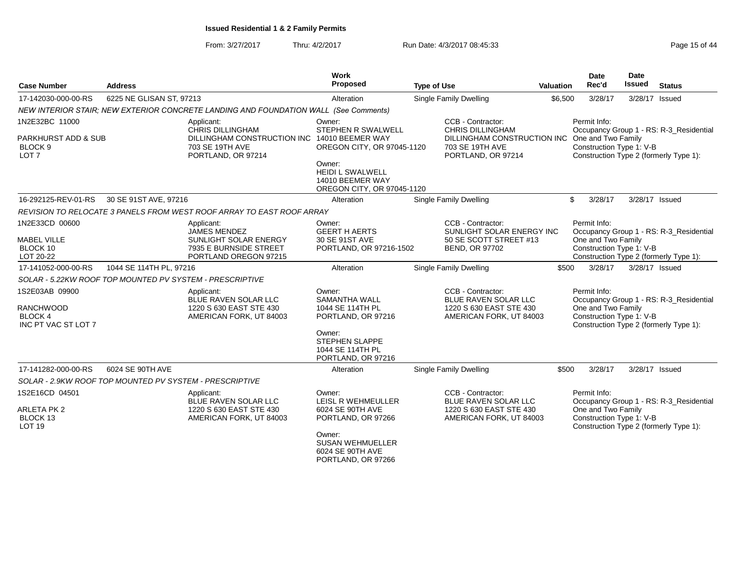From: 3/27/2017Thru: 4/2/2017 **Run Date: 4/3/2017 08:45:33** Page 15 of 44

| <b>Case Number</b>                                                          | <b>Address</b>           |                                                                                          | Work<br>Proposed                                                                                                                                           | <b>Type of Use</b>                                                                                     | Valuation                                                                                | <b>Date</b><br>Rec'd                                               | Date<br><b>Issued</b> | <b>Status</b>                                                                     |
|-----------------------------------------------------------------------------|--------------------------|------------------------------------------------------------------------------------------|------------------------------------------------------------------------------------------------------------------------------------------------------------|--------------------------------------------------------------------------------------------------------|------------------------------------------------------------------------------------------|--------------------------------------------------------------------|-----------------------|-----------------------------------------------------------------------------------|
| 17-142030-000-00-RS                                                         | 6225 NE GLISAN ST, 97213 |                                                                                          | Alteration                                                                                                                                                 | <b>Single Family Dwelling</b>                                                                          | \$6,500                                                                                  | 3/28/17                                                            |                       | 3/28/17 Issued                                                                    |
|                                                                             |                          | NEW INTERIOR STAIR; NEW EXTERIOR CONCRETE LANDING AND FOUNDATION WALL (See Comments)     |                                                                                                                                                            |                                                                                                        |                                                                                          |                                                                    |                       |                                                                                   |
| 1N2E32BC 11000<br><b>PARKHURST ADD &amp; SUB</b>                            |                          | Applicant:<br><b>CHRIS DILLINGHAM</b><br>DILLINGHAM CONSTRUCTION INC                     | Owner:<br>STEPHEN R SWALWELL<br>14010 BEEMER WAY                                                                                                           | CCB - Contractor:<br><b>CHRIS DILLINGHAM</b><br>DILLINGHAM CONSTRUCTION INC                            |                                                                                          | Permit Info:<br>One and Two Family                                 |                       | Occupancy Group 1 - RS: R-3_Residential                                           |
| BLOCK <sub>9</sub><br>LOT <sub>7</sub>                                      |                          | 703 SE 19TH AVE<br>PORTLAND, OR 97214                                                    | 703 SE 19TH AVE<br>OREGON CITY, OR 97045-1120<br>PORTLAND, OR 97214<br>Owner:<br><b>HEIDI L SWALWELL</b><br>14010 BEEMER WAY<br>OREGON CITY, OR 97045-1120 |                                                                                                        |                                                                                          | Construction Type 1: V-B                                           |                       | Construction Type 2 (formerly Type 1):                                            |
| 16-292125-REV-01-RS                                                         | 30 SE 91ST AVE, 97216    |                                                                                          | Alteration                                                                                                                                                 | Single Family Dwelling                                                                                 |                                                                                          | \$<br>3/28/17                                                      |                       | 3/28/17 Issued                                                                    |
|                                                                             |                          | REVISION TO RELOCATE 3 PANELS FROM WEST ROOF ARRAY TO EAST ROOF ARRAY                    |                                                                                                                                                            |                                                                                                        |                                                                                          |                                                                    |                       |                                                                                   |
| 1N2E33CD 00600                                                              |                          | Applicant:<br><b>JAMES MENDEZ</b>                                                        | Owner:<br><b>GEERT H AERTS</b>                                                                                                                             | CCB - Contractor:<br>SUNLIGHT SOLAR ENERGY INC                                                         |                                                                                          | Permit Info:<br>One and Two Family                                 |                       | Occupancy Group 1 - RS: R-3_Residential                                           |
| <b>MABEL VILLE</b><br>BLOCK 10<br>LOT 20-22                                 |                          | SUNLIGHT SOLAR ENERGY<br>7935 E BURNSIDE STREET<br>PORTLAND OREGON 97215                 | 30 SE 91ST AVE<br>PORTLAND, OR 97216-1502                                                                                                                  | 50 SE SCOTT STREET #13<br><b>BEND, OR 97702</b>                                                        |                                                                                          | Construction Type 1: V-B<br>Construction Type 2 (formerly Type 1): |                       |                                                                                   |
| 17-141052-000-00-RS                                                         | 1044 SE 114TH PL, 97216  |                                                                                          | Alteration                                                                                                                                                 | Single Family Dwelling                                                                                 | \$500                                                                                    | 3/28/17                                                            | 3/28/17 Issued        |                                                                                   |
| SOLAR - 5.22KW ROOF TOP MOUNTED PV SYSTEM - PRESCRIPTIVE                    |                          |                                                                                          |                                                                                                                                                            |                                                                                                        |                                                                                          |                                                                    |                       |                                                                                   |
| 1S2E03AB 09900<br><b>RANCHWOOD</b><br><b>BLOCK 4</b><br>INC PT VAC ST LOT 7 |                          | Applicant:<br>BLUE RAVEN SOLAR LLC<br>1220 S 630 EAST STE 430<br>AMERICAN FORK, UT 84003 | Owner:<br><b>SAMANTHA WALL</b><br>1044 SE 114TH PL<br>PORTLAND, OR 97216<br>Owner:<br><b>STEPHEN SLAPPE</b>                                                | CCB - Contractor:<br><b>BLUE RAVEN SOLAR LLC</b><br>1220 S 630 EAST STE 430<br>AMERICAN FORK, UT 84003 |                                                                                          | Permit Info:<br>One and Two Family<br>Construction Type 1: V-B     |                       | Occupancy Group 1 - RS: R-3_Residential<br>Construction Type 2 (formerly Type 1): |
|                                                                             |                          |                                                                                          | 1044 SE 114TH PL<br>PORTLAND, OR 97216                                                                                                                     |                                                                                                        |                                                                                          |                                                                    |                       |                                                                                   |
| 17-141282-000-00-RS                                                         | 6024 SE 90TH AVE         |                                                                                          | Alteration                                                                                                                                                 | Single Family Dwelling                                                                                 | \$500                                                                                    | 3/28/17                                                            |                       | 3/28/17 Issued                                                                    |
| SOLAR - 2.9KW ROOF TOP MOUNTED PV SYSTEM - PRESCRIPTIVE                     |                          |                                                                                          |                                                                                                                                                            |                                                                                                        |                                                                                          |                                                                    |                       |                                                                                   |
| 1S2E16CD 04501                                                              |                          | Applicant:<br>BLUE RAVEN SOLAR LLC                                                       | Owner:<br>LEISL R WEHMEULLER                                                                                                                               | CCB - Contractor:<br>BLUE RAVEN SOLAR LLC                                                              |                                                                                          | Permit Info:                                                       |                       | Occupancy Group 1 - RS: R-3_Residential                                           |
| <b>ARLETA PK 2</b><br>BLOCK 13<br>LOT <sub>19</sub>                         |                          | 1220 S 630 EAST STE 430<br>AMERICAN FORK, UT 84003                                       | 6024 SE 90TH AVE<br>PORTLAND, OR 97266                                                                                                                     | 1220 S 630 EAST STE 430<br>AMERICAN FORK, UT 84003                                                     | One and Two Family<br>Construction Type 1: V-B<br>Construction Type 2 (formerly Type 1): |                                                                    |                       |                                                                                   |
|                                                                             |                          |                                                                                          | Owner:<br><b>SUSAN WEHMUELLER</b><br>6024 SE 90TH AVE<br>PORTLAND, OR 97266                                                                                |                                                                                                        |                                                                                          |                                                                    |                       |                                                                                   |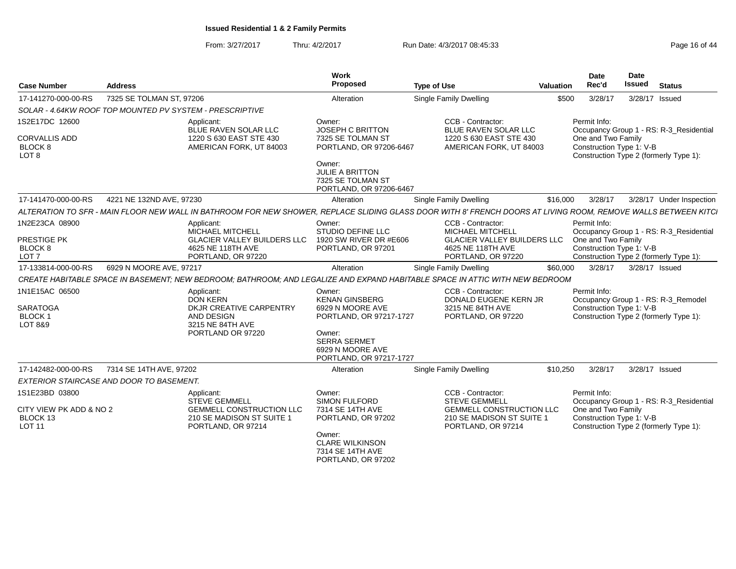From: 3/27/2017Thru: 4/2/2017 **Run Date: 4/3/2017 08:45:33** Page 16 of 44

| <b>Case Number</b>                                                    | <b>Address</b>                                           |                                                                                    | Work<br>Proposed<br><b>Type of Use</b>                                                                                                                         |                                                                                                                                                                |          | <b>Date</b><br>Rec'd<br>Valuation                                                                        | Date<br>Issued | <b>Status</b>                           |
|-----------------------------------------------------------------------|----------------------------------------------------------|------------------------------------------------------------------------------------|----------------------------------------------------------------------------------------------------------------------------------------------------------------|----------------------------------------------------------------------------------------------------------------------------------------------------------------|----------|----------------------------------------------------------------------------------------------------------|----------------|-----------------------------------------|
| 17-141270-000-00-RS                                                   | 7325 SE TOLMAN ST, 97206                                 |                                                                                    | Alteration                                                                                                                                                     | <b>Single Family Dwelling</b>                                                                                                                                  | \$500    | 3/28/17                                                                                                  | 3/28/17        | Issued                                  |
|                                                                       | SOLAR - 4.64KW ROOF TOP MOUNTED PV SYSTEM - PRESCRIPTIVE |                                                                                    |                                                                                                                                                                |                                                                                                                                                                |          |                                                                                                          |                |                                         |
| 1S2E17DC 12600<br><b>CORVALLIS ADD</b><br>BLOCK 8<br>LOT <sub>8</sub> | Applicant:                                               | BLUE RAVEN SOLAR LLC<br>1220 S 630 EAST STE 430<br>AMERICAN FORK, UT 84003         | Owner:<br>JOSEPH C BRITTON<br>7325 SE TOLMAN ST<br>PORTLAND, OR 97206-6467                                                                                     | CCB - Contractor:<br>BLUE RAVEN SOLAR LLC<br>1220 S 630 EAST STE 430<br>AMERICAN FORK, UT 84003                                                                |          | Permit Info:<br>One and Two Family<br>Construction Type 1: V-B<br>Construction Type 2 (formerly Type 1): |                | Occupancy Group 1 - RS: R-3 Residential |
|                                                                       |                                                          |                                                                                    | Owner:<br>JULIE A BRITTON<br>7325 SE TOLMAN ST<br>PORTLAND, OR 97206-6467                                                                                      |                                                                                                                                                                |          |                                                                                                          |                |                                         |
| 17-141470-000-00-RS                                                   | 4221 NE 132ND AVE, 97230                                 |                                                                                    | Alteration                                                                                                                                                     | <b>Single Family Dwelling</b>                                                                                                                                  | \$16,000 | 3/28/17                                                                                                  |                | 3/28/17 Under Inspection                |
|                                                                       |                                                          |                                                                                    |                                                                                                                                                                | ALTERATION TO SFR - MAIN FLOOR NEW WALL IN BATHROOM FOR NEW SHOWER, REPLACE SLIDING GLASS DOOR WITH 8' FRENCH DOORS AT LIVING ROOM, REMOVE WALLS BETWEEN KITCI |          |                                                                                                          |                |                                         |
| 1N2E23CA 08900                                                        | Applicant:                                               | MICHAEL MITCHELL                                                                   | Owner:<br>STUDIO DEFINE LLC                                                                                                                                    | CCB - Contractor:<br>MICHAEL MITCHELL                                                                                                                          |          | Permit Info:                                                                                             |                | Occupancy Group 1 - RS: R-3_Residential |
| PRESTIGE PK<br><b>BLOCK 8</b><br>LOT <sub>7</sub>                     |                                                          | <b>GLACIER VALLEY BUILDERS LLC</b><br>4625 NE 118TH AVE<br>PORTLAND, OR 97220      | 1920 SW RIVER DR #E606<br>PORTLAND, OR 97201                                                                                                                   | <b>GLACIER VALLEY BUILDERS LLC</b><br>4625 NE 118TH AVE<br>PORTLAND, OR 97220                                                                                  |          | One and Two Family<br>Construction Type 1: V-B<br>Construction Type 2 (formerly Type 1):                 |                |                                         |
| 17-133814-000-00-RS                                                   | 6929 N MOORE AVE, 97217                                  |                                                                                    | Alteration                                                                                                                                                     | Single Family Dwelling                                                                                                                                         | \$60,000 | 3/28/17                                                                                                  | 3/28/17 Issued |                                         |
|                                                                       |                                                          |                                                                                    |                                                                                                                                                                | CREATE HABITABLE SPACE IN BASEMENT; NEW BEDROOM; BATHROOM; AND LEGALIZE AND EXPAND HABITABLE SPACE IN ATTIC WITH NEW BEDROOM                                   |          |                                                                                                          |                |                                         |
| 1N1E15AC 06500<br><b>SARATOGA</b><br><b>BLOCK1</b><br>LOT 8&9         | Applicant:<br><b>DON KERN</b>                            | DKJR CREATIVE CARPENTRY<br>AND DESIGN<br>3215 NE 84TH AVE<br>PORTLAND OR 97220     | Owner:<br><b>KENAN GINSBERG</b><br>6929 N MOORE AVE<br>PORTLAND, OR 97217-1727<br>Owner:<br><b>SERRA SERMET</b><br>6929 N MOORE AVE<br>PORTLAND, OR 97217-1727 | CCB - Contractor:<br>DONALD EUGENE KERN JR<br>3215 NE 84TH AVE<br>PORTLAND, OR 97220                                                                           |          | Permit Info:<br>Construction Type 1: V-B<br>Construction Type 2 (formerly Type 1):                       |                | Occupancy Group 1 - RS: R-3 Remodel     |
| 17-142482-000-00-RS                                                   | 7314 SE 14TH AVE, 97202                                  |                                                                                    | Alteration                                                                                                                                                     | Single Family Dwelling                                                                                                                                         | \$10,250 | 3/28/17                                                                                                  | 3/28/17 Issued |                                         |
|                                                                       | EXTERIOR STAIRCASE AND DOOR TO BASEMENT.                 |                                                                                    |                                                                                                                                                                |                                                                                                                                                                |          |                                                                                                          |                |                                         |
| 1S1E23BD 03800                                                        | Applicant:                                               | <b>STEVE GEMMELL</b>                                                               | Owner:<br><b>SIMON FULFORD</b>                                                                                                                                 | CCB - Contractor:<br><b>STEVE GEMMELL</b>                                                                                                                      |          | Permit Info:                                                                                             |                | Occupancy Group 1 - RS: R-3_Residential |
| CITY VIEW PK ADD & NO 2<br>BLOCK 13<br><b>LOT 11</b>                  |                                                          | <b>GEMMELL CONSTRUCTION LLC</b><br>210 SE MADISON ST SUITE 1<br>PORTLAND, OR 97214 | 7314 SE 14TH AVE<br>PORTLAND, OR 97202<br>Owner:<br><b>CLARE WILKINSON</b><br>7314 SE 14TH AVE<br>PORTLAND, OR 97202                                           | <b>GEMMELL CONSTRUCTION LLC</b><br>210 SE MADISON ST SUITE 1<br>PORTLAND, OR 97214                                                                             |          | One and Two Family<br>Construction Type 1: V-B<br>Construction Type 2 (formerly Type 1):                 |                |                                         |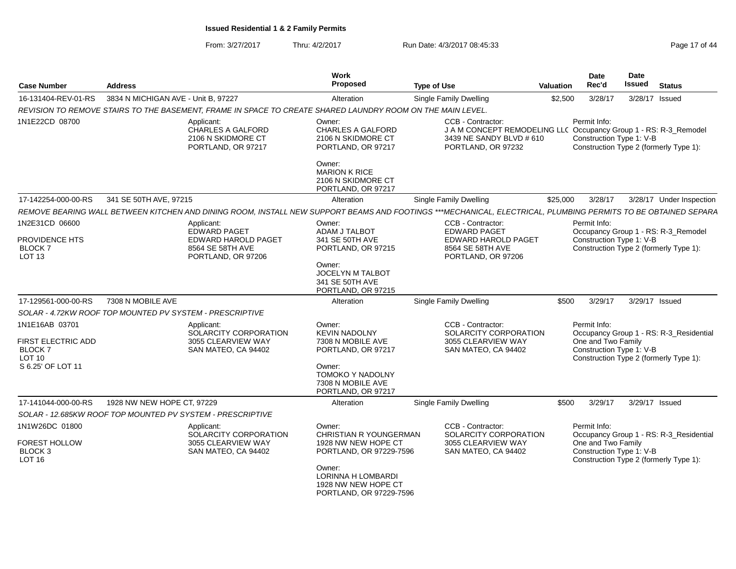From: 3/27/2017Thru: 4/2/2017 **Run Date: 4/3/2017 08:45:33** Page 17 of 44

| <b>Case Number</b>                                                                 | <b>Address</b>                      |                                                                                                            | Work<br>Proposed                                                                                                 | <b>Type of Use</b>                                                                                                                                            | <b>Valuation</b> | <b>Date</b><br>Rec'd                                           | <b>Date</b><br>Issued | <b>Status</b>                                                                     |
|------------------------------------------------------------------------------------|-------------------------------------|------------------------------------------------------------------------------------------------------------|------------------------------------------------------------------------------------------------------------------|---------------------------------------------------------------------------------------------------------------------------------------------------------------|------------------|----------------------------------------------------------------|-----------------------|-----------------------------------------------------------------------------------|
| 16-131404-REV-01-RS                                                                | 3834 N MICHIGAN AVE - Unit B, 97227 |                                                                                                            | Alteration                                                                                                       | Single Family Dwelling                                                                                                                                        | \$2,500          | 3/28/17                                                        | 3/28/17 Issued        |                                                                                   |
|                                                                                    |                                     | REVISION TO REMOVE STAIRS TO THE BASEMENT, FRAME IN SPACE TO CREATE SHARED LAUNDRY ROOM ON THE MAIN LEVEL. |                                                                                                                  |                                                                                                                                                               |                  |                                                                |                       |                                                                                   |
| 1N1E22CD 08700                                                                     |                                     | Applicant:<br><b>CHARLES A GALFORD</b><br>2106 N SKIDMORE CT<br>PORTLAND, OR 97217                         | Owner:<br><b>CHARLES A GALFORD</b><br>2106 N SKIDMORE CT<br>PORTLAND, OR 97217<br>Owner:<br><b>MARION K RICE</b> | <b>CCB - Contractor:</b><br>J A M CONCEPT REMODELING LLC Occupancy Group 1 - RS: R-3_Remodel<br>3439 NE SANDY BLVD # 610<br>PORTLAND, OR 97232                |                  | Permit Info:<br>Construction Type 1: V-B                       |                       | Construction Type 2 (formerly Type 1):                                            |
|                                                                                    |                                     |                                                                                                            | 2106 N SKIDMORE CT<br>PORTLAND, OR 97217                                                                         |                                                                                                                                                               |                  |                                                                |                       |                                                                                   |
| 17-142254-000-00-RS                                                                | 341 SE 50TH AVE, 97215              |                                                                                                            | Alteration                                                                                                       | Single Family Dwelling                                                                                                                                        | \$25,000         | 3/28/17                                                        |                       | 3/28/17 Under Inspection                                                          |
|                                                                                    |                                     |                                                                                                            |                                                                                                                  | REMOVE BEARING WALL BETWEEN KITCHEN AND DINING ROOM, INSTALL NEW SUPPORT BEAMS AND FOOTINGS ***MECHANICAL, ELECTRICAL, PLUMBING PERMITS TO BE OBTAINED SEPARA |                  |                                                                |                       |                                                                                   |
| 1N2E31CD 06600                                                                     |                                     | Applicant:<br><b>EDWARD PAGET</b>                                                                          | Owner:<br>ADAM J TALBOT                                                                                          | CCB - Contractor:<br><b>EDWARD PAGET</b>                                                                                                                      |                  | Permit Info:                                                   |                       | Occupancy Group 1 - RS: R-3_Remodel                                               |
| PROVIDENCE HTS<br><b>BLOCK7</b><br>LOT <sub>13</sub>                               |                                     | <b>EDWARD HAROLD PAGET</b><br>8564 SE 58TH AVE<br>PORTLAND, OR 97206                                       | 341 SE 50TH AVE<br>PORTLAND, OR 97215                                                                            | <b>EDWARD HAROLD PAGET</b><br>8564 SE 58TH AVE<br>PORTLAND, OR 97206                                                                                          |                  | Construction Type 1: V-B                                       |                       | Construction Type 2 (formerly Type 1):                                            |
|                                                                                    |                                     |                                                                                                            | Owner:<br>JOCELYN M TALBOT<br>341 SE 50TH AVE<br>PORTLAND, OR 97215                                              |                                                                                                                                                               |                  |                                                                |                       |                                                                                   |
| 17-129561-000-00-RS                                                                | 7308 N MOBILE AVE                   |                                                                                                            | Alteration                                                                                                       | Single Family Dwelling                                                                                                                                        | \$500            | 3/29/17                                                        | 3/29/17 Issued        |                                                                                   |
| SOLAR - 4.72KW ROOF TOP MOUNTED PV SYSTEM - PRESCRIPTIVE                           |                                     |                                                                                                            |                                                                                                                  |                                                                                                                                                               |                  |                                                                |                       |                                                                                   |
| 1N1E16AB 03701<br><b>FIRST ELECTRIC ADD</b><br><b>BLOCK 7</b><br>LOT <sub>10</sub> |                                     | Applicant:<br>SOLARCITY CORPORATION<br>3055 CLEARVIEW WAY<br>SAN MATEO, CA 94402                           | Owner:<br><b>KEVIN NADOLNY</b><br>7308 N MOBILE AVE<br>PORTLAND, OR 97217                                        | CCB - Contractor:<br>SOLARCITY CORPORATION<br>3055 CLEARVIEW WAY<br>SAN MATEO, CA 94402                                                                       |                  | Permit Info:<br>One and Two Family<br>Construction Type 1: V-B |                       | Occupancy Group 1 - RS: R-3_Residential<br>Construction Type 2 (formerly Type 1): |
| S 6.25' OF LOT 11                                                                  |                                     |                                                                                                            | Owner:<br><b>TOMOKO Y NADOLNY</b><br>7308 N MOBILE AVE<br>PORTLAND, OR 97217                                     |                                                                                                                                                               |                  |                                                                |                       |                                                                                   |
| 17-141044-000-00-RS                                                                | 1928 NW NEW HOPE CT, 97229          |                                                                                                            | Alteration                                                                                                       | Single Family Dwelling                                                                                                                                        | \$500            | 3/29/17                                                        | 3/29/17 Issued        |                                                                                   |
|                                                                                    |                                     | SOLAR - 12.685KW ROOF TOP MOUNTED PV SYSTEM - PRESCRIPTIVE                                                 |                                                                                                                  |                                                                                                                                                               |                  |                                                                |                       |                                                                                   |
| 1N1W26DC 01800<br>FOREST HOLLOW<br><b>BLOCK3</b><br>LOT <sub>16</sub>              |                                     | Applicant:<br>SOLARCITY CORPORATION<br>3055 CLEARVIEW WAY<br>SAN MATEO, CA 94402                           | Owner:<br><b>CHRISTIAN R YOUNGERMAN</b><br>1928 NW NEW HOPE CT<br>PORTLAND, OR 97229-7596                        | CCB - Contractor:<br>SOLARCITY CORPORATION<br>3055 CLEARVIEW WAY<br>SAN MATEO, CA 94402                                                                       |                  | Permit Info:<br>One and Two Family<br>Construction Type 1: V-B |                       | Occupancy Group 1 - RS: R-3_Residential<br>Construction Type 2 (formerly Type 1): |
|                                                                                    |                                     |                                                                                                            | Owner:<br>LORINNA H LOMBARDI<br>1928 NW NEW HOPE CT<br>PORTLAND, OR 97229-7596                                   |                                                                                                                                                               |                  |                                                                |                       |                                                                                   |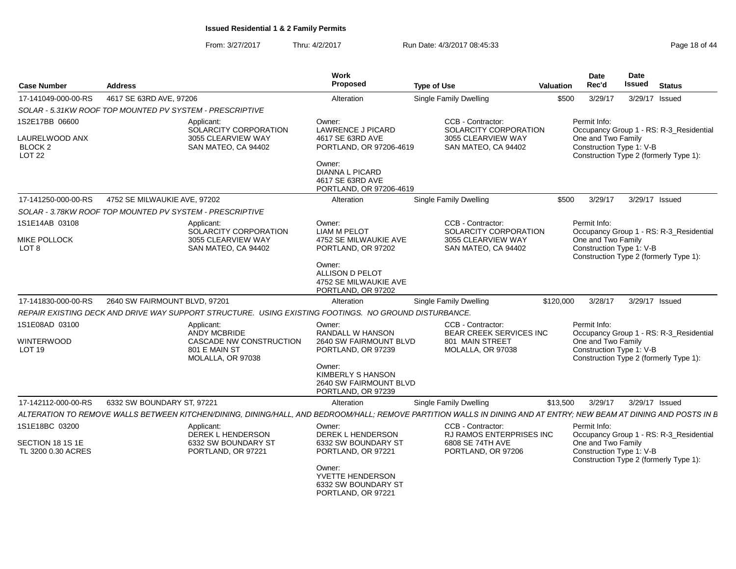From: 3/27/2017Thru: 4/2/2017 **Run Date: 4/3/2017 08:45:33** Page 18 of 44

| <b>Case Number</b>                                                      | <b>Address</b>                                                                   |                                                                                                                                                                    | <b>Work</b><br><b>Proposed</b>                                                     | <b>Type of Use</b>                                                                          | <b>Valuation</b>                                                                                                                                    | <b>Date</b><br>Rec'd                                           | <b>Date</b><br><b>Issued</b> | <b>Status</b>                                                                     |
|-------------------------------------------------------------------------|----------------------------------------------------------------------------------|--------------------------------------------------------------------------------------------------------------------------------------------------------------------|------------------------------------------------------------------------------------|---------------------------------------------------------------------------------------------|-----------------------------------------------------------------------------------------------------------------------------------------------------|----------------------------------------------------------------|------------------------------|-----------------------------------------------------------------------------------|
| 17-141049-000-00-RS                                                     | 4617 SE 63RD AVE, 97206                                                          |                                                                                                                                                                    | Alteration                                                                         | Single Family Dwelling                                                                      | \$500                                                                                                                                               | 3/29/17                                                        |                              | 3/29/17 Issued                                                                    |
|                                                                         |                                                                                  | SOLAR - 5.31KW ROOF TOP MOUNTED PV SYSTEM - PRESCRIPTIVE                                                                                                           |                                                                                    |                                                                                             |                                                                                                                                                     |                                                                |                              |                                                                                   |
| 1S2E17BB 06600<br>LAURELWOOD ANX<br>BLOCK <sub>2</sub><br><b>LOT 22</b> | Applicant:<br>SOLARCITY CORPORATION<br>3055 CLEARVIEW WAY<br>SAN MATEO, CA 94402 |                                                                                                                                                                    | Owner:<br><b>LAWRENCE J PICARD</b><br>4617 SE 63RD AVE<br>PORTLAND, OR 97206-4619  | CCB - Contractor:<br>SOLARCITY CORPORATION<br>3055 CLEARVIEW WAY<br>SAN MATEO, CA 94402     | Permit Info:<br>Occupancy Group 1 - RS: R-3_Residential<br>One and Two Family<br>Construction Type 1: V-B<br>Construction Type 2 (formerly Type 1): |                                                                |                              |                                                                                   |
|                                                                         |                                                                                  |                                                                                                                                                                    | Owner:<br>DIANNA L PICARD<br>4617 SE 63RD AVE<br>PORTLAND, OR 97206-4619           |                                                                                             |                                                                                                                                                     |                                                                |                              |                                                                                   |
| 17-141250-000-00-RS                                                     | 4752 SE MILWAUKIE AVE, 97202                                                     |                                                                                                                                                                    | Alteration                                                                         | Single Family Dwelling                                                                      | \$500                                                                                                                                               | 3/29/17                                                        |                              | 3/29/17 Issued                                                                    |
|                                                                         |                                                                                  | SOLAR - 3.78KW ROOF TOP MOUNTED PV SYSTEM - PRESCRIPTIVE                                                                                                           |                                                                                    |                                                                                             |                                                                                                                                                     |                                                                |                              |                                                                                   |
| 1S1E14AB 03108<br><b>MIKE POLLOCK</b><br>LOT <sub>8</sub>               |                                                                                  | Applicant:<br>SOLARCITY CORPORATION<br>3055 CLEARVIEW WAY<br>SAN MATEO, CA 94402                                                                                   | Owner:<br><b>LIAM M PELOT</b><br>4752 SE MILWAUKIE AVE<br>PORTLAND, OR 97202       | CCB - Contractor:<br>SOLARCITY CORPORATION<br>3055 CLEARVIEW WAY<br>SAN MATEO, CA 94402     |                                                                                                                                                     | Permit Info:<br>One and Two Family<br>Construction Type 1: V-B |                              | Occupancy Group 1 - RS: R-3_Residential<br>Construction Type 2 (formerly Type 1): |
|                                                                         |                                                                                  |                                                                                                                                                                    | Owner:<br>ALLISON D PELOT<br>4752 SE MILWAUKIE AVE<br>PORTLAND, OR 97202           |                                                                                             |                                                                                                                                                     |                                                                |                              |                                                                                   |
| 17-141830-000-00-RS                                                     | 2640 SW FAIRMOUNT BLVD, 97201                                                    |                                                                                                                                                                    | Alteration                                                                         | Single Family Dwelling                                                                      | \$120,000                                                                                                                                           | 3/28/17                                                        |                              | 3/29/17 Issued                                                                    |
|                                                                         |                                                                                  | REPAIR EXISTING DECK AND DRIVE WAY SUPPORT STRUCTURE. USING EXISTING FOOTINGS. NO GROUND DISTURBANCE.                                                              |                                                                                    |                                                                                             |                                                                                                                                                     |                                                                |                              |                                                                                   |
| 1S1E08AD 03100<br><b>WINTERWOOD</b><br>LOT <sub>19</sub>                |                                                                                  | Applicant:<br><b>ANDY MCBRIDE</b><br>CASCADE NW CONSTRUCTION<br>801 E MAIN ST<br>MOLALLA, OR 97038                                                                 | Owner:<br>RANDALL W HANSON<br>2640 SW FAIRMOUNT BLVD<br>PORTLAND, OR 97239         | CCB - Contractor:<br><b>BEAR CREEK SERVICES INC</b><br>801 MAIN STREET<br>MOLALLA, OR 97038 |                                                                                                                                                     | Permit Info:<br>One and Two Family<br>Construction Type 1: V-B |                              | Occupancy Group 1 - RS: R-3_Residential<br>Construction Type 2 (formerly Type 1): |
|                                                                         |                                                                                  |                                                                                                                                                                    | Owner:<br><b>KIMBERLY S HANSON</b><br>2640 SW FAIRMOUNT BLVD<br>PORTLAND, OR 97239 |                                                                                             |                                                                                                                                                     |                                                                |                              |                                                                                   |
| 17-142112-000-00-RS                                                     | 6332 SW BOUNDARY ST, 97221                                                       |                                                                                                                                                                    | Alteration                                                                         | Single Family Dwelling                                                                      | \$13,500                                                                                                                                            | 3/29/17                                                        |                              | 3/29/17 Issued                                                                    |
|                                                                         |                                                                                  | ALTERATION TO REMOVE WALLS BETWEEN KITCHEN/DINING, DINING/HALL, AND BEDROOM/HALL; REMOVE PARTITION WALLS IN DINING AND AT ENTRY; NEW BEAM AT DINING AND POSTS IN B |                                                                                    |                                                                                             |                                                                                                                                                     |                                                                |                              |                                                                                   |
| 1S1E18BC 03200                                                          |                                                                                  | Applicant:<br>DEREK L HENDERSON                                                                                                                                    | Owner:<br><b>DEREK L HENDERSON</b>                                                 | CCB - Contractor:<br>RJ RAMOS ENTERPRISES INC                                               |                                                                                                                                                     | Permit Info:                                                   |                              | Occupancy Group 1 - RS: R-3_Residential                                           |
| SECTION 18 1S 1E<br>TL 3200 0.30 ACRES                                  |                                                                                  | 6332 SW BOUNDARY ST<br>PORTLAND, OR 97221                                                                                                                          | 6332 SW BOUNDARY ST<br>PORTLAND, OR 97221                                          | 6808 SE 74TH AVE<br>PORTLAND, OR 97206                                                      |                                                                                                                                                     | One and Two Family<br>Construction Type 1: V-B                 |                              | Construction Type 2 (formerly Type 1):                                            |
|                                                                         |                                                                                  |                                                                                                                                                                    | Owner:<br>YVETTE HENDERSON<br>6332 SW BOUNDARY ST<br>PORTLAND, OR 97221            |                                                                                             |                                                                                                                                                     |                                                                |                              |                                                                                   |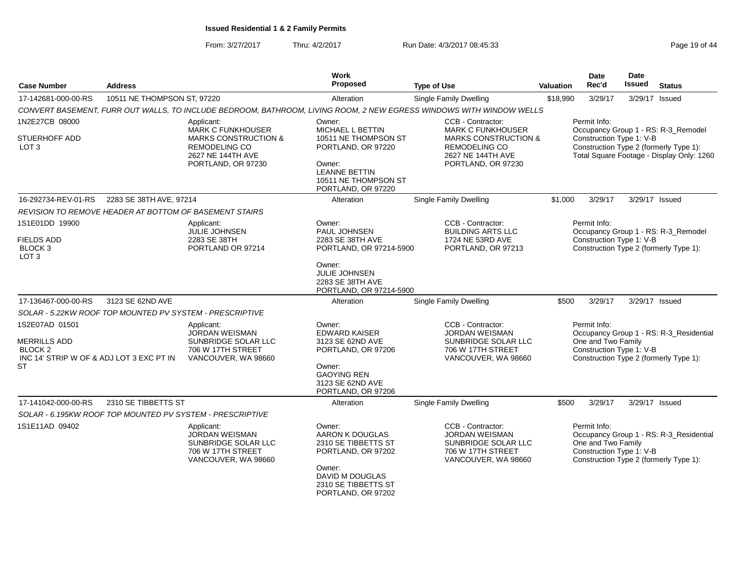From: 3/27/2017Thru: 4/2/2017 **Run Date: 4/3/2017 08:45:33** Page 19 of 44

| <b>Case Number</b>                                          | <b>Address</b>              |                                                                                                        | Work<br><b>Proposed</b>                                                       | <b>Type of Use</b>                                                                                                  | <b>Valuation</b> | <b>Date</b><br>Rec'd                                           | <b>Date</b><br><b>Issued</b> | <b>Status</b>                                                                       |
|-------------------------------------------------------------|-----------------------------|--------------------------------------------------------------------------------------------------------|-------------------------------------------------------------------------------|---------------------------------------------------------------------------------------------------------------------|------------------|----------------------------------------------------------------|------------------------------|-------------------------------------------------------------------------------------|
| 17-142681-000-00-RS                                         | 10511 NE THOMPSON ST, 97220 |                                                                                                        | Alteration                                                                    | Single Family Dwelling                                                                                              | \$18,990         | 3/29/17                                                        |                              | 3/29/17 Issued                                                                      |
|                                                             |                             |                                                                                                        |                                                                               | CONVERT BASEMENT, FURR OUT WALLS, TO INCLUDE BEDROOM, BATHROOM, LIVING ROOM, 2 NEW EGRESS WINDOWS WITH WINDOW WELLS |                  |                                                                |                              |                                                                                     |
| 1N2E27CB 08000                                              |                             | Applicant:<br><b>MARK C FUNKHOUSER</b>                                                                 | Owner:<br><b>MICHAEL L BETTIN</b>                                             | CCB - Contractor:<br><b>MARK C FUNKHOUSER</b>                                                                       |                  | Permit Info:                                                   |                              | Occupancy Group 1 - RS: R-3_Remodel                                                 |
| <b>STUERHOFF ADD</b><br>LOT 3                               |                             | <b>MARKS CONSTRUCTION &amp;</b><br><b>REMODELING CO</b><br>2627 NE 144TH AVE<br>PORTLAND, OR 97230     | 10511 NE THOMPSON ST<br>PORTLAND, OR 97220<br>Owner:<br><b>LEANNE BETTIN</b>  | <b>MARKS CONSTRUCTION &amp;</b><br><b>REMODELING CO</b><br>2627 NE 144TH AVE<br>PORTLAND, OR 97230                  |                  | Construction Type 1: V-B                                       |                              | Construction Type 2 (formerly Type 1):<br>Total Square Footage - Display Only: 1260 |
|                                                             |                             |                                                                                                        | 10511 NE THOMPSON ST<br>PORTLAND, OR 97220                                    |                                                                                                                     |                  |                                                                |                              |                                                                                     |
| 16-292734-REV-01-RS                                         | 2283 SE 38TH AVE, 97214     |                                                                                                        | Alteration                                                                    | Single Family Dwelling                                                                                              | \$1,000          | 3/29/17                                                        |                              | 3/29/17 Issued                                                                      |
|                                                             |                             | REVISION TO REMOVE HEADER AT BOTTOM OF BASEMENT STAIRS                                                 |                                                                               |                                                                                                                     |                  |                                                                |                              |                                                                                     |
| 1S1E01DD 19900<br><b>FIELDS ADD</b>                         |                             | Applicant:<br><b>JULIE JOHNSEN</b><br>2283 SE 38TH                                                     | Owner:<br>PAUL JOHNSEN<br>2283 SE 38TH AVE                                    | CCB - Contractor:<br><b>BUILDING ARTS LLC</b><br>1724 NE 53RD AVE                                                   |                  | Permit Info:<br>Construction Type 1: V-B                       |                              | Occupancy Group 1 - RS: R-3_Remodel                                                 |
| BLOCK <sub>3</sub><br>LOT <sub>3</sub>                      |                             | PORTLAND OR 97214                                                                                      | PORTLAND, OR 97214-5900                                                       | PORTLAND, OR 97213                                                                                                  |                  |                                                                |                              | Construction Type 2 (formerly Type 1):                                              |
|                                                             |                             |                                                                                                        | Owner:<br><b>JULIE JOHNSEN</b><br>2283 SE 38TH AVE<br>PORTLAND, OR 97214-5900 |                                                                                                                     |                  |                                                                |                              |                                                                                     |
| 17-136467-000-00-RS                                         | 3123 SE 62ND AVE            |                                                                                                        | Alteration                                                                    | Single Family Dwelling                                                                                              | \$500            | 3/29/17                                                        |                              | 3/29/17 Issued                                                                      |
|                                                             |                             | SOLAR - 5.22KW ROOF TOP MOUNTED PV SYSTEM - PRESCRIPTIVE                                               |                                                                               |                                                                                                                     |                  |                                                                |                              |                                                                                     |
| 1S2E07AD 01501<br><b>MERRILLS ADD</b><br>BLOCK <sub>2</sub> |                             | Applicant:<br>JORDAN WEISMAN<br>SUNBRIDGE SOLAR LLC<br>706 W 17TH STREET                               | Owner:<br><b>EDWARD KAISER</b><br>3123 SE 62ND AVE<br>PORTLAND, OR 97206      | CCB - Contractor:<br><b>JORDAN WEISMAN</b><br>SUNBRIDGE SOLAR LLC<br>706 W 17TH STREET                              |                  | Permit Info:<br>One and Two Family<br>Construction Type 1: V-B |                              | Occupancy Group 1 - RS: R-3_Residential                                             |
| INC 14' STRIP W OF & ADJ LOT 3 EXC PT IN<br><b>ST</b>       |                             | VANCOUVER, WA 98660                                                                                    | Owner:<br><b>GAOYING REN</b><br>3123 SE 62ND AVE<br>PORTLAND, OR 97206        | VANCOUVER, WA 98660                                                                                                 |                  |                                                                |                              | Construction Type 2 (formerly Type 1):                                              |
| 17-141042-000-00-RS                                         | 2310 SE TIBBETTS ST         |                                                                                                        | Alteration                                                                    | <b>Single Family Dwelling</b>                                                                                       | \$500            | 3/29/17                                                        |                              | 3/29/17 Issued                                                                      |
|                                                             |                             | SOLAR - 6.195KW ROOF TOP MOUNTED PV SYSTEM - PRESCRIPTIVE                                              |                                                                               |                                                                                                                     |                  |                                                                |                              |                                                                                     |
| 1S1E11AD 09402                                              |                             | Applicant:<br><b>JORDAN WEISMAN</b><br>SUNBRIDGE SOLAR LLC<br>706 W 17TH STREET<br>VANCOUVER, WA 98660 | Owner:<br>AARON K DOUGLAS<br>2310 SE TIBBETTS ST<br>PORTLAND, OR 97202        | CCB - Contractor:<br><b>JORDAN WEISMAN</b><br>SUNBRIDGE SOLAR LLC<br>706 W 17TH STREET<br>VANCOUVER, WA 98660       |                  | Permit Info:<br>One and Two Family<br>Construction Type 1: V-B |                              | Occupancy Group 1 - RS: R-3_Residential<br>Construction Type 2 (formerly Type 1):   |
|                                                             |                             |                                                                                                        | Owner:<br>DAVID M DOUGLAS<br>2310 SE TIBBETTS ST<br>PORTLAND, OR 97202        |                                                                                                                     |                  |                                                                |                              |                                                                                     |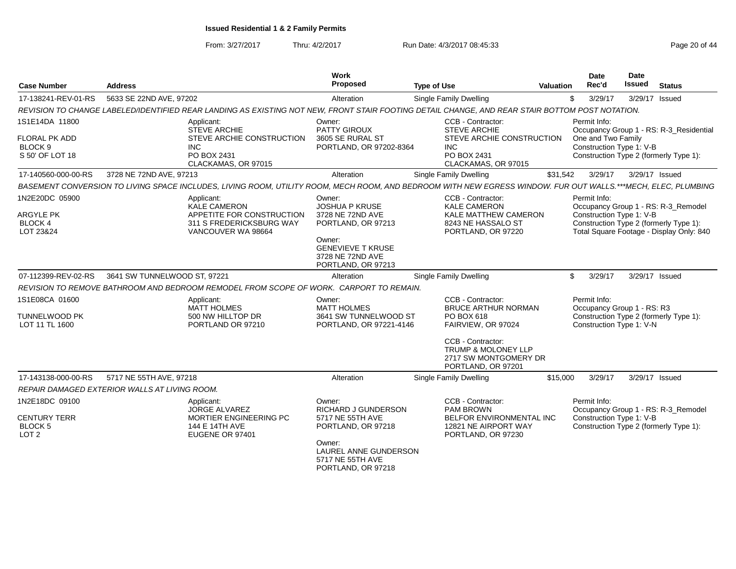From: 3/27/2017

Thru: 4/2/2017 **Run Date: 4/3/2017 08:45:33** Page 20 of 44

| <b>Case Number</b>                                                       | <b>Address</b>                                                                                                                                                | Work<br>Proposed                                                                                                                                          | <b>Type of Use</b>                                                                                                        | Valuation | Date<br>Rec'd                                                  | <b>Date</b><br><b>Issued</b> | <b>Status</b>                                                                                                             |
|--------------------------------------------------------------------------|---------------------------------------------------------------------------------------------------------------------------------------------------------------|-----------------------------------------------------------------------------------------------------------------------------------------------------------|---------------------------------------------------------------------------------------------------------------------------|-----------|----------------------------------------------------------------|------------------------------|---------------------------------------------------------------------------------------------------------------------------|
| 17-138241-REV-01-RS                                                      | 5633 SE 22ND AVE, 97202                                                                                                                                       | Alteration                                                                                                                                                | <b>Single Family Dwelling</b>                                                                                             | \$        | 3/29/17                                                        | 3/29/17 Issued               |                                                                                                                           |
|                                                                          | REVISION TO CHANGE LABELED/IDENTIFIED REAR LANDING AS EXISTING NOT NEW, FRONT STAIR FOOTING DETAIL CHANGE, AND REAR STAIR BOTTOM POST NOTATION.               |                                                                                                                                                           |                                                                                                                           |           |                                                                |                              |                                                                                                                           |
| 1S1E14DA 11800<br>FLORAL PK ADD<br>BLOCK <sub>9</sub><br>S 50' OF LOT 18 | Applicant:<br><b>STEVE ARCHIE</b><br>STEVE ARCHIE CONSTRUCTION<br><b>INC</b><br>PO BOX 2431<br>CLACKAMAS, OR 97015                                            | Owner:<br>PATTY GIROUX<br>3605 SE RURAL ST<br>PORTLAND, OR 97202-8364                                                                                     | CCB - Contractor:<br><b>STEVE ARCHIE</b><br>STEVE ARCHIE CONSTRUCTION<br><b>INC</b><br>PO BOX 2431<br>CLACKAMAS, OR 97015 |           | Permit Info:<br>One and Two Family<br>Construction Type 1: V-B |                              | Occupancy Group 1 - RS: R-3_Residential<br>Construction Type 2 (formerly Type 1):                                         |
| 17-140560-000-00-RS                                                      | 3728 NE 72ND AVE, 97213                                                                                                                                       | Alteration                                                                                                                                                | <b>Single Family Dwelling</b>                                                                                             | \$31,542  | 3/29/17                                                        |                              | 3/29/17 Issued                                                                                                            |
|                                                                          | BASEMENT CONVERSION TO LIVING SPACE INCLUDES, LIVING ROOM, UTILITY ROOM, MECH ROOM, AND BEDROOM WITH NEW EGRESS WINDOW. FUR OUT WALLS.***MECH, ELEC, PLUMBING |                                                                                                                                                           |                                                                                                                           |           |                                                                |                              |                                                                                                                           |
| 1N2E20DC 05900<br><b>ARGYLE PK</b><br><b>BLOCK 4</b><br>LOT 23&24        | Applicant:<br><b>KALE CAMERON</b><br>APPETITE FOR CONSTRUCTION<br>311 S FREDERICKSBURG WAY<br>VANCOUVER WA 98664                                              | Owner:<br><b>JOSHUA P KRUSE</b><br>3728 NE 72ND AVE<br>PORTLAND, OR 97213<br>Owner:<br><b>GENEVIEVE T KRUSE</b><br>3728 NE 72ND AVE<br>PORTLAND, OR 97213 | CCB - Contractor:<br><b>KALE CAMERON</b><br>KALE MATTHEW CAMERON<br>8243 NE HASSALO ST<br>PORTLAND, OR 97220              |           | Permit Info:<br>Construction Type 1: V-B                       |                              | Occupancy Group 1 - RS: R-3 Remodel<br>Construction Type 2 (formerly Type 1):<br>Total Square Footage - Display Only: 840 |
| 07-112399-REV-02-RS                                                      | 3641 SW TUNNELWOOD ST, 97221                                                                                                                                  | Alteration                                                                                                                                                | Single Family Dwelling                                                                                                    | \$        | 3/29/17                                                        |                              | 3/29/17 Issued                                                                                                            |
|                                                                          | REVISION TO REMOVE BATHROOM AND BEDROOM REMODEL FROM SCOPE OF WORK. CARPORT TO REMAIN.                                                                        |                                                                                                                                                           |                                                                                                                           |           |                                                                |                              |                                                                                                                           |
| 1S1E08CA 01600                                                           | Applicant:                                                                                                                                                    | Owner:                                                                                                                                                    | CCB - Contractor:                                                                                                         |           | Permit Info:                                                   |                              |                                                                                                                           |
| <b>TUNNELWOOD PK</b><br>LOT 11 TL 1600                                   | <b>MATT HOLMES</b><br>500 NW HILLTOP DR<br>PORTLAND OR 97210                                                                                                  | <b>MATT HOLMES</b><br>3641 SW TUNNELWOOD ST<br>PORTLAND, OR 97221-4146                                                                                    | <b>BRUCE ARTHUR NORMAN</b><br>PO BOX 618<br>FAIRVIEW, OR 97024                                                            |           | Occupancy Group 1 - RS: R3<br>Construction Type 1: V-N         |                              | Construction Type 2 (formerly Type 1):                                                                                    |
|                                                                          |                                                                                                                                                               |                                                                                                                                                           | CCB - Contractor:<br><b>TRUMP &amp; MOLONEY LLP</b><br>2717 SW MONTGOMERY DR<br>PORTLAND, OR 97201                        |           |                                                                |                              |                                                                                                                           |
| 17-143138-000-00-RS                                                      | 5717 NE 55TH AVE, 97218                                                                                                                                       | Alteration                                                                                                                                                | <b>Single Family Dwelling</b>                                                                                             | \$15,000  | 3/29/17                                                        |                              | 3/29/17 Issued                                                                                                            |
|                                                                          | REPAIR DAMAGED EXTERIOR WALLS AT LIVING ROOM.                                                                                                                 |                                                                                                                                                           |                                                                                                                           |           |                                                                |                              |                                                                                                                           |
| 1N2E18DC 09100                                                           | Applicant:                                                                                                                                                    | Owner:                                                                                                                                                    | CCB - Contractor:                                                                                                         |           | Permit Info:                                                   |                              |                                                                                                                           |
| <b>CENTURY TERR</b><br><b>BLOCK 5</b><br>LOT <sub>2</sub>                | <b>JORGE ALVAREZ</b><br>MORTIER ENGINEERING PC<br>144 E 14TH AVE<br>EUGENE OR 97401                                                                           | RICHARD J GUNDERSON<br>5717 NE 55TH AVE<br>PORTLAND, OR 97218<br>Owner:<br>LAUREL ANNE GUNDERSON<br>5717 NE 55TH AVE<br>PORTLAND, OR 97218                | PAM BROWN<br>BELFOR ENVIRONMENTAL INC<br>12821 NE AIRPORT WAY<br>PORTLAND, OR 97230                                       |           | Construction Type 1: V-B                                       |                              | Occupancy Group 1 - RS: R-3_Remodel<br>Construction Type 2 (formerly Type 1):                                             |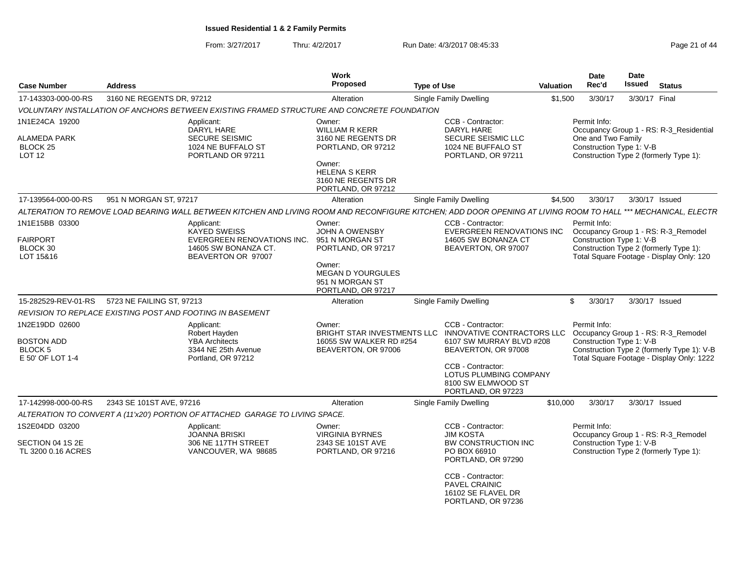From: 3/27/2017Thru: 4/2/2017 **Run Date: 4/3/2017 08:45:33** Page 21 of 44

| <b>Case Number</b>                                                        | <b>Address</b>            |                                                                                                                                                                | <b>Work</b><br><b>Proposed</b>                                                                                                                            | <b>Type of Use</b> |                                                                                                                                                                                               | <b>Valuation</b> | Date<br>Rec'd                                                  | Date<br><b>Issued</b> | <b>Status</b>                                                                                                                  |
|---------------------------------------------------------------------------|---------------------------|----------------------------------------------------------------------------------------------------------------------------------------------------------------|-----------------------------------------------------------------------------------------------------------------------------------------------------------|--------------------|-----------------------------------------------------------------------------------------------------------------------------------------------------------------------------------------------|------------------|----------------------------------------------------------------|-----------------------|--------------------------------------------------------------------------------------------------------------------------------|
| 17-143303-000-00-RS                                                       | 3160 NE REGENTS DR, 97212 |                                                                                                                                                                | Alteration                                                                                                                                                |                    | <b>Single Family Dwelling</b>                                                                                                                                                                 | \$1,500          | 3/30/17                                                        | 3/30/17 Final         |                                                                                                                                |
|                                                                           |                           | VOLUNTARY INSTALLATION OF ANCHORS BETWEEN EXISTING FRAMED STRUCTURE AND CONCRETE FOUNDATION                                                                    |                                                                                                                                                           |                    |                                                                                                                                                                                               |                  |                                                                |                       |                                                                                                                                |
| 1N1E24CA 19200<br>ALAMEDA PARK<br><b>BLOCK 25</b><br><b>LOT 12</b>        |                           | Applicant:<br>DARYL HARE<br><b>SECURE SEISMIC</b><br>1024 NE BUFFALO ST<br>PORTLAND OR 97211                                                                   | Owner:<br><b>WILLIAM R KERR</b><br>3160 NE REGENTS DR<br>PORTLAND, OR 97212<br>Owner:<br><b>HELENA S KERR</b><br>3160 NE REGENTS DR<br>PORTLAND, OR 97212 |                    | CCB - Contractor:<br>DARYL HARE<br>SECURE SEISMIC LLC<br>1024 NE BUFFALO ST<br>PORTLAND, OR 97211                                                                                             |                  | Permit Info:<br>One and Two Family<br>Construction Type 1: V-B |                       | Occupancy Group 1 - RS: R-3_Residential<br>Construction Type 2 (formerly Type 1):                                              |
| 17-139564-000-00-RS                                                       | 951 N MORGAN ST, 97217    |                                                                                                                                                                | Alteration                                                                                                                                                |                    | <b>Single Family Dwelling</b>                                                                                                                                                                 | \$4,500          | 3/30/17                                                        |                       | 3/30/17 Issued                                                                                                                 |
|                                                                           |                           | ALTERATION TO REMOVE LOAD BEARING WALL BETWEEN KITCHEN AND LIVING ROOM AND RECONFIGURE KITCHEN; ADD DOOR OPENING AT LIVING ROOM TO HALL *** MECHANICAL, ELECTR |                                                                                                                                                           |                    |                                                                                                                                                                                               |                  |                                                                |                       |                                                                                                                                |
| 1N1E15BB 03300<br><b>FAIRPORT</b><br>BLOCK 30<br>LOT 15&16                |                           | Applicant:<br><b>KAYED SWEISS</b><br>EVERGREEN RENOVATIONS INC.<br>14605 SW BONANZA CT.<br>BEAVERTON OR 97007                                                  | Owner:<br><b>JOHN A OWENSBY</b><br>951 N MORGAN ST<br>PORTLAND, OR 97217<br>Owner:<br><b>MEGAN D YOURGULES</b><br>951 N MORGAN ST<br>PORTLAND, OR 97217   |                    | CCB - Contractor:<br><b>EVERGREEN RENOVATIONS INC</b><br>14605 SW BONANZA CT<br>BEAVERTON, OR 97007                                                                                           |                  | Permit Info:<br>Construction Type 1: V-B                       |                       | Occupancy Group 1 - RS: R-3_Remodel<br>Construction Type 2 (formerly Type 1):<br>Total Square Footage - Display Only: 120      |
| 15-282529-REV-01-RS                                                       | 5723 NE FAILING ST, 97213 |                                                                                                                                                                | Alteration                                                                                                                                                |                    | <b>Single Family Dwelling</b>                                                                                                                                                                 |                  | \$<br>3/30/17                                                  |                       | 3/30/17 Issued                                                                                                                 |
|                                                                           |                           | REVISION TO REPLACE EXISTING POST AND FOOTING IN BASEMENT                                                                                                      |                                                                                                                                                           |                    |                                                                                                                                                                                               |                  |                                                                |                       |                                                                                                                                |
| 1N2E19DD 02600<br><b>BOSTON ADD</b><br><b>BLOCK 5</b><br>E 50' OF LOT 1-4 |                           | Applicant:<br>Robert Hayden<br><b>YBA Architects</b><br>3344 NE 25th Avenue<br>Portland, OR 97212                                                              | Owner:<br>BRIGHT STAR INVESTMENTS LLC<br>16055 SW WALKER RD #254<br>BEAVERTON, OR 97006                                                                   |                    | CCB - Contractor:<br>INNOVATIVE CONTRACTORS LLC<br>6107 SW MURRAY BLVD #208<br>BEAVERTON, OR 97008<br>CCB - Contractor:<br>LOTUS PLUMBING COMPANY<br>8100 SW ELMWOOD ST<br>PORTLAND, OR 97223 |                  | Permit Info:<br>Construction Type 1: V-B                       |                       | Occupancy Group 1 - RS: R-3_Remodel<br>Construction Type 2 (formerly Type 1): V-B<br>Total Square Footage - Display Only: 1222 |
| 17-142998-000-00-RS                                                       | 2343 SE 101ST AVE, 97216  |                                                                                                                                                                | Alteration                                                                                                                                                |                    | <b>Single Family Dwelling</b>                                                                                                                                                                 | \$10,000         | 3/30/17                                                        |                       | 3/30/17 Issued                                                                                                                 |
|                                                                           |                           | ALTERATION TO CONVERT A (11'x20') PORTION OF ATTACHED GARAGE TO LIVING SPACE.                                                                                  |                                                                                                                                                           |                    |                                                                                                                                                                                               |                  |                                                                |                       |                                                                                                                                |
| 1S2E04DD 03200                                                            |                           | Applicant:<br><b>JOANNA BRISKI</b>                                                                                                                             | Owner:<br><b>VIRGINIA BYRNES</b>                                                                                                                          |                    | CCB - Contractor:<br><b>JIM KOSTA</b>                                                                                                                                                         |                  | Permit Info:                                                   |                       | Occupancy Group 1 - RS: R-3_Remodel                                                                                            |
| SECTION 04 1S 2E<br>TL 3200 0.16 ACRES                                    |                           | 306 NE 117TH STREET<br>VANCOUVER, WA 98685                                                                                                                     | 2343 SE 101ST AVE<br>PORTLAND, OR 97216                                                                                                                   |                    | <b>BW CONSTRUCTION INC</b><br>PO BOX 66910<br>PORTLAND, OR 97290<br>CCB - Contractor:<br>PAVEL CRAINIC<br>16102 SE FLAVEL DR<br>PORTLAND, OR 97236                                            |                  | Construction Type 1: V-B                                       |                       | Construction Type 2 (formerly Type 1):                                                                                         |
|                                                                           |                           |                                                                                                                                                                |                                                                                                                                                           |                    |                                                                                                                                                                                               |                  |                                                                |                       |                                                                                                                                |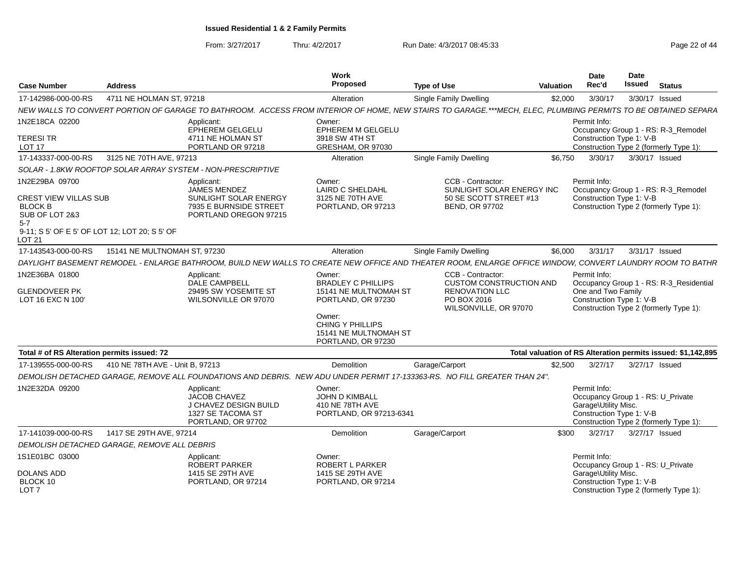From: 3/27/2017Thru: 4/2/2017 **Run Date: 4/3/2017 08:45:33** Page 22 of 44

| <b>Case Number</b>                                          | Work<br><b>Proposed</b><br><b>Address</b><br><b>Type of Use</b> |                                                                                                       | Valuation                                                                          | Date<br>Rec'd                                                                                                                                                | <b>Date</b><br>Issued | <b>Status</b>                                                                                         |                |                                                                                   |
|-------------------------------------------------------------|-----------------------------------------------------------------|-------------------------------------------------------------------------------------------------------|------------------------------------------------------------------------------------|--------------------------------------------------------------------------------------------------------------------------------------------------------------|-----------------------|-------------------------------------------------------------------------------------------------------|----------------|-----------------------------------------------------------------------------------|
| 17-142986-000-00-RS                                         | 4711 NE HOLMAN ST, 97218                                        |                                                                                                       | Alteration                                                                         | <b>Single Family Dwelling</b>                                                                                                                                | \$2,000               | 3/30/17                                                                                               | 3/30/17 Issued |                                                                                   |
|                                                             |                                                                 |                                                                                                       |                                                                                    | NEW WALLS TO CONVERT PORTION OF GARAGE TO BATHROOM. ACCESS FROM INTERIOR OF HOME, NEW STAIRS TO GARAGE.***MECH, ELEC, PLUMBING PERMITS TO BE OBTAINED SEPARA |                       |                                                                                                       |                |                                                                                   |
| 1N2E18CA 02200                                              |                                                                 | Applicant:<br>EPHEREM GELGELU                                                                         | Owner:<br><b>EPHEREM M GELGELU</b>                                                 |                                                                                                                                                              |                       | Permit Info:                                                                                          |                | Occupancy Group 1 - RS: R-3_Remodel                                               |
| TERESI TR                                                   |                                                                 | 4711 NE HOLMAN ST                                                                                     | 3918 SW 4TH ST                                                                     |                                                                                                                                                              |                       | Construction Type 1: V-B                                                                              |                |                                                                                   |
| LOT 17                                                      |                                                                 | PORTLAND OR 97218                                                                                     | GRESHAM, OR 97030                                                                  |                                                                                                                                                              |                       |                                                                                                       |                | Construction Type 2 (formerly Type 1):                                            |
| 17-143337-000-00-RS                                         | 3125 NE 70TH AVE, 97213                                         |                                                                                                       | Alteration                                                                         | <b>Single Family Dwelling</b>                                                                                                                                | \$6,750               | 3/30/17                                                                                               | 3/30/17 Issued |                                                                                   |
|                                                             |                                                                 | SOLAR - 1.8KW ROOFTOP SOLAR ARRAY SYSTEM - NON-PRESCRIPTIVE                                           |                                                                                    |                                                                                                                                                              |                       |                                                                                                       |                |                                                                                   |
| 1N2E29BA 09700<br><b>CREST VIEW VILLAS SUB</b>              |                                                                 | Applicant:<br><b>JAMES MENDEZ</b><br>SUNLIGHT SOLAR ENERGY                                            | Owner:<br>LAIRD C SHELDAHL<br>3125 NE 70TH AVE                                     | CCB - Contractor:<br>SUNLIGHT SOLAR ENERGY INC<br>50 SE SCOTT STREET #13                                                                                     |                       | Permit Info:<br>Construction Type 1: V-B                                                              |                | Occupancy Group 1 - RS: R-3_Remodel                                               |
| <b>BLOCK B</b><br>SUB OF LOT 2&3<br>$5 - 7$                 |                                                                 | 7935 E BURNSIDE STREET<br>PORTLAND OREGON 97215                                                       | PORTLAND, OR 97213                                                                 | BEND, OR 97702                                                                                                                                               |                       |                                                                                                       |                | Construction Type 2 (formerly Type 1):                                            |
| 9-11; S 5' OF E 5' OF LOT 12; LOT 20; S 5' OF<br>LOT 21     |                                                                 |                                                                                                       |                                                                                    |                                                                                                                                                              |                       |                                                                                                       |                |                                                                                   |
| 17-143543-000-00-RS                                         | 15141 NE MULTNOMAH ST, 97230                                    |                                                                                                       | Alteration                                                                         | <b>Single Family Dwelling</b>                                                                                                                                | \$6,000               | 3/31/17                                                                                               | 3/31/17 Issued |                                                                                   |
|                                                             |                                                                 |                                                                                                       |                                                                                    | DAYLIGHT BASEMENT REMODEL - ENLARGE BATHROOM, BUILD NEW WALLS TO CREATE NEW OFFICE AND THEATER ROOM, ENLARGE OFFICE WINDOW, CONVERT LAUNDRY ROOM TO BATHR    |                       |                                                                                                       |                |                                                                                   |
| 1N2E36BA 01800<br><b>GLENDOVEER PK</b><br>LOT 16 EXC N 100' |                                                                 | Applicant:<br>DALE CAMPBELL<br>29495 SW YOSEMITE ST<br>WILSONVILLE OR 97070                           | Owner:<br><b>BRADLEY C PHILLIPS</b><br>15141 NE MULTNOMAH ST<br>PORTLAND, OR 97230 | CCB - Contractor:<br><b>CUSTOM CONSTRUCTION AND</b><br><b>RENOVATION LLC</b><br>PO BOX 2016<br>WILSONVILLE, OR 97070                                         |                       | Permit Info:<br>One and Two Family<br>Construction Type 1: V-B                                        |                | Occupancy Group 1 - RS: R-3_Residential<br>Construction Type 2 (formerly Type 1): |
|                                                             |                                                                 |                                                                                                       | Owner:<br><b>CHING Y PHILLIPS</b><br>15141 NE MULTNOMAH ST<br>PORTLAND, OR 97230   |                                                                                                                                                              |                       |                                                                                                       |                |                                                                                   |
| Total # of RS Alteration permits issued: 72                 |                                                                 |                                                                                                       |                                                                                    |                                                                                                                                                              |                       |                                                                                                       |                | Total valuation of RS Alteration permits issued: \$1,142,895                      |
| 17-139555-000-00-RS                                         | 410 NE 78TH AVE - Unit B, 97213                                 |                                                                                                       | Demolition                                                                         | Garage/Carport                                                                                                                                               | \$2,500               | 3/27/17                                                                                               | 3/27/17 Issued |                                                                                   |
|                                                             |                                                                 |                                                                                                       |                                                                                    | DEMOLISH DETACHED GARAGE, REMOVE ALL FOUNDATIONS AND DEBRIS. NEW ADU UNDER PERMIT 17-133363-RS. NO FILL GREATER THAN 24".                                    |                       |                                                                                                       |                |                                                                                   |
| 1N2E32DA 09200                                              |                                                                 | Applicant:<br><b>JACOB CHAVEZ</b><br>J CHAVEZ DESIGN BUILD<br>1327 SE TACOMA ST<br>PORTLAND, OR 97702 | Owner:<br><b>JOHN D KIMBALL</b><br>410 NE 78TH AVE<br>PORTLAND, OR 97213-6341      |                                                                                                                                                              |                       | Permit Info:<br>Occupancy Group 1 - RS: U Private<br>Garage\Utility Misc.<br>Construction Type 1: V-B |                | Construction Type 2 (formerly Type 1):                                            |
| 17-141039-000-00-RS                                         | 1417 SE 29TH AVE, 97214                                         |                                                                                                       | Demolition                                                                         | Garage/Carport                                                                                                                                               | \$300                 | 3/27/17                                                                                               | 3/27/17 Issued |                                                                                   |
|                                                             | DEMOLISH DETACHED GARAGE, REMOVE ALL DEBRIS                     |                                                                                                       |                                                                                    |                                                                                                                                                              |                       |                                                                                                       |                |                                                                                   |
| 1S1E01BC 03000                                              |                                                                 | Applicant:<br><b>ROBERT PARKER</b>                                                                    | Owner:<br><b>ROBERT L PARKER</b>                                                   |                                                                                                                                                              |                       | Permit Info:<br>Occupancy Group 1 - RS: U_Private                                                     |                |                                                                                   |
| <b>DOLANS ADD</b><br>BLOCK 10<br>LOT <sub>7</sub>           |                                                                 | 1415 SE 29TH AVE<br>PORTLAND, OR 97214                                                                | 1415 SE 29TH AVE<br>PORTLAND, OR 97214                                             |                                                                                                                                                              |                       | Garage\Utility Misc.<br>Construction Type 1: V-B                                                      |                | Construction Type 2 (formerly Type 1):                                            |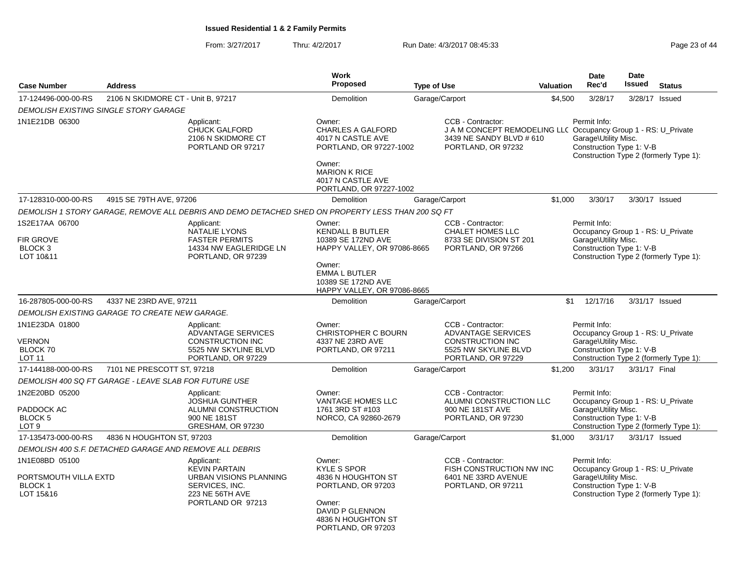From: 3/27/2017Thru: 4/2/2017 **Run Date: 4/3/2017 08:45:33** Page 23 of 44

| <b>Case Number</b>                                                    | <b>Address</b>                                          |                                                                                                                               | <b>Work</b><br>Proposed                                                                                                                                                       | <b>Type of Use</b>                                                                                                                    | Valuation | <b>Date</b><br>Rec'd                                                                                                                            | <b>Date</b><br><b>Issued</b> | <b>Status</b> |
|-----------------------------------------------------------------------|---------------------------------------------------------|-------------------------------------------------------------------------------------------------------------------------------|-------------------------------------------------------------------------------------------------------------------------------------------------------------------------------|---------------------------------------------------------------------------------------------------------------------------------------|-----------|-------------------------------------------------------------------------------------------------------------------------------------------------|------------------------------|---------------|
| 17-124496-000-00-RS                                                   | 2106 N SKIDMORE CT - Unit B, 97217                      |                                                                                                                               | Demolition                                                                                                                                                                    | Garage/Carport                                                                                                                        | \$4,500   | 3/28/17                                                                                                                                         | 3/28/17 Issued               |               |
|                                                                       | DEMOLISH EXISTING SINGLE STORY GARAGE                   |                                                                                                                               |                                                                                                                                                                               |                                                                                                                                       |           |                                                                                                                                                 |                              |               |
| 1N1E21DB 06300                                                        |                                                         | Applicant:<br><b>CHUCK GALFORD</b><br>2106 N SKIDMORE CT<br>PORTLAND OR 97217                                                 | Owner:<br><b>CHARLES A GALFORD</b><br>4017 N CASTLE AVE<br>PORTLAND, OR 97227-1002<br>Owner:<br><b>MARION K RICE</b><br>4017 N CASTLE AVE                                     | CCB - Contractor:<br>J A M CONCEPT REMODELING LL( Occupancy Group 1 - RS: U Private<br>3439 NE SANDY BLVD # 610<br>PORTLAND, OR 97232 |           | Permit Info:<br>Garage\Utility Misc.<br>Construction Type 1: V-B<br>Construction Type 2 (formerly Type 1):                                      |                              |               |
|                                                                       |                                                         |                                                                                                                               | PORTLAND, OR 97227-1002                                                                                                                                                       |                                                                                                                                       |           |                                                                                                                                                 |                              |               |
| 17-128310-000-00-RS                                                   | 4915 SE 79TH AVE, 97206                                 |                                                                                                                               | <b>Demolition</b>                                                                                                                                                             | Garage/Carport                                                                                                                        | \$1,000   | 3/30/17                                                                                                                                         | 3/30/17 Issued               |               |
|                                                                       |                                                         | DEMOLISH 1 STORY GARAGE, REMOVE ALL DEBRIS AND DEMO DETACHED SHED ON PROPERTY LESS THAN 200 SQ FT                             |                                                                                                                                                                               |                                                                                                                                       |           |                                                                                                                                                 |                              |               |
| 1S2E17AA 06700<br>FIR GROVE<br><b>BLOCK 3</b><br>LOT 10&11            |                                                         | Applicant:<br><b>NATALIE LYONS</b><br><b>FASTER PERMITS</b><br>14334 NW EAGLERIDGE LN<br>PORTLAND, OR 97239                   | Owner:<br><b>KENDALL B BUTLER</b><br>10389 SE 172ND AVE<br>HAPPY VALLEY, OR 97086-8665<br>Owner:<br><b>EMMA L BUTLER</b><br>10389 SE 172ND AVE<br>HAPPY VALLEY, OR 97086-8665 | CCB - Contractor:<br>CHALET HOMES LLC<br>8733 SE DIVISION ST 201<br>PORTLAND, OR 97266                                                |           | Permit Info:<br>Occupancy Group 1 - RS: U_Private<br>Garage\Utility Misc.<br>Construction Type 1: V-B<br>Construction Type 2 (formerly Type 1): |                              |               |
| 16-287805-000-00-RS                                                   | 4337 NE 23RD AVE, 97211                                 |                                                                                                                               | <b>Demolition</b>                                                                                                                                                             | Garage/Carport                                                                                                                        |           | 12/17/16<br>\$1                                                                                                                                 | 3/31/17 Issued               |               |
|                                                                       | DEMOLISH EXISTING GARAGE TO CREATE NEW GARAGE.          |                                                                                                                               |                                                                                                                                                                               |                                                                                                                                       |           |                                                                                                                                                 |                              |               |
| 1N1E23DA 01800<br>VERNON<br>BLOCK 70<br><b>LOT 11</b>                 |                                                         | Applicant:<br>ADVANTAGE SERVICES<br><b>CONSTRUCTION INC</b><br>5525 NW SKYLINE BLVD<br>PORTLAND, OR 97229                     | Owner:<br><b>CHRISTOPHER C BOURN</b><br>4337 NE 23RD AVE<br>PORTLAND, OR 97211                                                                                                | CCB - Contractor:<br>ADVANTAGE SERVICES<br><b>CONSTRUCTION INC</b><br>5525 NW SKYLINE BLVD<br>PORTLAND, OR 97229                      |           | Permit Info:<br>Occupancy Group 1 - RS: U Private<br>Garage\Utility Misc.<br>Construction Type 1: V-B<br>Construction Type 2 (formerly Type 1): |                              |               |
| 17-144188-000-00-RS                                                   | 7101 NE PRESCOTT ST. 97218                              |                                                                                                                               | Demolition                                                                                                                                                                    | Garage/Carport                                                                                                                        | \$1,200   | 3/31/17                                                                                                                                         | 3/31/17 Final                |               |
|                                                                       | DEMOLISH 400 SQ FT GARAGE - LEAVE SLAB FOR FUTURE USE   |                                                                                                                               |                                                                                                                                                                               |                                                                                                                                       |           |                                                                                                                                                 |                              |               |
| 1N2E20BD 05200<br>PADDOCK AC<br><b>BLOCK 5</b><br>LOT <sub>9</sub>    |                                                         | Applicant:<br><b>JOSHUA GUNTHER</b><br>ALUMNI CONSTRUCTION<br>900 NE 181ST<br>GRESHAM, OR 97230                               | Owner:<br>VANTAGE HOMES LLC<br>1761 3RD ST #103<br>NORCO, CA 92860-2679                                                                                                       | CCB - Contractor:<br>ALUMNI CONSTRUCTION LLC<br>900 NE 181ST AVE<br>PORTLAND, OR 97230                                                |           | Permit Info:<br>Occupancy Group 1 - RS: U Private<br>Garage\Utility Misc.<br>Construction Type 1: V-B<br>Construction Type 2 (formerly Type 1): |                              |               |
| 17-135473-000-00-RS                                                   | 4836 N HOUGHTON ST, 97203                               |                                                                                                                               | Demolition                                                                                                                                                                    | Garage/Carport                                                                                                                        | \$1,000   | 3/31/17                                                                                                                                         | 3/31/17 Issued               |               |
|                                                                       | DEMOLISH 400 S.F. DETACHED GARAGE AND REMOVE ALL DEBRIS |                                                                                                                               |                                                                                                                                                                               |                                                                                                                                       |           |                                                                                                                                                 |                              |               |
| 1N1E08BD 05100<br>PORTSMOUTH VILLA EXTD<br><b>BLOCK1</b><br>LOT 15&16 |                                                         | Applicant:<br><b>KEVIN PARTAIN</b><br><b>URBAN VISIONS PLANNING</b><br>SERVICES, INC.<br>223 NE 56TH AVE<br>PORTLAND OR 97213 | Owner:<br><b>KYLE S SPOR</b><br>4836 N HOUGHTON ST<br>PORTLAND, OR 97203<br>Owner:<br><b>DAVID P GLENNON</b><br>4836 N HOUGHTON ST<br>PORTLAND, OR 97203                      | CCB - Contractor:<br>FISH CONSTRUCTION NW INC<br>6401 NE 33RD AVENUE<br>PORTLAND, OR 97211                                            |           | Permit Info:<br>Occupancy Group 1 - RS: U Private<br>Garage\Utility Misc.<br>Construction Type 1: V-B<br>Construction Type 2 (formerly Type 1): |                              |               |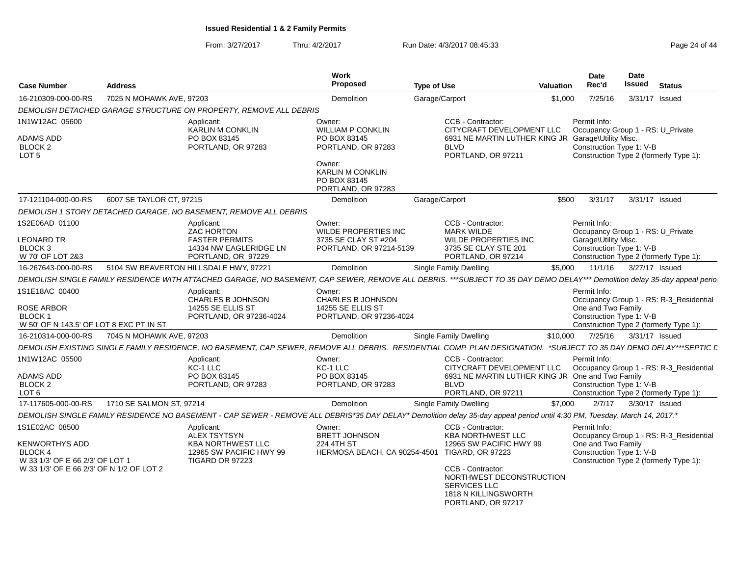From: 3/27/2017Thru: 4/2/2017 **Run Date: 4/3/2017 08:45:33** Page 24 of 44

| <b>Case Number</b>                                                     | <b>Address</b>           |                                                                                                                                                                           | Work<br><b>Proposed</b>                                       | <b>Type of Use</b> |                                                                                                                    | Valuation | <b>Date</b><br>Rec'd                                                                     | <b>Date</b><br><b>Issued</b> | <b>Status</b>                           |
|------------------------------------------------------------------------|--------------------------|---------------------------------------------------------------------------------------------------------------------------------------------------------------------------|---------------------------------------------------------------|--------------------|--------------------------------------------------------------------------------------------------------------------|-----------|------------------------------------------------------------------------------------------|------------------------------|-----------------------------------------|
| 16-210309-000-00-RS                                                    | 7025 N MOHAWK AVE, 97203 |                                                                                                                                                                           | Demolition                                                    | Garage/Carport     |                                                                                                                    | \$1.000   | 7/25/16                                                                                  | 3/31/17 Issued               |                                         |
|                                                                        |                          | DEMOLISH DETACHED GARAGE STRUCTURE ON PROPERTY, REMOVE ALL DEBRIS                                                                                                         |                                                               |                    |                                                                                                                    |           |                                                                                          |                              |                                         |
| 1N1W12AC 05600<br><b>ADAMS ADD</b>                                     |                          | Applicant:<br><b>KARLIN M CONKLIN</b><br>PO BOX 83145                                                                                                                     | Owner:<br><b>WILLIAM P CONKLIN</b><br>PO BOX 83145            |                    | CCB - Contractor:<br>CITYCRAFT DEVELOPMENT LLC                                                                     |           | Permit Info:<br>Occupancy Group 1 - RS: U_Private                                        |                              |                                         |
| BLOCK <sub>2</sub><br>LOT <sub>5</sub>                                 |                          | PORTLAND, OR 97283                                                                                                                                                        | PORTLAND, OR 97283<br>Owner:                                  |                    | 6931 NE MARTIN LUTHER KING JR Garage\Utility Misc.<br><b>BLVD</b><br>PORTLAND, OR 97211                            |           | Construction Type 1: V-B<br>Construction Type 2 (formerly Type 1):                       |                              |                                         |
|                                                                        |                          |                                                                                                                                                                           | <b>KARLIN M CONKLIN</b><br>PO BOX 83145<br>PORTLAND, OR 97283 |                    |                                                                                                                    |           |                                                                                          |                              |                                         |
| 17-121104-000-00-RS                                                    | 6007 SE TAYLOR CT, 97215 |                                                                                                                                                                           | Demolition                                                    | Garage/Carport     |                                                                                                                    | \$500     | 3/31/17                                                                                  | 3/31/17 Issued               |                                         |
|                                                                        |                          | DEMOLISH 1 STORY DETACHED GARAGE, NO BASEMENT, REMOVE ALL DEBRIS                                                                                                          |                                                               |                    |                                                                                                                    |           |                                                                                          |                              |                                         |
| 1S2E06AD 01100<br><b>LEONARD TR</b>                                    |                          | Applicant:<br><b>ZAC HORTON</b><br><b>FASTER PERMITS</b>                                                                                                                  | Owner:<br><b>WILDE PROPERTIES INC</b><br>3735 SE CLAY ST #204 |                    | CCB - Contractor:<br><b>MARK WILDE</b><br><b>WILDE PROPERTIES INC</b>                                              |           | Permit Info:<br>Occupancy Group 1 - RS: U_Private<br>Garage\Utility Misc.                |                              |                                         |
| BLOCK <sub>3</sub><br>W 70' OF LOT 2&3                                 |                          | 14334 NW EAGLERIDGE LN<br>PORTLAND, OR 97229                                                                                                                              | PORTLAND, OR 97214-5139                                       |                    | 3735 SE CLAY STE 201<br>PORTLAND, OR 97214                                                                         |           | Construction Type 1: V-B<br>Construction Type 2 (formerly Type 1):                       |                              |                                         |
| 16-267643-000-00-RS                                                    |                          | 5104 SW BEAVERTON HILLSDALE HWY, 97221                                                                                                                                    | <b>Demolition</b>                                             |                    | <b>Single Family Dwelling</b>                                                                                      | \$5,000   | 11/1/16                                                                                  | 3/27/17 Issued               |                                         |
|                                                                        |                          | DEMOLISH SINGLE FAMILY RESIDENCE WITH ATTACHED GARAGE, NO BASEMENT, CAP SEWER, REMOVE ALL DEBRIS. ***SUBJECT TO 35 DAY DEMO DELAY*** Demolition delay 35-day appeal perio |                                                               |                    |                                                                                                                    |           |                                                                                          |                              |                                         |
| 1S1E18AC 00400                                                         |                          | Applicant:<br>CHARLES B JOHNSON                                                                                                                                           | Owner:<br>CHARLES B JOHNSON                                   |                    |                                                                                                                    |           | Permit Info:                                                                             |                              | Occupancy Group 1 - RS: R-3_Residential |
| ROSE ARBOR<br><b>BLOCK1</b><br>W 50' OF N 143.5' OF LOT 8 EXC PT IN ST |                          | 14255 SE ELLIS ST<br>PORTLAND, OR 97236-4024                                                                                                                              | 14255 SE ELLIS ST<br>PORTLAND, OR 97236-4024                  |                    |                                                                                                                    |           | One and Two Family<br>Construction Type 1: V-B<br>Construction Type 2 (formerly Type 1): |                              |                                         |
| 16-210314-000-00-RS                                                    | 7045 N MOHAWK AVE, 97203 |                                                                                                                                                                           | Demolition                                                    |                    | <b>Single Family Dwelling</b>                                                                                      | \$10,000  | 7/25/16                                                                                  | 3/31/17 Issued               |                                         |
|                                                                        |                          | DEMOLISH EXISTING SINGLE FAMILY RESIDENCE, NO BASEMENT, CAP SEWER, REMOVE ALL DEBRIS. RESIDENTIAL COMP. PLAN DESIGNATION. *SUBJECT TO 35 DAY DEMO DELAY***SEPTIC L        |                                                               |                    |                                                                                                                    |           |                                                                                          |                              |                                         |
| 1N1W12AC 05500                                                         |                          | Applicant:<br>KC-1 LLC                                                                                                                                                    | Owner:<br>KC-1 LLC                                            |                    | CCB - Contractor:<br>CITYCRAFT DEVELOPMENT LLC                                                                     |           | Permit Info:                                                                             |                              | Occupancy Group 1 - RS: R-3_Residential |
| ADAMS ADD<br>BLOCK <sub>2</sub><br>LOT 6                               |                          | PO BOX 83145<br>PORTLAND, OR 97283                                                                                                                                        | PO BOX 83145<br>PORTLAND, OR 97283                            |                    | 6931 NE MARTIN LUTHER KING JR One and Two Family<br><b>BLVD</b><br>PORTLAND, OR 97211                              |           | Construction Type 1: V-B<br>Construction Type 2 (formerly Type 1):                       |                              |                                         |
| 17-117605-000-00-RS                                                    | 1710 SE SALMON ST, 97214 |                                                                                                                                                                           | <b>Demolition</b>                                             |                    | <b>Single Family Dwelling</b>                                                                                      | \$7,000   | 2/7/17                                                                                   | 3/30/17 Issued               |                                         |
|                                                                        |                          | DEMOLISH SINGLE FAMILY RESIDENCE NO BASEMENT - CAP SEWER - REMOVE ALL DEBRIS*35 DAY DELAY* Demolition delay 35-day appeal period until 4:30 PM, Tuesday, March 14, 2017.* |                                                               |                    |                                                                                                                    |           |                                                                                          |                              |                                         |
| 1S1E02AC 08500                                                         |                          | Applicant:<br><b>ALEX TSYTSYN</b>                                                                                                                                         | Owner:<br><b>BRETT JOHNSON</b>                                |                    | CCB - Contractor:<br><b>KBA NORTHWEST LLC</b>                                                                      |           | Permit Info:                                                                             |                              | Occupancy Group 1 - RS: R-3_Residential |
| KENWORTHYS ADD<br><b>BLOCK4</b><br>W 33 1/3' OF E 66 2/3' OF LOT 1     |                          | <b>KBA NORTHWEST LLC</b><br>12965 SW PACIFIC HWY 99<br><b>TIGARD OR 97223</b>                                                                                             | 224 4TH ST<br>HERMOSA BEACH, CA 90254-4501 TIGARD, OR 97223   |                    | 12965 SW PACIFIC HWY 99                                                                                            |           | One and Two Family<br>Construction Type 1: V-B<br>Construction Type 2 (formerly Type 1): |                              |                                         |
| W 33 1/3' OF E 66 2/3' OF N 1/2 OF LOT 2                               |                          |                                                                                                                                                                           |                                                               |                    | CCB - Contractor:<br>NORTHWEST DECONSTRUCTION<br>SERVICES LLC<br><b>1818 N KILLINGSWORTH</b><br>PORTLAND, OR 97217 |           |                                                                                          |                              |                                         |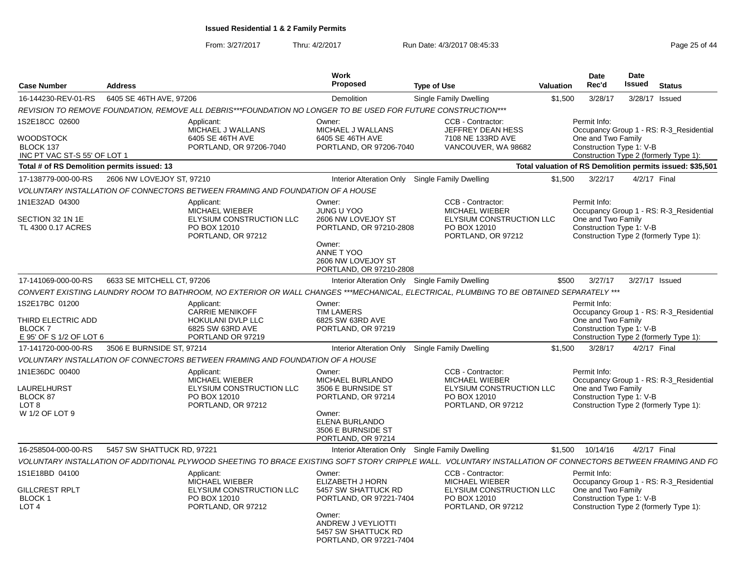From: 3/27/2017

Thru: 4/2/2017 **Run Date: 4/3/2017 08:45:33** Page 25 of 44

| <b>Case Number</b>                                                               | <b>Address</b>             |                                                                                                               | <b>Work</b><br><b>Proposed</b>                                                                                                                                 | <b>Type of Use</b>                                                                                                                                           | <b>Valuation</b> | Date<br>Rec'd                                                  | <b>Date</b><br>Issued | <b>Status</b>                                                                     |
|----------------------------------------------------------------------------------|----------------------------|---------------------------------------------------------------------------------------------------------------|----------------------------------------------------------------------------------------------------------------------------------------------------------------|--------------------------------------------------------------------------------------------------------------------------------------------------------------|------------------|----------------------------------------------------------------|-----------------------|-----------------------------------------------------------------------------------|
| 16-144230-REV-01-RS                                                              | 6405 SE 46TH AVE, 97206    |                                                                                                               | Demolition                                                                                                                                                     | Single Family Dwelling                                                                                                                                       | \$1,500          | 3/28/17                                                        | 3/28/17               | Issued                                                                            |
|                                                                                  |                            | REVISION TO REMOVE FOUNDATION, REMOVE ALL DEBRIS***FOUNDATION NO LONGER TO BE USED FOR FUTURE CONSTRUCTION*** |                                                                                                                                                                |                                                                                                                                                              |                  |                                                                |                       |                                                                                   |
| 1S2E18CC 02600<br>WOODSTOCK<br>BLOCK 137<br>INC PT VAC ST-S 55' OF LOT 1         |                            | Applicant:<br>MICHAEL J WALLANS<br>6405 SE 46TH AVE<br>PORTLAND, OR 97206-7040                                | Owner:<br>MICHAEL J WALLANS<br>6405 SE 46TH AVE<br>PORTLAND, OR 97206-7040                                                                                     | CCB - Contractor:<br>JEFFREY DEAN HESS<br>7108 NE 133RD AVE<br>VANCOUVER, WA 98682                                                                           |                  | Permit Info:<br>One and Two Family<br>Construction Type 1: V-B |                       | Occupancy Group 1 - RS: R-3 Residential<br>Construction Type 2 (formerly Type 1): |
| Total # of RS Demolition permits issued: 13                                      |                            |                                                                                                               |                                                                                                                                                                |                                                                                                                                                              |                  |                                                                |                       | Total valuation of RS Demolition permits issued: \$35,501                         |
| 17-138779-000-00-RS                                                              | 2606 NW LOVEJOY ST, 97210  |                                                                                                               | <b>Interior Alteration Only</b>                                                                                                                                | Single Family Dwelling                                                                                                                                       | \$1,500          | 3/22/17                                                        | 4/2/17 Final          |                                                                                   |
|                                                                                  |                            | VOLUNTARY INSTALLATION OF CONNECTORS BETWEEN FRAMING AND FOUNDATION OF A HOUSE                                |                                                                                                                                                                |                                                                                                                                                              |                  |                                                                |                       |                                                                                   |
| 1N1E32AD 04300<br>SECTION 32 1N 1E<br>TL 4300 0.17 ACRES                         |                            | Applicant:<br><b>MICHAEL WIEBER</b><br>ELYSIUM CONSTRUCTION LLC<br>PO BOX 12010<br>PORTLAND, OR 97212         | Owner:<br><b>JUNG U YOO</b><br>2606 NW LOVEJOY ST<br>PORTLAND, OR 97210-2808<br>Owner:<br>ANNE T YOO<br>2606 NW LOVEJOY ST<br>PORTLAND, OR 97210-2808          | CCB - Contractor:<br><b>MICHAEL WIEBER</b><br>ELYSIUM CONSTRUCTION LLC<br>PO BOX 12010<br>PORTLAND, OR 97212                                                 |                  | Permit Info:<br>One and Two Family<br>Construction Type 1: V-B |                       | Occupancy Group 1 - RS: R-3_Residential<br>Construction Type 2 (formerly Type 1): |
| 17-141069-000-00-RS                                                              | 6633 SE MITCHELL CT, 97206 |                                                                                                               | Interior Alteration Only Single Family Dwelling                                                                                                                |                                                                                                                                                              | \$500            | 3/27/17                                                        | 3/27/17 Issued        |                                                                                   |
|                                                                                  |                            |                                                                                                               |                                                                                                                                                                | CONVERT EXISTING LAUNDRY ROOM TO BATHROOM, NO EXTERIOR OR WALL CHANGES ***MECHANICAL, ELECTRICAL, PLUMBING TO BE OBTAINED SEPARATELY ***                     |                  |                                                                |                       |                                                                                   |
| 1S2E17BC 01200<br>THIRD ELECTRIC ADD<br><b>BLOCK7</b><br>E 95' OF S 1/2 OF LOT 6 |                            | Applicant:<br><b>CARRIE MENIKOFF</b><br>HOKULANI DVLP LLC<br>6825 SW 63RD AVE<br>PORTLAND OR 97219            | Owner:<br><b>TIM LAMERS</b><br>6825 SW 63RD AVE<br>PORTLAND, OR 97219                                                                                          |                                                                                                                                                              |                  | Permit Info:<br>One and Two Family<br>Construction Type 1: V-B |                       | Occupancy Group 1 - RS: R-3_Residential<br>Construction Type 2 (formerly Type 1): |
| 17-141720-000-00-RS                                                              | 3506 E BURNSIDE ST, 97214  |                                                                                                               | Interior Alteration Only                                                                                                                                       | Single Family Dwelling                                                                                                                                       | \$1,500          | 3/28/17                                                        | 4/2/17 Final          |                                                                                   |
|                                                                                  |                            | VOLUNTARY INSTALLATION OF CONNECTORS BETWEEN FRAMING AND FOUNDATION OF A HOUSE                                |                                                                                                                                                                |                                                                                                                                                              |                  |                                                                |                       |                                                                                   |
| 1N1E36DC 00400<br>LAURELHURST<br>BLOCK 87<br>LOT <sub>8</sub><br>W 1/2 OF LOT 9  |                            | Applicant:<br><b>MICHAEL WIEBER</b><br>ELYSIUM CONSTRUCTION LLC<br>PO BOX 12010<br>PORTLAND, OR 97212         | Owner:<br><b>MICHAEL BURLANDO</b><br>3506 E BURNSIDE ST<br>PORTLAND, OR 97214<br>Owner:<br>ELENA BURLANDO<br>3506 E BURNSIDE ST<br>PORTLAND, OR 97214          | CCB - Contractor:<br><b>MICHAEL WIEBER</b><br>ELYSIUM CONSTRUCTION LLC<br>PO BOX 12010<br>PORTLAND, OR 97212                                                 |                  | Permit Info:<br>One and Two Family<br>Construction Type 1: V-B |                       | Occupancy Group 1 - RS: R-3 Residential<br>Construction Type 2 (formerly Type 1): |
| 16-258504-000-00-RS                                                              | 5457 SW SHATTUCK RD, 97221 |                                                                                                               | Interior Alteration Only Single Family Dwelling                                                                                                                |                                                                                                                                                              | \$1.500          | 10/14/16                                                       | 4/2/17 Final          |                                                                                   |
|                                                                                  |                            |                                                                                                               |                                                                                                                                                                | VOLUNTARY INSTALLATION OF ADDITIONAL PLYWOOD SHEETING TO BRACE EXISTING SOFT STORY CRIPPLE WALL. VOLUNTARY INSTALLATION OF CONNECTORS BETWEEN FRAMING AND FC |                  |                                                                |                       |                                                                                   |
| 1S1E18BD 04100<br>GILLCREST RPLT<br><b>BLOCK1</b><br>LOT <sub>4</sub>            |                            | Applicant:<br>MICHAEL WIEBER<br>ELYSIUM CONSTRUCTION LLC<br>PO BOX 12010<br>PORTLAND, OR 97212                | Owner:<br>ELIZABETH J HORN<br>5457 SW SHATTUCK RD<br>PORTLAND, OR 97221-7404<br>Owner:<br>ANDREW J VEYLIOTTI<br>5457 SW SHATTUCK RD<br>PORTLAND, OR 97221-7404 | CCB - Contractor:<br>MICHAEL WIEBER<br>ELYSIUM CONSTRUCTION LLC<br>PO BOX 12010<br>PORTLAND, OR 97212                                                        |                  | Permit Info:<br>One and Two Family<br>Construction Type 1: V-B |                       | Occupancy Group 1 - RS: R-3_Residential<br>Construction Type 2 (formerly Type 1): |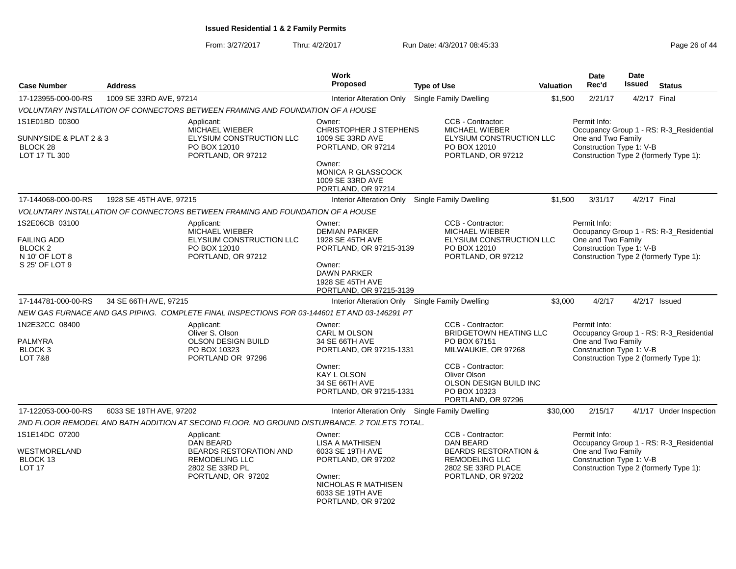From: 3/27/2017Thru: 4/2/2017 **Run Date: 4/3/2017 08:45:33** Page 26 of 44

| <b>Case Number</b>                                                    | <b>Address</b>          |                                                                                                 | <b>Work</b><br>Proposed                                                       | <b>Type of Use</b>                                                                                | <b>Valuation</b> | Date<br>Rec'd                                                                                            | <b>Date</b><br><b>Issued</b> | <b>Status</b>                           |
|-----------------------------------------------------------------------|-------------------------|-------------------------------------------------------------------------------------------------|-------------------------------------------------------------------------------|---------------------------------------------------------------------------------------------------|------------------|----------------------------------------------------------------------------------------------------------|------------------------------|-----------------------------------------|
| 17-123955-000-00-RS                                                   | 1009 SE 33RD AVE, 97214 |                                                                                                 | <b>Interior Alteration Only</b>                                               | Single Family Dwelling                                                                            | \$1,500          | 2/21/17                                                                                                  | 4/2/17 Final                 |                                         |
|                                                                       |                         | VOLUNTARY INSTALLATION OF CONNECTORS BETWEEN FRAMING AND FOUNDATION OF A HOUSE                  |                                                                               |                                                                                                   |                  |                                                                                                          |                              |                                         |
| 1S1E01BD 00300<br>SUNNYSIDE & PLAT 2 & 3                              |                         | Applicant:<br>MICHAEL WIEBER<br>ELYSIUM CONSTRUCTION LLC                                        | Owner:<br><b>CHRISTOPHER J STEPHENS</b><br>1009 SE 33RD AVE                   | CCB - Contractor:<br>MICHAEL WIEBER<br>ELYSIUM CONSTRUCTION LLC                                   |                  | Permit Info:<br>One and Two Family                                                                       |                              | Occupancy Group 1 - RS: R-3_Residential |
| BLOCK 28<br>LOT 17 TL 300                                             |                         | PO BOX 12010<br>PORTLAND, OR 97212                                                              | PORTLAND, OR 97214                                                            | PO BOX 12010<br>PORTLAND, OR 97212                                                                |                  | Construction Type 1: V-B<br>Construction Type 2 (formerly Type 1):                                       |                              |                                         |
|                                                                       |                         |                                                                                                 | Owner:<br>MONICA R GLASSCOCK<br>1009 SE 33RD AVE<br>PORTLAND, OR 97214        |                                                                                                   |                  |                                                                                                          |                              |                                         |
| 17-144068-000-00-RS                                                   | 1928 SE 45TH AVE, 97215 |                                                                                                 | Interior Alteration Only                                                      | Single Family Dwelling                                                                            | \$1,500          | 3/31/17                                                                                                  | 4/2/17 Final                 |                                         |
|                                                                       |                         | VOLUNTARY INSTALLATION OF CONNECTORS BETWEEN FRAMING AND FOUNDATION OF A HOUSE                  |                                                                               |                                                                                                   |                  |                                                                                                          |                              |                                         |
| 1S2E06CB 03100<br><b>FAILING ADD</b><br><b>BLOCK 2</b>                |                         | Applicant:<br>MICHAEL WIEBER<br>ELYSIUM CONSTRUCTION LLC<br>PO BOX 12010                        | Owner:<br><b>DEMIAN PARKER</b><br>1928 SE 45TH AVE<br>PORTLAND, OR 97215-3139 | CCB - Contractor:<br>MICHAEL WIEBER<br>ELYSIUM CONSTRUCTION LLC<br>PO BOX 12010                   |                  | Permit Info:<br>One and Two Family<br>Construction Type 1: V-B                                           |                              | Occupancy Group 1 - RS: R-3_Residential |
| N 10' OF LOT 8<br>S 25' OF LOT 9                                      |                         | PORTLAND, OR 97212                                                                              | Owner:<br><b>DAWN PARKER</b><br>1928 SE 45TH AVE<br>PORTLAND, OR 97215-3139   | PORTLAND, OR 97212                                                                                |                  | Construction Type 2 (formerly Type 1):                                                                   |                              |                                         |
| 17-144781-000-00-RS                                                   | 34 SE 66TH AVE, 97215   |                                                                                                 | Interior Alteration Only Single Family Dwelling                               |                                                                                                   | \$3,000          | 4/2/17                                                                                                   |                              | $4/2/17$ Issued                         |
|                                                                       |                         | NEW GAS FURNACE AND GAS PIPING. COMPLETE FINAL INSPECTIONS FOR 03-144601 ET AND 03-146291 PT    |                                                                               |                                                                                                   |                  |                                                                                                          |                              |                                         |
| 1N2E32CC 08400<br>PALMYRA<br>BLOCK <sub>3</sub><br><b>LOT 7&amp;8</b> |                         | Applicant:<br>Oliver S. Olson<br><b>OLSON DESIGN BUILD</b><br>PO BOX 10323<br>PORTLAND OR 97296 | Owner:<br>CARL M OLSON<br>34 SE 66TH AVE<br>PORTLAND, OR 97215-1331           | CCB - Contractor:<br><b>BRIDGETOWN HEATING LLC</b><br>PO BOX 67151<br>MILWAUKIE, OR 97268         |                  | Permit Info:<br>One and Two Family<br>Construction Type 1: V-B<br>Construction Type 2 (formerly Type 1): |                              | Occupancy Group 1 - RS: R-3_Residential |
|                                                                       |                         |                                                                                                 | Owner:<br><b>KAY L OLSON</b><br>34 SE 66TH AVE<br>PORTLAND, OR 97215-1331     | CCB - Contractor:<br>Oliver Olson<br>OLSON DESIGN BUILD INC<br>PO BOX 10323<br>PORTLAND, OR 97296 |                  |                                                                                                          |                              |                                         |
| 17-122053-000-00-RS                                                   | 6033 SE 19TH AVE, 97202 |                                                                                                 | Interior Alteration Only Single Family Dwelling                               |                                                                                                   | \$30,000         | 2/15/17                                                                                                  |                              | 4/1/17 Under Inspection                 |
|                                                                       |                         | 2ND FLOOR REMODEL AND BATH ADDITION AT SECOND FLOOR. NO GROUND DISTURBANCE. 2 TOILETS TOTAL.    |                                                                               |                                                                                                   |                  |                                                                                                          |                              |                                         |
| 1S1E14DC 07200<br>WESTMORELAND<br>BLOCK 13                            |                         | Applicant:<br>DAN BEARD<br>BEARDS RESTORATION AND<br><b>REMODELING LLC</b>                      | Owner:<br><b>LISA A MATHISEN</b><br>6033 SE 19TH AVE<br>PORTLAND, OR 97202    | CCB - Contractor:<br>DAN BEARD<br><b>BEARDS RESTORATION &amp;</b><br><b>REMODELING LLC</b>        |                  | Permit Info:<br>One and Two Family<br>Construction Type 1: V-B                                           |                              | Occupancy Group 1 - RS: R-3_Residential |
| <b>LOT 17</b>                                                         |                         | 2802 SE 33RD PL<br>PORTLAND, OR 97202                                                           | Owner:<br>NICHOLAS R MATHISEN<br>6033 SE 19TH AVE<br>PORTLAND, OR 97202       | 2802 SE 33RD PLACE<br>PORTLAND, OR 97202                                                          |                  | Construction Type 2 (formerly Type 1):                                                                   |                              |                                         |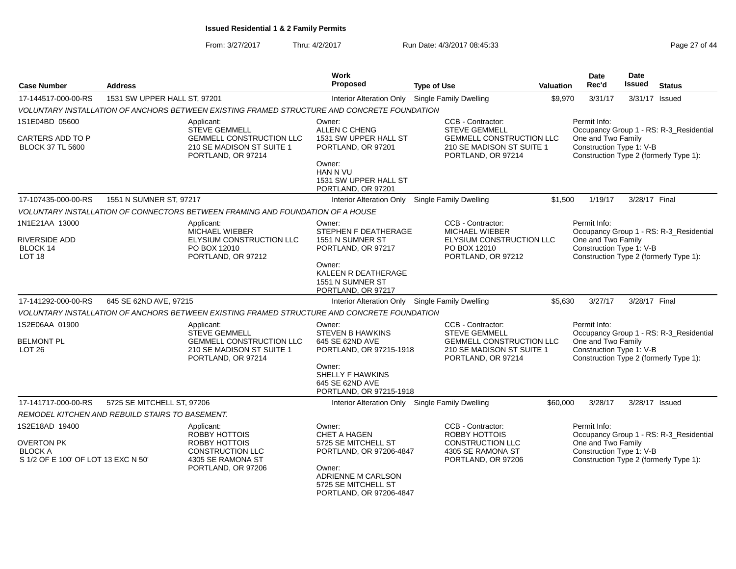From: 3/27/2017Thru: 4/2/2017 **Run Date: 4/3/2017 08:45:33** Page 27 of 44

| <b>Case Number</b>                                                         | <b>Address</b>                                  |                                                                                             | Work<br>Proposed                                                               | <b>Type of Use</b>                                                                 | <b>Valuation</b> | Date<br>Rec'd                                  | <b>Date</b><br><b>Issued</b> | <b>Status</b>                           |
|----------------------------------------------------------------------------|-------------------------------------------------|---------------------------------------------------------------------------------------------|--------------------------------------------------------------------------------|------------------------------------------------------------------------------------|------------------|------------------------------------------------|------------------------------|-----------------------------------------|
| 17-144517-000-00-RS                                                        | 1531 SW UPPER HALL ST, 97201                    |                                                                                             | Interior Alteration Only Single Family Dwelling                                |                                                                                    | \$9,970          | 3/31/17                                        |                              | 3/31/17 Issued                          |
|                                                                            |                                                 | VOLUNTARY INSTALLATION OF ANCHORS BETWEEN EXISTING FRAMED STRUCTURE AND CONCRETE FOUNDATION |                                                                                |                                                                                    |                  |                                                |                              |                                         |
| 1S1E04BD 05600                                                             |                                                 | Applicant:<br><b>STEVE GEMMELL</b>                                                          | Owner:<br>ALLEN C CHENG                                                        | CCB - Contractor:<br><b>STEVE GEMMELL</b>                                          |                  | Permit Info:                                   |                              | Occupancy Group 1 - RS: R-3_Residential |
| CARTERS ADD TO P<br><b>BLOCK 37 TL 5600</b>                                |                                                 | GEMMELL CONSTRUCTION LLC<br>210 SE MADISON ST SUITE 1<br>PORTLAND, OR 97214                 | 1531 SW UPPER HALL ST<br>PORTLAND, OR 97201                                    | GEMMELL CONSTRUCTION LLC<br>210 SE MADISON ST SUITE 1<br>PORTLAND, OR 97214        |                  | One and Two Family<br>Construction Type 1: V-B |                              | Construction Type 2 (formerly Type 1):  |
|                                                                            |                                                 |                                                                                             | Owner:<br>HAN N VU<br>1531 SW UPPER HALL ST<br>PORTLAND, OR 97201              |                                                                                    |                  |                                                |                              |                                         |
| 17-107435-000-00-RS                                                        | 1551 N SUMNER ST, 97217                         |                                                                                             | Interior Alteration Only Single Family Dwelling                                |                                                                                    | \$1,500          | 1/19/17                                        | 3/28/17 Final                |                                         |
|                                                                            |                                                 | VOLUNTARY INSTALLATION OF CONNECTORS BETWEEN FRAMING AND FOUNDATION OF A HOUSE              |                                                                                |                                                                                    |                  |                                                |                              |                                         |
| 1N1E21AA 13000                                                             |                                                 | Applicant:<br>MICHAEL WIEBER                                                                | Owner:<br>STEPHEN F DEATHERAGE                                                 | CCB - Contractor:<br><b>MICHAEL WIEBER</b>                                         |                  | Permit Info:                                   |                              | Occupancy Group 1 - RS: R-3_Residential |
| RIVERSIDE ADD<br>BLOCK 14<br>LOT <sub>18</sub>                             |                                                 | ELYSIUM CONSTRUCTION LLC<br>PO BOX 12010<br>PORTLAND, OR 97212                              | 1551 N SUMNER ST<br>PORTLAND, OR 97217                                         | ELYSIUM CONSTRUCTION LLC<br>PO BOX 12010<br>PORTLAND, OR 97212                     |                  | One and Two Family<br>Construction Type 1: V-B |                              | Construction Type 2 (formerly Type 1):  |
|                                                                            |                                                 |                                                                                             | Owner:<br>KALEEN R DEATHERAGE<br>1551 N SUMNER ST<br>PORTLAND, OR 97217        |                                                                                    |                  |                                                |                              |                                         |
| 17-141292-000-00-RS                                                        | 645 SE 62ND AVE, 97215                          |                                                                                             | Interior Alteration Only Single Family Dwelling                                |                                                                                    | \$5,630          | 3/27/17                                        | 3/28/17 Final                |                                         |
|                                                                            |                                                 | VOLUNTARY INSTALLATION OF ANCHORS BETWEEN EXISTING FRAMED STRUCTURE AND CONCRETE FOUNDATION |                                                                                |                                                                                    |                  |                                                |                              |                                         |
| 1S2E06AA 01900                                                             |                                                 | Applicant:<br><b>STEVE GEMMELL</b>                                                          | Owner:<br><b>STEVEN B HAWKINS</b>                                              | CCB - Contractor:<br><b>STEVE GEMMELL</b>                                          |                  | Permit Info:                                   |                              | Occupancy Group 1 - RS: R-3 Residential |
| <b>BELMONT PL</b><br>LOT <sub>26</sub>                                     |                                                 | <b>GEMMELL CONSTRUCTION LLC</b><br>210 SE MADISON ST SUITE 1<br>PORTLAND, OR 97214          | 645 SE 62ND AVE<br>PORTLAND, OR 97215-1918                                     | <b>GEMMELL CONSTRUCTION LLC</b><br>210 SE MADISON ST SUITE 1<br>PORTLAND, OR 97214 |                  | One and Two Family<br>Construction Type 1: V-B |                              | Construction Type 2 (formerly Type 1):  |
|                                                                            |                                                 |                                                                                             | Owner:<br>SHELLY F HAWKINS<br>645 SE 62ND AVE<br>PORTLAND, OR 97215-1918       |                                                                                    |                  |                                                |                              |                                         |
| 17-141717-000-00-RS                                                        | 5725 SE MITCHELL ST, 97206                      |                                                                                             | Interior Alteration Only Single Family Dwelling                                |                                                                                    | \$60,000         | 3/28/17                                        |                              | 3/28/17 Issued                          |
|                                                                            | REMODEL KITCHEN AND REBUILD STAIRS TO BASEMENT. |                                                                                             |                                                                                |                                                                                    |                  |                                                |                              |                                         |
| 1S2E18AD 19400                                                             |                                                 | Applicant:<br><b>ROBBY HOTTOIS</b>                                                          | Owner:<br><b>CHET A HAGEN</b>                                                  | CCB - Contractor:<br><b>ROBBY HOTTOIS</b>                                          |                  | Permit Info:                                   |                              | Occupancy Group 1 - RS: R-3_Residential |
| <b>OVERTON PK</b><br><b>BLOCK A</b><br>S 1/2 OF E 100' OF LOT 13 EXC N 50' |                                                 | ROBBY HOTTOIS<br><b>CONSTRUCTION LLC</b><br>4305 SE RAMONA ST                               | 5725 SE MITCHELL ST<br>PORTLAND, OR 97206-4847                                 | CONSTRUCTION LLC<br>4305 SE RAMONA ST<br>PORTLAND, OR 97206                        |                  | One and Two Family<br>Construction Type 1: V-B |                              | Construction Type 2 (formerly Type 1):  |
|                                                                            |                                                 | PORTLAND, OR 97206                                                                          | Owner:<br>ADRIENNE M CARLSON<br>5725 SE MITCHELL ST<br>PORTLAND, OR 97206-4847 |                                                                                    |                  |                                                |                              |                                         |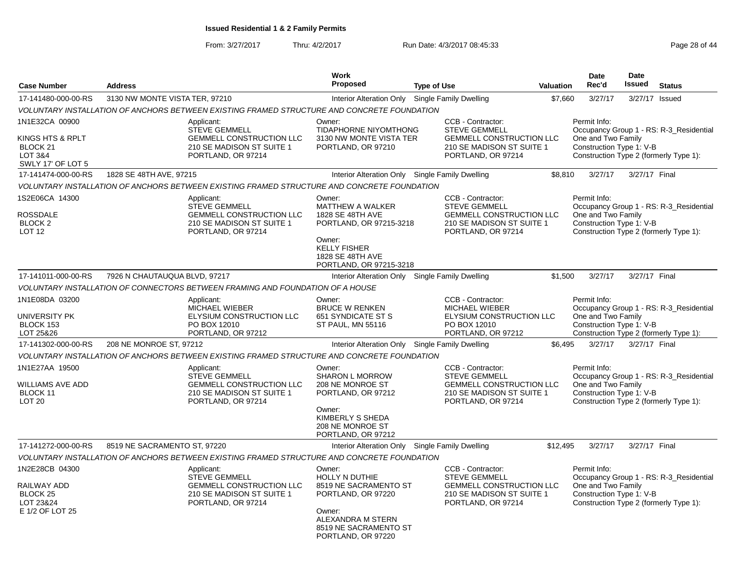From: 3/27/2017

Thru: 4/2/2017 **Run Date: 4/3/2017 08:45:33** Page 28 of 44

|                                                                                                      |                                |                                                                                                                          | Work                                                                                                                                                         |                                                                                                                                 |                  | <b>Date</b>                                                    | <b>Date</b>    |                                                                                   |
|------------------------------------------------------------------------------------------------------|--------------------------------|--------------------------------------------------------------------------------------------------------------------------|--------------------------------------------------------------------------------------------------------------------------------------------------------------|---------------------------------------------------------------------------------------------------------------------------------|------------------|----------------------------------------------------------------|----------------|-----------------------------------------------------------------------------------|
| <b>Case Number</b>                                                                                   | <b>Address</b>                 |                                                                                                                          | <b>Proposed</b>                                                                                                                                              | <b>Type of Use</b>                                                                                                              | <b>Valuation</b> | Rec'd                                                          | Issued         | <b>Status</b>                                                                     |
| 17-141480-000-00-RS                                                                                  | 3130 NW MONTE VISTA TER, 97210 |                                                                                                                          | Interior Alteration Only Single Family Dwelling                                                                                                              |                                                                                                                                 | \$7,660          | 3/27/17                                                        | 3/27/17 Issued |                                                                                   |
|                                                                                                      |                                | VOLUNTARY INSTALLATION OF ANCHORS BETWEEN EXISTING FRAMED STRUCTURE AND CONCRETE FOUNDATION                              |                                                                                                                                                              |                                                                                                                                 |                  |                                                                |                |                                                                                   |
| 1N1E32CA 00900<br>KINGS HTS & RPLT<br>BLOCK <sub>21</sub><br><b>LOT 3&amp;4</b><br>SWLY 17' OF LOT 5 |                                | Applicant:<br><b>STEVE GEMMELL</b><br><b>GEMMELL CONSTRUCTION LLC</b><br>210 SE MADISON ST SUITE 1<br>PORTLAND, OR 97214 | Owner:<br><b>TIDAPHORNE NIYOMTHONG</b><br>3130 NW MONTE VISTA TER<br>PORTLAND, OR 97210                                                                      | CCB - Contractor:<br><b>STEVE GEMMELL</b><br>GEMMELL CONSTRUCTION LLC<br>210 SE MADISON ST SUITE 1<br>PORTLAND, OR 97214        |                  | Permit Info:<br>One and Two Family<br>Construction Type 1: V-B |                | Occupancy Group 1 - RS: R-3_Residential<br>Construction Type 2 (formerly Type 1): |
| 17-141474-000-00-RS                                                                                  | 1828 SE 48TH AVE, 97215        |                                                                                                                          | Interior Alteration Only Single Family Dwelling                                                                                                              |                                                                                                                                 | \$8,810          | 3/27/17                                                        | 3/27/17 Final  |                                                                                   |
|                                                                                                      |                                | VOLUNTARY INSTALLATION OF ANCHORS BETWEEN EXISTING FRAMED STRUCTURE AND CONCRETE FOUNDATION                              |                                                                                                                                                              |                                                                                                                                 |                  |                                                                |                |                                                                                   |
| 1S2E06CA 14300<br>ROSSDALE<br>BLOCK <sub>2</sub><br><b>LOT 12</b>                                    |                                | Applicant:<br><b>STEVE GEMMELL</b><br><b>GEMMELL CONSTRUCTION LLC</b><br>210 SE MADISON ST SUITE 1<br>PORTLAND, OR 97214 | Owner:<br>MATTHEW A WALKER<br>1828 SE 48TH AVE<br>PORTLAND, OR 97215-3218<br>Owner:<br><b>KELLY FISHER</b><br>1828 SE 48TH AVE<br>PORTLAND, OR 97215-3218    | CCB - Contractor:<br><b>STEVE GEMMELL</b><br><b>GEMMELL CONSTRUCTION LLC</b><br>210 SE MADISON ST SUITE 1<br>PORTLAND, OR 97214 |                  | Permit Info:<br>One and Two Family<br>Construction Type 1: V-B |                | Occupancy Group 1 - RS: R-3_Residential<br>Construction Type 2 (formerly Type 1): |
| 17-141011-000-00-RS                                                                                  | 7926 N CHAUTAUQUA BLVD, 97217  |                                                                                                                          | Interior Alteration Only                                                                                                                                     | Single Family Dwelling                                                                                                          | \$1,500          | 3/27/17                                                        | 3/27/17 Final  |                                                                                   |
|                                                                                                      |                                | VOLUNTARY INSTALLATION OF CONNECTORS BETWEEN FRAMING AND FOUNDATION OF A HOUSE                                           |                                                                                                                                                              |                                                                                                                                 |                  |                                                                |                |                                                                                   |
| 1N1E08DA 03200<br>UNIVERSITY PK<br>BLOCK 153<br>LOT 25&26                                            |                                | Applicant:<br>MICHAEL WIEBER<br>ELYSIUM CONSTRUCTION LLC<br>PO BOX 12010<br>PORTLAND, OR 97212                           | Owner:<br><b>BRUCE W RENKEN</b><br><b>651 SYNDICATE ST S</b><br>ST PAUL, MN 55116                                                                            | CCB - Contractor:<br>MICHAEL WIEBER<br>ELYSIUM CONSTRUCTION LLC<br>PO BOX 12010<br>PORTLAND, OR 97212                           |                  | Permit Info:<br>One and Two Family<br>Construction Type 1: V-B |                | Occupancy Group 1 - RS: R-3_Residential<br>Construction Type 2 (formerly Type 1): |
| 17-141302-000-00-RS                                                                                  | 208 NE MONROE ST, 97212        |                                                                                                                          | Interior Alteration Only Single Family Dwelling                                                                                                              |                                                                                                                                 | \$6,495          | 3/27/17                                                        | 3/27/17 Final  |                                                                                   |
|                                                                                                      |                                | VOLUNTARY INSTALLATION OF ANCHORS BETWEEN EXISTING FRAMED STRUCTURE AND CONCRETE FOUNDATION                              |                                                                                                                                                              |                                                                                                                                 |                  |                                                                |                |                                                                                   |
| 1N1E27AA 19500<br>WILLIAMS AVE ADD<br>BLOCK 11<br>LOT <sub>20</sub>                                  |                                | Applicant:<br><b>STEVE GEMMELL</b><br>GEMMELL CONSTRUCTION LLC<br>210 SE MADISON ST SUITE 1<br>PORTLAND, OR 97214        | Owner:<br><b>SHARON L MORROW</b><br>208 NE MONROE ST<br>PORTLAND, OR 97212<br>Owner:<br>KIMBERLY S SHEDA<br>208 NE MONROE ST<br>PORTLAND, OR 97212           | CCB - Contractor:<br><b>STEVE GEMMELL</b><br><b>GEMMELL CONSTRUCTION LLC</b><br>210 SE MADISON ST SUITE 1<br>PORTLAND, OR 97214 |                  | Permit Info:<br>One and Two Family<br>Construction Type 1: V-B |                | Occupancy Group 1 - RS: R-3_Residential<br>Construction Type 2 (formerly Type 1): |
| 17-141272-000-00-RS                                                                                  | 8519 NE SACRAMENTO ST, 97220   |                                                                                                                          | Interior Alteration Only Single Family Dwelling                                                                                                              |                                                                                                                                 | \$12,495         | 3/27/17                                                        | 3/27/17 Final  |                                                                                   |
|                                                                                                      |                                | VOLUNTARY INSTALLATION OF ANCHORS BETWEEN EXISTING FRAMED STRUCTURE AND CONCRETE FOUNDATION                              |                                                                                                                                                              |                                                                                                                                 |                  |                                                                |                |                                                                                   |
| 1N2E28CB 04300<br>RAILWAY ADD<br><b>BLOCK 25</b><br>LOT 23&24<br>E 1/2 OF LOT 25                     |                                | Applicant:<br><b>STEVE GEMMELL</b><br><b>GEMMELL CONSTRUCTION LLC</b><br>210 SE MADISON ST SUITE 1<br>PORTLAND, OR 97214 | Owner:<br><b>HOLLY N DUTHIE</b><br>8519 NE SACRAMENTO ST<br>PORTLAND, OR 97220<br>Owner:<br>ALEXANDRA M STERN<br>8519 NE SACRAMENTO ST<br>PORTLAND, OR 97220 | CCB - Contractor:<br><b>STEVE GEMMELL</b><br>GEMMELL CONSTRUCTION LLC<br>210 SE MADISON ST SUITE 1<br>PORTLAND, OR 97214        |                  | Permit Info:<br>One and Two Family<br>Construction Type 1: V-B |                | Occupancy Group 1 - RS: R-3_Residential<br>Construction Type 2 (formerly Type 1): |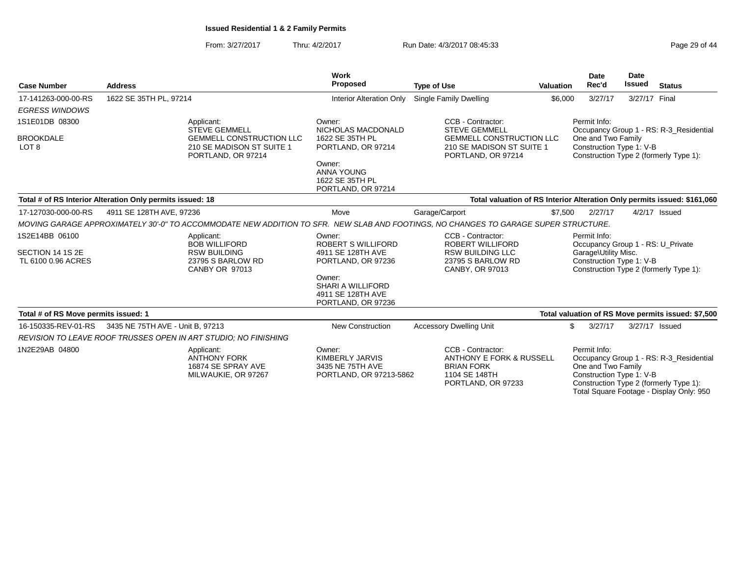From: 3/27/2017Thru: 4/2/2017 **Run Date: 4/3/2017 08:45:33** Page 29 of 44

| <b>Case Number</b>                                       | <b>Address</b>                                            |                                                                                                            | <b>Work</b><br>Proposed                                                        | <b>Type of Use</b>                                                                                                                  |         | <b>Date</b><br>Rec'd<br>Valuation                                                                     | <b>Date</b><br><b>Issued</b> | <b>Status</b>                                                                                                                 |
|----------------------------------------------------------|-----------------------------------------------------------|------------------------------------------------------------------------------------------------------------|--------------------------------------------------------------------------------|-------------------------------------------------------------------------------------------------------------------------------------|---------|-------------------------------------------------------------------------------------------------------|------------------------------|-------------------------------------------------------------------------------------------------------------------------------|
| 17-141263-000-00-RS                                      | 1622 SE 35TH PL, 97214                                    |                                                                                                            | <b>Interior Alteration Only</b>                                                | Single Family Dwelling                                                                                                              | \$6,000 | 3/27/17                                                                                               | 3/27/17 Final                |                                                                                                                               |
| <b>EGRESS WINDOWS</b>                                    |                                                           |                                                                                                            |                                                                                |                                                                                                                                     |         |                                                                                                       |                              |                                                                                                                               |
| 1S1E01DB 08300                                           |                                                           | Applicant:                                                                                                 | Owner:                                                                         | CCB - Contractor:                                                                                                                   |         | Permit Info:                                                                                          |                              |                                                                                                                               |
| <b>BROOKDALE</b><br>LOT <sub>8</sub>                     |                                                           | <b>STEVE GEMMELL</b><br><b>GEMMELL CONSTRUCTION LLC</b><br>210 SE MADISON ST SUITE 1<br>PORTLAND, OR 97214 | NICHOLAS MACDONALD<br>1622 SE 35TH PL<br>PORTLAND, OR 97214                    | <b>STEVE GEMMELL</b><br><b>GEMMELL CONSTRUCTION LLC</b><br>210 SE MADISON ST SUITE 1<br>PORTLAND, OR 97214                          |         | One and Two Family<br>Construction Type 1: V-B                                                        |                              | Occupancy Group 1 - RS: R-3 Residential<br>Construction Type 2 (formerly Type 1):                                             |
|                                                          |                                                           |                                                                                                            | Owner:<br><b>ANNA YOUNG</b><br>1622 SE 35TH PL<br>PORTLAND, OR 97214           |                                                                                                                                     |         |                                                                                                       |                              |                                                                                                                               |
|                                                          | Total # of RS Interior Alteration Only permits issued: 18 |                                                                                                            |                                                                                | Total valuation of RS Interior Alteration Only permits issued: \$161,060                                                            |         |                                                                                                       |                              |                                                                                                                               |
| 17-127030-000-00-RS                                      | 4911 SE 128TH AVE, 97236                                  |                                                                                                            | Move                                                                           | Garage/Carport                                                                                                                      | \$7,500 | 2/27/17                                                                                               |                              | 4/2/17 Issued                                                                                                                 |
|                                                          |                                                           |                                                                                                            |                                                                                | MOVING GARAGE APPROXIMATELY 30'-0" TO ACCOMMODATE NEW ADDITION TO SFR. NEW SLAB AND FOOTINGS, NO CHANGES TO GARAGE SUPER STRUCTURE. |         |                                                                                                       |                              |                                                                                                                               |
| 1S2E14BB 06100<br>SECTION 14 1S 2E<br>TL 6100 0.96 ACRES |                                                           | Applicant:<br><b>BOB WILLIFORD</b><br><b>RSW BUILDING</b><br>23795 S BARLOW RD<br>CANBY OR 97013           | Owner:<br><b>ROBERT S WILLIFORD</b><br>4911 SE 128TH AVE<br>PORTLAND, OR 97236 | CCB - Contractor:<br><b>ROBERT WILLIFORD</b><br><b>RSW BUILDING LLC</b><br>23795 S BARLOW RD<br>CANBY, OR 97013                     |         | Permit Info:<br>Occupancy Group 1 - RS: U_Private<br>Garage\Utility Misc.<br>Construction Type 1: V-B |                              | Construction Type 2 (formerly Type 1):                                                                                        |
|                                                          |                                                           |                                                                                                            | Owner:<br>SHARI A WILLIFORD<br>4911 SE 128TH AVE<br>PORTLAND, OR 97236         |                                                                                                                                     |         |                                                                                                       |                              |                                                                                                                               |
| Total # of RS Move permits issued: 1                     |                                                           |                                                                                                            |                                                                                |                                                                                                                                     |         |                                                                                                       |                              | Total valuation of RS Move permits issued: \$7,500                                                                            |
| 16-150335-REV-01-RS                                      | 3435 NE 75TH AVE - Unit B, 97213                          |                                                                                                            | <b>New Construction</b>                                                        | <b>Accessory Dwelling Unit</b>                                                                                                      |         | \$<br>3/27/17                                                                                         |                              | 3/27/17 Issued                                                                                                                |
|                                                          |                                                           | <b>REVISION TO LEAVE ROOF TRUSSES OPEN IN ART STUDIO: NO FINISHING</b>                                     |                                                                                |                                                                                                                                     |         |                                                                                                       |                              |                                                                                                                               |
| 1N2E29AB 04800                                           |                                                           | Applicant:<br><b>ANTHONY FORK</b><br>16874 SE SPRAY AVE<br>MILWAUKIE, OR 97267                             | Owner:<br>KIMBERLY JARVIS<br>3435 NE 75TH AVE<br>PORTLAND, OR 97213-5862       | CCB - Contractor:<br>ANTHONY E FORK & RUSSELL<br><b>BRIAN FORK</b><br>1104 SE 148TH<br>PORTLAND, OR 97233                           |         | Permit Info:<br>One and Two Family<br>Construction Type 1: V-B                                        |                              | Occupancy Group 1 - RS: R-3_Residential<br>Construction Type 2 (formerly Type 1):<br>Total Square Footage - Display Only: 950 |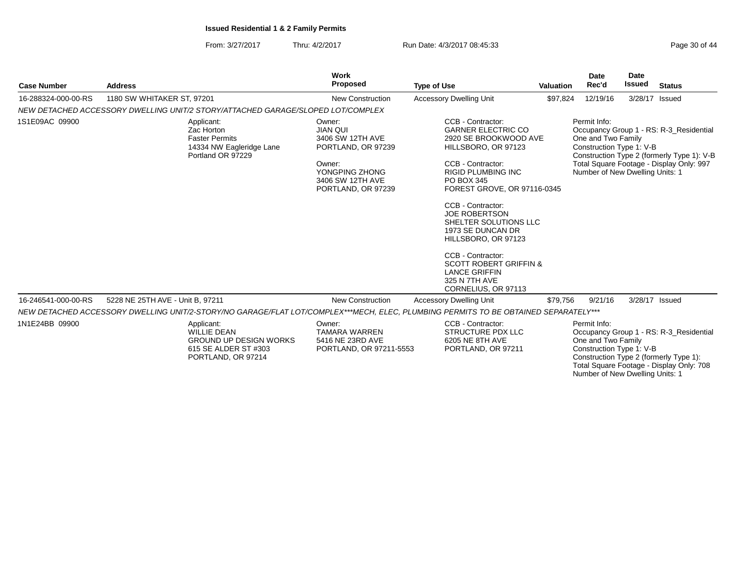From: 3/27/2017Thru: 4/2/2017 **Run Date: 4/3/2017 08:45:33** Page 30 of 44

Number of New Dwelling Units: 1

| <b>Case Number</b>  | <b>Address</b>                   |                                                                                                                 | Work<br>Proposed                                                                                                                          | <b>Type of Use</b>                                                                                                                                                                                                                                                                                                                                                                                                                        | <b>Valuation</b> | Date<br>Rec'd                                                                                     | Date<br><b>Issued</b> | <b>Status</b>                                                                                                                     |
|---------------------|----------------------------------|-----------------------------------------------------------------------------------------------------------------|-------------------------------------------------------------------------------------------------------------------------------------------|-------------------------------------------------------------------------------------------------------------------------------------------------------------------------------------------------------------------------------------------------------------------------------------------------------------------------------------------------------------------------------------------------------------------------------------------|------------------|---------------------------------------------------------------------------------------------------|-----------------------|-----------------------------------------------------------------------------------------------------------------------------------|
|                     |                                  |                                                                                                                 |                                                                                                                                           |                                                                                                                                                                                                                                                                                                                                                                                                                                           |                  |                                                                                                   |                       |                                                                                                                                   |
| 16-288324-000-00-RS | 1180 SW WHITAKER ST, 97201       |                                                                                                                 | <b>New Construction</b>                                                                                                                   | <b>Accessory Dwelling Unit</b>                                                                                                                                                                                                                                                                                                                                                                                                            | \$97,824         | 12/19/16                                                                                          |                       | 3/28/17 Issued                                                                                                                    |
|                     |                                  | NEW DETACHED ACCESSORY DWELLING UNIT/2 STORY/ATTACHED GARAGE/SLOPED LOT/COMPLEX                                 |                                                                                                                                           |                                                                                                                                                                                                                                                                                                                                                                                                                                           |                  |                                                                                                   |                       |                                                                                                                                   |
| 1S1E09AC 09900      |                                  | Applicant:<br>Zac Horton<br><b>Faster Permits</b><br>14334 NW Eagleridge Lane<br>Portland OR 97229              | Owner:<br><b>JIAN QUI</b><br>3406 SW 12TH AVE<br>PORTLAND, OR 97239<br>Owner:<br>YONGPING ZHONG<br>3406 SW 12TH AVE<br>PORTLAND, OR 97239 | CCB - Contractor:<br><b>GARNER ELECTRIC CO</b><br>2920 SE BROOKWOOD AVE<br>HILLSBORO, OR 97123<br>CCB - Contractor:<br><b>RIGID PLUMBING INC</b><br>PO BOX 345<br>FOREST GROVE, OR 97116-0345<br>CCB - Contractor:<br><b>JOE ROBERTSON</b><br>SHELTER SOLUTIONS LLC<br>1973 SE DUNCAN DR<br>HILLSBORO, OR 97123<br>CCB - Contractor:<br><b>SCOTT ROBERT GRIFFIN &amp;</b><br><b>LANCE GRIFFIN</b><br>325 N 7TH AVE<br>CORNELIUS, OR 97113 |                  | Permit Info:<br>One and Two Family<br>Construction Type 1: V-B<br>Number of New Dwelling Units: 1 |                       | Occupancy Group 1 - RS: R-3_Residential<br>Construction Type 2 (formerly Type 1): V-B<br>Total Square Footage - Display Only: 997 |
| 16-246541-000-00-RS | 5228 NE 25TH AVE - Unit B, 97211 |                                                                                                                 | <b>New Construction</b>                                                                                                                   | <b>Accessory Dwelling Unit</b>                                                                                                                                                                                                                                                                                                                                                                                                            | \$79,756         | 9/21/16                                                                                           |                       | 3/28/17 Issued                                                                                                                    |
|                     |                                  |                                                                                                                 |                                                                                                                                           | NEW DETACHED ACCESSORY DWELLING UNIT/2-STORY/NO GARAGE/FLAT LOT/COMPLEX***MECH, ELEC, PLUMBING PERMITS TO BE OBTAINED SEPARATELY***                                                                                                                                                                                                                                                                                                       |                  |                                                                                                   |                       |                                                                                                                                   |
| 1N1E24BB 09900      |                                  | Applicant:<br><b>WILLIE DEAN</b><br><b>GROUND UP DESIGN WORKS</b><br>615 SE ALDER ST #303<br>PORTLAND, OR 97214 | Owner:<br><b>TAMARA WARREN</b><br>5416 NE 23RD AVE<br>PORTLAND, OR 97211-5553                                                             | CCB - Contractor:<br><b>STRUCTURE PDX LLC</b><br>6205 NE 8TH AVE<br>PORTLAND, OR 97211                                                                                                                                                                                                                                                                                                                                                    |                  | Permit Info:<br>One and Two Family<br>Construction Type 1: V-B                                    |                       | Occupancy Group 1 - RS: R-3 Residential<br>Construction Type 2 (formerly Type 1):<br>Total Square Footage - Display Only: 708     |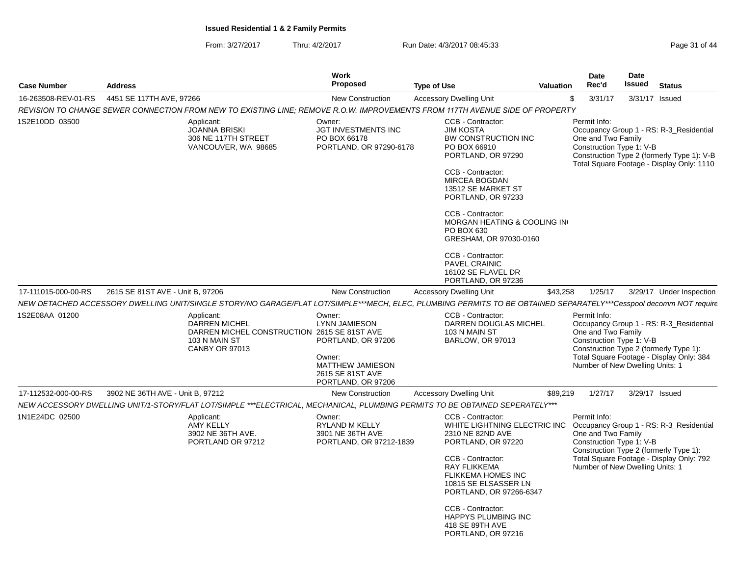From: 3/27/2017Thru: 4/2/2017 Run Date: 4/3/2017 08:45:33

| Page 31 of 44 |  |  |  |
|---------------|--|--|--|
|---------------|--|--|--|

| <b>Case Number</b>  | <b>Address</b>                   |                                                                                                                                                                    | <b>Work</b><br><b>Proposed</b>                                                                                               | <b>Type of Use</b>                                                                                                                                                                                                                                         | <b>Valuation</b>                                      | <b>Date</b><br>Rec'd                                                                                                                        | <b>Date</b><br>Issued | <b>Status</b>                                                                                                                      |
|---------------------|----------------------------------|--------------------------------------------------------------------------------------------------------------------------------------------------------------------|------------------------------------------------------------------------------------------------------------------------------|------------------------------------------------------------------------------------------------------------------------------------------------------------------------------------------------------------------------------------------------------------|-------------------------------------------------------|---------------------------------------------------------------------------------------------------------------------------------------------|-----------------------|------------------------------------------------------------------------------------------------------------------------------------|
| 16-263508-REV-01-RS | 4451 SE 117TH AVE, 97266         |                                                                                                                                                                    | <b>New Construction</b>                                                                                                      | <b>Accessory Dwelling Unit</b>                                                                                                                                                                                                                             |                                                       | \$<br>3/31/17                                                                                                                               |                       | 3/31/17 Issued                                                                                                                     |
|                     |                                  | REVISION TO CHANGE SEWER CONNECTION FROM NEW TO EXISTING LINE; REMOVE R.O.W. IMPROVEMENTS FROM 117TH AVENUE SIDE OF PROPERTY                                       |                                                                                                                              |                                                                                                                                                                                                                                                            |                                                       |                                                                                                                                             |                       |                                                                                                                                    |
| 1S2E10DD 03500      |                                  | Applicant:<br><b>JOANNA BRISKI</b><br>306 NE 117TH STREET<br>VANCOUVER, WA 98685                                                                                   | Owner:<br>JGT INVESTMENTS INC<br>PO BOX 66178<br>PORTLAND, OR 97290-6178                                                     | CCB - Contractor:<br><b>JIM KOSTA</b><br><b>BW CONSTRUCTION INC</b><br>PO BOX 66910<br>PORTLAND, OR 97290<br>CCB - Contractor:<br><b>MIRCEA BOGDAN</b><br>13512 SE MARKET ST<br>PORTLAND, OR 97233<br>CCB - Contractor:<br>PO BOX 630<br>CCB - Contractor: | MORGAN HEATING & COOLING IN<br>GRESHAM, OR 97030-0160 | Permit Info:<br>One and Two Family<br>Construction Type 1: V-B                                                                              |                       | Occupancy Group 1 - RS: R-3 Residential<br>Construction Type 2 (formerly Type 1): V-B<br>Total Square Footage - Display Only: 1110 |
|                     |                                  |                                                                                                                                                                    |                                                                                                                              | <b>PAVEL CRAINIC</b><br>16102 SE FLAVEL DR<br>PORTLAND, OR 97236                                                                                                                                                                                           |                                                       |                                                                                                                                             |                       |                                                                                                                                    |
| 17-111015-000-00-RS | 2615 SE 81ST AVE - Unit B, 97206 |                                                                                                                                                                    | <b>New Construction</b>                                                                                                      | <b>Accessory Dwelling Unit</b>                                                                                                                                                                                                                             | \$43,258                                              | 1/25/17                                                                                                                                     |                       | 3/29/17 Under Inspection                                                                                                           |
|                     |                                  | NEW DETACHED ACCESSORY DWELLING UNIT/SINGLE STORY/NO GARAGE/FLAT LOT/SIMPLE***MECH, ELEC, PLUMBING PERMITS TO BE OBTAINED SEPARATELY***Cesspool decomm NOT require |                                                                                                                              |                                                                                                                                                                                                                                                            |                                                       |                                                                                                                                             |                       |                                                                                                                                    |
| 1S2E08AA 01200      |                                  | Applicant:<br><b>DARREN MICHEL</b><br>DARREN MICHEL CONSTRUCTION 2615 SE 81ST AVE<br>103 N MAIN ST<br><b>CANBY OR 97013</b>                                        | Owner:<br><b>LYNN JAMIESON</b><br>PORTLAND, OR 97206<br>Owner:<br>MATTHEW JAMIESON<br>2615 SE 81ST AVE<br>PORTLAND, OR 97206 | CCB - Contractor:<br>103 N MAIN ST<br><b>BARLOW, OR 97013</b>                                                                                                                                                                                              | DARREN DOUGLAS MICHEL                                 | Permit Info:<br>One and Two Family<br>Construction Type 1: V-B<br>Construction Type 2 (formerly Type 1):<br>Number of New Dwelling Units: 1 |                       | Occupancy Group 1 - RS: R-3_Residential<br>Total Square Footage - Display Only: 384                                                |
| 17-112532-000-00-RS | 3902 NE 36TH AVE - Unit B, 97212 |                                                                                                                                                                    | <b>New Construction</b>                                                                                                      | <b>Accessory Dwelling Unit</b>                                                                                                                                                                                                                             | \$89,219                                              | 1/27/17                                                                                                                                     |                       | 3/29/17 Issued                                                                                                                     |
|                     |                                  | NEW ACCESSORY DWELLING UNIT/1-STORY/FLAT LOT/SIMPLE ***ELECTRICAL, MECHANICAL, PLUMBING PERMITS TO BE OBTAINED SEPERATELY***                                       |                                                                                                                              |                                                                                                                                                                                                                                                            |                                                       |                                                                                                                                             |                       |                                                                                                                                    |
| 1N1E24DC 02500      |                                  | Applicant:<br><b>AMY KELLY</b><br>3902 NE 36TH AVE.<br>PORTLAND OR 97212                                                                                           | Owner:<br>RYLAND M KELLY<br>3901 NE 36TH AVE<br>PORTLAND, OR 97212-1839                                                      | CCB - Contractor:<br>2310 NE 82ND AVE<br>PORTLAND, OR 97220<br>CCB - Contractor:<br><b>RAY FLIKKEMA</b><br>FLIKKEMA HOMES INC<br>10815 SE ELSASSER LN                                                                                                      | WHITE LIGHTNING ELECTRIC INC                          | Permit Info:<br>One and Two Family<br>Construction Type 1: V-B<br>Construction Type 2 (formerly Type 1):<br>Number of New Dwelling Units: 1 |                       | Occupancy Group 1 - RS: R-3_Residential<br>Total Square Footage - Display Only: 792                                                |
|                     |                                  |                                                                                                                                                                    |                                                                                                                              | CCB - Contractor:<br>HAPPYS PLUMBING INC<br>418 SE 89TH AVE<br>PORTLAND, OR 97216                                                                                                                                                                          | PORTLAND, OR 97266-6347                               |                                                                                                                                             |                       |                                                                                                                                    |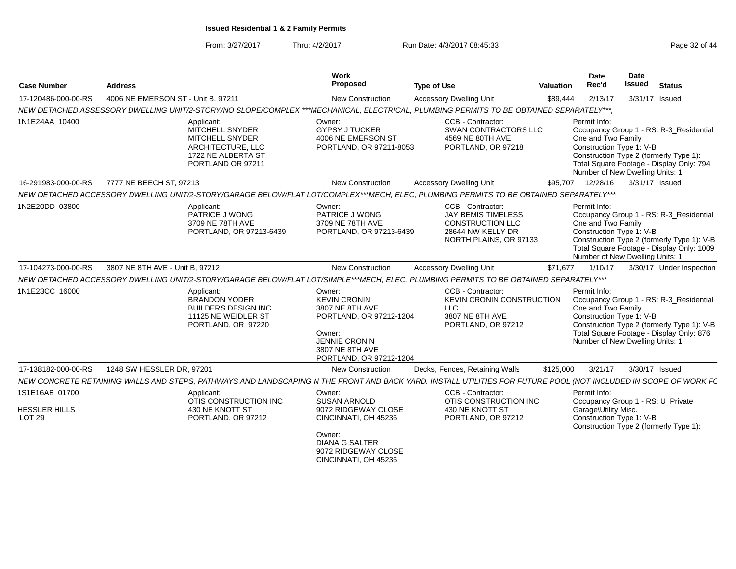From: 3/27/2017Thru: 4/2/2017 **Run Date: 4/3/2017 08:45:33** Page 32 of 44

| <b>Work</b><br><b>Proposed</b><br><b>Case Number</b><br><b>Address</b>                                           |                                                                                                                               |                                                                                                | Valuation                                                                                                                                                                                                                                                              | <b>Date</b><br>Rec'd                                                                                        | Date<br>Issued                                                                                                                                                                                                                                                                                                                                                                                                                                                                                                                              | <b>Status</b>                                                                                                                                                                                                                                                                                                                                                                                                                                                                                                                                                                                                                                                                                                                                                                                                                                                                                                                                                                                                                       |
|------------------------------------------------------------------------------------------------------------------|-------------------------------------------------------------------------------------------------------------------------------|------------------------------------------------------------------------------------------------|------------------------------------------------------------------------------------------------------------------------------------------------------------------------------------------------------------------------------------------------------------------------|-------------------------------------------------------------------------------------------------------------|---------------------------------------------------------------------------------------------------------------------------------------------------------------------------------------------------------------------------------------------------------------------------------------------------------------------------------------------------------------------------------------------------------------------------------------------------------------------------------------------------------------------------------------------|-------------------------------------------------------------------------------------------------------------------------------------------------------------------------------------------------------------------------------------------------------------------------------------------------------------------------------------------------------------------------------------------------------------------------------------------------------------------------------------------------------------------------------------------------------------------------------------------------------------------------------------------------------------------------------------------------------------------------------------------------------------------------------------------------------------------------------------------------------------------------------------------------------------------------------------------------------------------------------------------------------------------------------------|
| 4006 NE EMERSON ST - Unit B, 97211                                                                               | <b>New Construction</b>                                                                                                       |                                                                                                |                                                                                                                                                                                                                                                                        | 2/13/17                                                                                                     |                                                                                                                                                                                                                                                                                                                                                                                                                                                                                                                                             |                                                                                                                                                                                                                                                                                                                                                                                                                                                                                                                                                                                                                                                                                                                                                                                                                                                                                                                                                                                                                                     |
|                                                                                                                  |                                                                                                                               |                                                                                                |                                                                                                                                                                                                                                                                        |                                                                                                             |                                                                                                                                                                                                                                                                                                                                                                                                                                                                                                                                             |                                                                                                                                                                                                                                                                                                                                                                                                                                                                                                                                                                                                                                                                                                                                                                                                                                                                                                                                                                                                                                     |
| Applicant:<br>MITCHELL SNYDER<br>MITCHELL SNYDER<br>ARCHITECTURE, LLC<br>1722 NE ALBERTA ST<br>PORTLAND OR 97211 | Owner:<br><b>GYPSY J TUCKER</b><br>4006 NE EMERSON ST                                                                         | CCB - Contractor:<br>4569 NE 80TH AVE<br>PORTLAND, OR 97218                                    |                                                                                                                                                                                                                                                                        |                                                                                                             |                                                                                                                                                                                                                                                                                                                                                                                                                                                                                                                                             |                                                                                                                                                                                                                                                                                                                                                                                                                                                                                                                                                                                                                                                                                                                                                                                                                                                                                                                                                                                                                                     |
| 7777 NE BEECH ST, 97213                                                                                          | New Construction                                                                                                              |                                                                                                |                                                                                                                                                                                                                                                                        | 12/28/16                                                                                                    |                                                                                                                                                                                                                                                                                                                                                                                                                                                                                                                                             |                                                                                                                                                                                                                                                                                                                                                                                                                                                                                                                                                                                                                                                                                                                                                                                                                                                                                                                                                                                                                                     |
|                                                                                                                  |                                                                                                                               |                                                                                                |                                                                                                                                                                                                                                                                        |                                                                                                             |                                                                                                                                                                                                                                                                                                                                                                                                                                                                                                                                             |                                                                                                                                                                                                                                                                                                                                                                                                                                                                                                                                                                                                                                                                                                                                                                                                                                                                                                                                                                                                                                     |
| Applicant:<br>PATRICE J WONG<br>3709 NE 78TH AVE<br>PORTLAND, OR 97213-6439                                      | Owner:<br>PATRICE J WONG<br>3709 NE 78TH AVE                                                                                  | CCB - Contractor:<br><b>JAY BEMIS TIMELESS</b><br><b>CONSTRUCTION LLC</b><br>28644 NW KELLY DR |                                                                                                                                                                                                                                                                        |                                                                                                             |                                                                                                                                                                                                                                                                                                                                                                                                                                                                                                                                             |                                                                                                                                                                                                                                                                                                                                                                                                                                                                                                                                                                                                                                                                                                                                                                                                                                                                                                                                                                                                                                     |
| 3807 NE 8TH AVE - Unit B, 97212                                                                                  | <b>New Construction</b>                                                                                                       |                                                                                                |                                                                                                                                                                                                                                                                        | 1/10/17                                                                                                     |                                                                                                                                                                                                                                                                                                                                                                                                                                                                                                                                             | 3/30/17 Under Inspection                                                                                                                                                                                                                                                                                                                                                                                                                                                                                                                                                                                                                                                                                                                                                                                                                                                                                                                                                                                                            |
|                                                                                                                  |                                                                                                                               |                                                                                                |                                                                                                                                                                                                                                                                        |                                                                                                             |                                                                                                                                                                                                                                                                                                                                                                                                                                                                                                                                             |                                                                                                                                                                                                                                                                                                                                                                                                                                                                                                                                                                                                                                                                                                                                                                                                                                                                                                                                                                                                                                     |
| Applicant:<br><b>BRANDON YODER</b><br><b>BUILDERS DESIGN INC</b><br>11125 NE WEIDLER ST<br>PORTLAND, OR 97220    | Owner:<br><b>KEVIN CRONIN</b><br>3807 NE 8TH AVE<br>Owner:<br><b>JENNIE CRONIN</b><br>3807 NE 8TH AVE                         | CCB - Contractor:<br><b>LLC</b><br>3807 NE 8TH AVE<br>PORTLAND, OR 97212                       |                                                                                                                                                                                                                                                                        |                                                                                                             |                                                                                                                                                                                                                                                                                                                                                                                                                                                                                                                                             |                                                                                                                                                                                                                                                                                                                                                                                                                                                                                                                                                                                                                                                                                                                                                                                                                                                                                                                                                                                                                                     |
| 1248 SW HESSLER DR, 97201                                                                                        | New Construction                                                                                                              |                                                                                                |                                                                                                                                                                                                                                                                        | 3/21/17                                                                                                     |                                                                                                                                                                                                                                                                                                                                                                                                                                                                                                                                             |                                                                                                                                                                                                                                                                                                                                                                                                                                                                                                                                                                                                                                                                                                                                                                                                                                                                                                                                                                                                                                     |
|                                                                                                                  |                                                                                                                               |                                                                                                |                                                                                                                                                                                                                                                                        |                                                                                                             |                                                                                                                                                                                                                                                                                                                                                                                                                                                                                                                                             |                                                                                                                                                                                                                                                                                                                                                                                                                                                                                                                                                                                                                                                                                                                                                                                                                                                                                                                                                                                                                                     |
| Applicant:                                                                                                       | Owner:                                                                                                                        | CCB - Contractor:                                                                              |                                                                                                                                                                                                                                                                        |                                                                                                             |                                                                                                                                                                                                                                                                                                                                                                                                                                                                                                                                             |                                                                                                                                                                                                                                                                                                                                                                                                                                                                                                                                                                                                                                                                                                                                                                                                                                                                                                                                                                                                                                     |
| 430 NE KNOTT ST<br>PORTLAND, OR 97212                                                                            | 9072 RIDGEWAY CLOSE<br>CINCINNATI, OH 45236<br>Owner:<br><b>DIANA G SALTER</b><br>9072 RIDGEWAY CLOSE<br>CINCINNATI, OH 45236 | 430 NE KNOTT ST<br>PORTLAND, OR 97212                                                          |                                                                                                                                                                                                                                                                        |                                                                                                             |                                                                                                                                                                                                                                                                                                                                                                                                                                                                                                                                             |                                                                                                                                                                                                                                                                                                                                                                                                                                                                                                                                                                                                                                                                                                                                                                                                                                                                                                                                                                                                                                     |
|                                                                                                                  | OTIS CONSTRUCTION INC                                                                                                         | <b>SUSAN ARNOLD</b>                                                                            | <b>Type of Use</b><br><b>Accessory Dwelling Unit</b><br>PORTLAND, OR 97211-8053<br><b>Accessory Dwelling Unit</b><br>PORTLAND, OR 97213-6439<br><b>Accessory Dwelling Unit</b><br>PORTLAND, OR 97212-1204<br>PORTLAND, OR 97212-1204<br>Decks, Fences, Retaining Walls | <b>SWAN CONTRACTORS LLC</b><br>NORTH PLAINS, OR 97133<br>KEVIN CRONIN CONSTRUCTION<br>OTIS CONSTRUCTION INC | \$89,444<br>NEW DETACHED ASSESSORY DWELLING UNIT/2-STORY/NO SLOPE/COMPLEX ***MECHANICAL, ELECTRICAL, PLUMBING PERMITS TO BE OBTAINED SEPARATELY***,<br>Permit Info:<br>\$95,707<br>NEW DETACHED ACCESSORY DWELLING UNIT/2-STORY/GARAGE BELOW/FLAT LOT/COMPLEX***MECH, ELEC, PLUMBING PERMITS TO BE OBTAINED SEPARATELY***<br>Permit Info:<br>\$71,677<br>NEW DETACHED ACCESSORY DWELLING UNIT/2-STORY/GARAGE BELOW/FLAT LOT/SIMPLE***MECH, ELEC, PLUMBING PERMITS TO BE OBTAINED SEPARATELY***<br>Permit Info:<br>\$125,000<br>Permit Info: | 3/31/17 Issued<br>Occupancy Group 1 - RS: R-3 Residential<br>One and Two Family<br>Construction Type 1: V-B<br>Construction Type 2 (formerly Type 1):<br>Total Square Footage - Display Only: 794<br>Number of New Dwelling Units: 1<br>3/31/17 Issued<br>Occupancy Group 1 - RS: R-3_Residential<br>One and Two Family<br>Construction Type 1: V-B<br>Construction Type 2 (formerly Type 1): V-B<br>Total Square Footage - Display Only: 1009<br>Number of New Dwelling Units: 1<br>Occupancy Group 1 - RS: R-3_Residential<br>One and Two Family<br>Construction Type 1: V-B<br>Construction Type 2 (formerly Type 1): V-B<br>Total Square Footage - Display Only: 876<br>Number of New Dwelling Units: 1<br>3/30/17 Issued<br>NEW CONCRETE RETAINING WALLS AND STEPS, PATHWAYS AND LANDSCAPING N THE FRONT AND BACK YARD. INSTALL UTILITIES FOR FUTURE POOL (NOT INCLUDED IN SCOPE OF WORK FC<br>Occupancy Group 1 - RS: U_Private<br>Garage\Utility Misc.<br>Construction Type 1: V-B<br>Construction Type 2 (formerly Type 1): |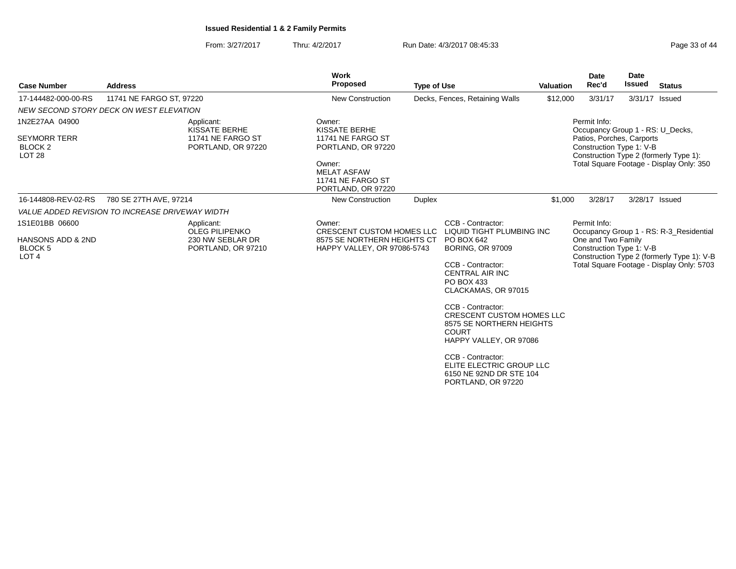From: 3/27/2017Thru: 4/2/2017 **Run Date: 4/3/2017 08:45:33** Page 33 of 44

| <b>Case Number</b>                                                                   | <b>Address</b>                                  |                                                                               | <b>Work</b><br>Proposed                                                                                                                       | <b>Type of Use</b> |                                                                                                                                                                                                                                                                                                                                                                                                              | <b>Valuation</b> | Date<br>Rec'd                                                                                             | <b>Date</b><br><b>Issued</b> | <b>Status</b>                                                                                                                      |
|--------------------------------------------------------------------------------------|-------------------------------------------------|-------------------------------------------------------------------------------|-----------------------------------------------------------------------------------------------------------------------------------------------|--------------------|--------------------------------------------------------------------------------------------------------------------------------------------------------------------------------------------------------------------------------------------------------------------------------------------------------------------------------------------------------------------------------------------------------------|------------------|-----------------------------------------------------------------------------------------------------------|------------------------------|------------------------------------------------------------------------------------------------------------------------------------|
| 17-144482-000-00-RS                                                                  | 11741 NE FARGO ST, 97220                        |                                                                               | <b>New Construction</b>                                                                                                                       |                    | Decks, Fences, Retaining Walls                                                                                                                                                                                                                                                                                                                                                                               | \$12,000         | 3/31/17                                                                                                   |                              | 3/31/17 Issued                                                                                                                     |
|                                                                                      | NEW SECOND STORY DECK ON WEST ELEVATION         |                                                                               |                                                                                                                                               |                    |                                                                                                                                                                                                                                                                                                                                                                                                              |                  |                                                                                                           |                              |                                                                                                                                    |
| 1N2E27AA 04900<br><b>SEYMORR TERR</b><br>BLOCK <sub>2</sub><br><b>LOT 28</b>         |                                                 | Applicant:<br>KISSATE BERHE<br>11741 NE FARGO ST<br>PORTLAND, OR 97220        | Owner:<br>KISSATE BERHE<br>11741 NE FARGO ST<br>PORTLAND, OR 97220<br>Owner:<br><b>MELAT ASFAW</b><br>11741 NE FARGO ST<br>PORTLAND, OR 97220 |                    |                                                                                                                                                                                                                                                                                                                                                                                                              |                  | Permit Info:<br>Occupancy Group 1 - RS: U_Decks,<br>Patios, Porches, Carports<br>Construction Type 1: V-B |                              | Construction Type 2 (formerly Type 1):<br>Total Square Footage - Display Only: 350                                                 |
| 16-144808-REV-02-RS                                                                  | 780 SE 27TH AVE, 97214                          |                                                                               | New Construction                                                                                                                              | <b>Duplex</b>      |                                                                                                                                                                                                                                                                                                                                                                                                              | \$1,000          | 3/28/17                                                                                                   |                              | 3/28/17 Issued                                                                                                                     |
|                                                                                      | VALUE ADDED REVISION TO INCREASE DRIVEWAY WIDTH |                                                                               |                                                                                                                                               |                    |                                                                                                                                                                                                                                                                                                                                                                                                              |                  |                                                                                                           |                              |                                                                                                                                    |
| 1S1E01BB 06600<br><b>HANSONS ADD &amp; 2ND</b><br><b>BLOCK 5</b><br>LOT <sub>4</sub> |                                                 | Applicant:<br><b>OLEG PILIPENKO</b><br>230 NW SEBLAR DR<br>PORTLAND, OR 97210 | Owner:<br><b>CRESCENT CUSTOM HOMES LLC</b><br>8575 SE NORTHERN HEIGHTS CT<br>HAPPY VALLEY, OR 97086-5743                                      |                    | CCB - Contractor:<br>LIQUID TIGHT PLUMBING INC<br>PO BOX 642<br><b>BORING, OR 97009</b><br>CCB - Contractor:<br><b>CENTRAL AIR INC</b><br>PO BOX 433<br>CLACKAMAS, OR 97015<br>CCB - Contractor:<br><b>CRESCENT CUSTOM HOMES LLC</b><br>8575 SE NORTHERN HEIGHTS<br><b>COURT</b><br>HAPPY VALLEY, OR 97086<br>CCB - Contractor:<br>ELITE ELECTRIC GROUP LLC<br>6150 NE 92ND DR STE 104<br>PORTLAND, OR 97220 |                  | Permit Info:<br>One and Two Family<br>Construction Type 1: V-B                                            |                              | Occupancy Group 1 - RS: R-3 Residential<br>Construction Type 2 (formerly Type 1): V-B<br>Total Square Footage - Display Only: 5703 |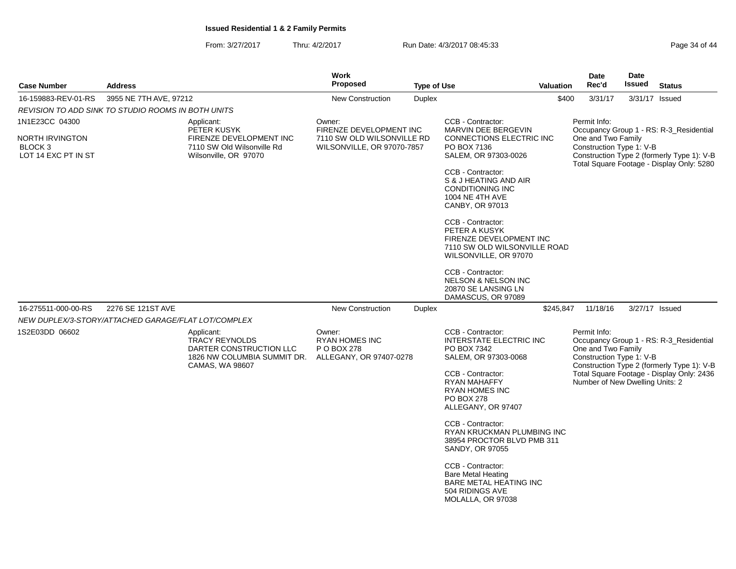From: 3/27/2017Thru: 4/2/2017 **Run Date: 4/3/2017 08:45:33** Page 34 of 44

| <b>Case Number</b>                                  | <b>Address</b>         |                                                                                                                  | <b>Work</b><br><b>Proposed</b>                                                                                                                          | <b>Type of Use</b> |                                                                                                                         | <b>Valuation</b>                               | <b>Date</b><br>Rec'd                                           | Date<br><b>Issued</b>                                                                   | <b>Status</b>                                                                         |
|-----------------------------------------------------|------------------------|------------------------------------------------------------------------------------------------------------------|---------------------------------------------------------------------------------------------------------------------------------------------------------|--------------------|-------------------------------------------------------------------------------------------------------------------------|------------------------------------------------|----------------------------------------------------------------|-----------------------------------------------------------------------------------------|---------------------------------------------------------------------------------------|
| 16-159883-REV-01-RS                                 | 3955 NE 7TH AVE, 97212 |                                                                                                                  | <b>New Construction</b>                                                                                                                                 | <b>Duplex</b>      |                                                                                                                         | \$400                                          | 3/31/17                                                        | 3/31/17 Issued                                                                          |                                                                                       |
| REVISION TO ADD SINK TO STUDIO ROOMS IN BOTH UNITS  |                        |                                                                                                                  |                                                                                                                                                         |                    |                                                                                                                         |                                                |                                                                |                                                                                         |                                                                                       |
| 1N1E23CC 04300                                      |                        | Applicant:<br>PETER KUSYK                                                                                        | Owner:<br>FIRENZE DEVELOPMENT INC                                                                                                                       |                    | CCB - Contractor:<br>MARVIN DEE BERGEVIN                                                                                |                                                | Permit Info:                                                   |                                                                                         | Occupancy Group 1 - RS: R-3_Residential                                               |
| NORTH IRVINGTON<br>BLOCK 3<br>LOT 14 EXC PT IN ST   |                        | FIRENZE DEVELOPMENT INC<br>7110 SW Old Wilsonville Rd<br>Wilsonville, OR 97070                                   | 7110 SW OLD WILSONVILLE RD<br><b>CONNECTIONS ELECTRIC INC</b><br>WILSONVILLE, OR 97070-7857<br>PO BOX 7136<br>SALEM, OR 97303-0026<br>CCB - Contractor: |                    |                                                                                                                         | One and Two Family<br>Construction Type 1: V-B |                                                                | Construction Type 2 (formerly Type 1): V-B<br>Total Square Footage - Display Only: 5280 |                                                                                       |
|                                                     |                        |                                                                                                                  |                                                                                                                                                         |                    | S & J HEATING AND AIR<br><b>CONDITIONING INC</b><br>1004 NE 4TH AVE<br>CANBY, OR 97013                                  |                                                |                                                                |                                                                                         |                                                                                       |
|                                                     |                        |                                                                                                                  |                                                                                                                                                         |                    | CCB - Contractor:<br>PETER A KUSYK<br>FIRENZE DEVELOPMENT INC<br>7110 SW OLD WILSONVILLE ROAD<br>WILSONVILLE, OR 97070  |                                                |                                                                |                                                                                         |                                                                                       |
|                                                     |                        |                                                                                                                  |                                                                                                                                                         |                    | CCB - Contractor:<br><b>NELSON &amp; NELSON INC</b><br>20870 SE LANSING LN<br>DAMASCUS, OR 97089                        |                                                |                                                                |                                                                                         |                                                                                       |
| 16-275511-000-00-RS                                 | 2276 SE 121ST AVE      |                                                                                                                  | <b>New Construction</b>                                                                                                                                 | <b>Duplex</b>      |                                                                                                                         | \$245,847                                      | 11/18/16                                                       | 3/27/17 Issued                                                                          |                                                                                       |
| NEW DUPLEX/3-STORY/ATTACHED GARAGE/FLAT LOT/COMPLEX |                        |                                                                                                                  |                                                                                                                                                         |                    |                                                                                                                         |                                                |                                                                |                                                                                         |                                                                                       |
| 1S2E03DD 06602                                      |                        | Applicant:<br><b>TRACY REYNOLDS</b><br>DARTER CONSTRUCTION LLC<br>1826 NW COLUMBIA SUMMIT DR.<br>CAMAS, WA 98607 | Owner:<br><b>RYAN HOMES INC</b><br>P O BOX 278<br>ALLEGANY, OR 97407-0278                                                                               |                    | CCB - Contractor:<br><b>INTERSTATE ELECTRIC INC</b><br>PO BOX 7342<br>SALEM, OR 97303-0068                              |                                                | Permit Info:<br>One and Two Family<br>Construction Type 1: V-B |                                                                                         | Occupancy Group 1 - RS: R-3_Residential<br>Construction Type 2 (formerly Type 1): V-B |
|                                                     |                        |                                                                                                                  |                                                                                                                                                         |                    | CCB - Contractor:<br>RYAN MAHAFFY<br><b>RYAN HOMES INC</b><br>PO BOX 278<br>ALLEGANY, OR 97407                          |                                                | Number of New Dwelling Units: 2                                |                                                                                         | Total Square Footage - Display Only: 2436                                             |
|                                                     |                        |                                                                                                                  |                                                                                                                                                         |                    | CCB - Contractor:<br>RYAN KRUCKMAN PLUMBING INC<br>38954 PROCTOR BLVD PMB 311<br>SANDY, OR 97055                        |                                                |                                                                |                                                                                         |                                                                                       |
|                                                     |                        |                                                                                                                  |                                                                                                                                                         |                    | CCB - Contractor:<br><b>Bare Metal Heating</b><br><b>BARE METAL HEATING INC</b><br>504 RIDINGS AVE<br>MOLALLA, OR 97038 |                                                |                                                                |                                                                                         |                                                                                       |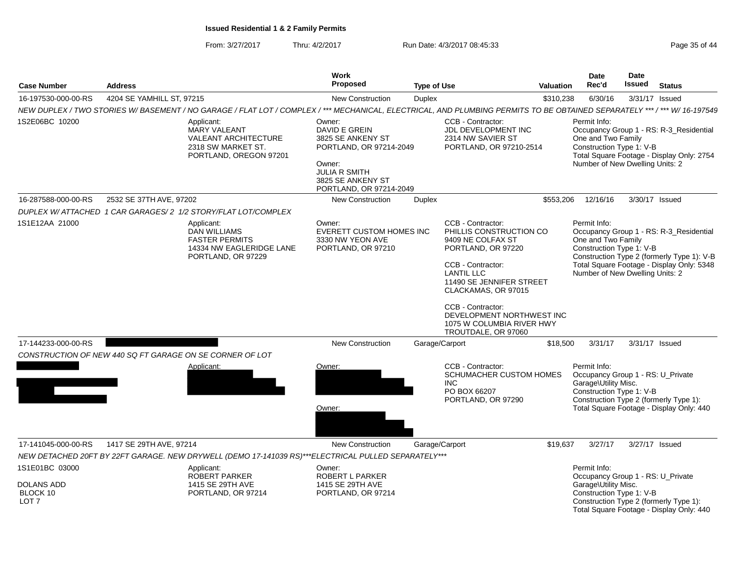From: 3/27/2017Thru: 4/2/2017 **Run Date: 4/3/2017 08:45:33** Page 35 of 44

| <b>Case Number</b>                                                  | <b>Address</b>            |                                                                                                                                                                          | Work<br>Proposed                                                                                                                                          | <b>Type of Use</b> |                                                                                                                                                                                                                                                                                            | <b>Valuation</b> | <b>Date</b><br>Rec'd                                                                                  | Date<br><b>Issued</b> | <b>Status</b>                                                                                                                      |
|---------------------------------------------------------------------|---------------------------|--------------------------------------------------------------------------------------------------------------------------------------------------------------------------|-----------------------------------------------------------------------------------------------------------------------------------------------------------|--------------------|--------------------------------------------------------------------------------------------------------------------------------------------------------------------------------------------------------------------------------------------------------------------------------------------|------------------|-------------------------------------------------------------------------------------------------------|-----------------------|------------------------------------------------------------------------------------------------------------------------------------|
| 16-197530-000-00-RS                                                 | 4204 SE YAMHILL ST, 97215 |                                                                                                                                                                          | <b>New Construction</b>                                                                                                                                   | <b>Duplex</b>      |                                                                                                                                                                                                                                                                                            | \$310,238        | 6/30/16                                                                                               | 3/31/17 Issued        |                                                                                                                                    |
|                                                                     |                           | NEW DUPLEX / TWO STORIES W/BASEMENT / NO GARAGE / FLAT LOT / COMPLEX / *** MECHANICAL, ELECTRICAL, AND PLUMBING PERMITS TO BE OBTAINED SEPARATELY *** / *** W/ 16-197549 |                                                                                                                                                           |                    |                                                                                                                                                                                                                                                                                            |                  |                                                                                                       |                       |                                                                                                                                    |
| 1S2E06BC 10200                                                      |                           | Applicant:<br><b>MARY VALEANT</b><br>VALEANT ARCHITECTURE<br>2318 SW MARKET ST.<br>PORTLAND, OREGON 97201                                                                | Owner:<br>DAVID E GREIN<br>3825 SE ANKENY ST<br>PORTLAND, OR 97214-2049<br>Owner:<br><b>JULIA R SMITH</b><br>3825 SE ANKENY ST<br>PORTLAND, OR 97214-2049 |                    | CCB - Contractor:<br>JDL DEVELOPMENT INC<br>2314 NW SAVIER ST<br>PORTLAND, OR 97210-2514                                                                                                                                                                                                   |                  | Permit Info:<br>One and Two Family<br>Construction Type 1: V-B<br>Number of New Dwelling Units: 2     |                       | Occupancy Group 1 - RS: R-3_Residential<br>Total Square Footage - Display Only: 2754                                               |
| 16-287588-000-00-RS                                                 | 2532 SE 37TH AVE, 97202   |                                                                                                                                                                          | <b>New Construction</b>                                                                                                                                   | Duplex             |                                                                                                                                                                                                                                                                                            | \$553,206        | 12/16/16                                                                                              | 3/30/17 Issued        |                                                                                                                                    |
|                                                                     |                           | DUPLEX W/ ATTACHED 1 CAR GARAGES/ 2 1/2 STORY/FLAT LOT/COMPLEX                                                                                                           |                                                                                                                                                           |                    |                                                                                                                                                                                                                                                                                            |                  |                                                                                                       |                       |                                                                                                                                    |
| 1S1E12AA 21000                                                      |                           | Applicant:<br><b>DAN WILLIAMS</b><br><b>FASTER PERMITS</b><br>14334 NW EAGLERIDGE LANE<br>PORTLAND, OR 97229                                                             | Owner:<br><b>EVERETT CUSTOM HOMES INC</b><br>3330 NW YEON AVE<br>PORTLAND, OR 97210                                                                       |                    | CCB - Contractor:<br>PHILLIS CONSTRUCTION CO<br>9409 NE COLFAX ST<br>PORTLAND, OR 97220<br>CCB - Contractor:<br><b>LANTIL LLC</b><br>11490 SE JENNIFER STREET<br>CLACKAMAS, OR 97015<br>CCB - Contractor:<br>DEVELOPMENT NORTHWEST INC<br>1075 W COLUMBIA RIVER HWY<br>TROUTDALE, OR 97060 |                  | Permit Info:<br>One and Two Family<br>Construction Type 1: V-B<br>Number of New Dwelling Units: 2     |                       | Occupancy Group 1 - RS: R-3_Residential<br>Construction Type 2 (formerly Type 1): V-B<br>Total Square Footage - Display Only: 5348 |
| 17-144233-000-00-RS                                                 |                           |                                                                                                                                                                          | <b>New Construction</b>                                                                                                                                   |                    | Garage/Carport                                                                                                                                                                                                                                                                             | \$18,500         | 3/31/17                                                                                               | 3/31/17 Issued        |                                                                                                                                    |
|                                                                     |                           | CONSTRUCTION OF NEW 440 SQ FT GARAGE ON SE CORNER OF LOT                                                                                                                 |                                                                                                                                                           |                    |                                                                                                                                                                                                                                                                                            |                  |                                                                                                       |                       |                                                                                                                                    |
|                                                                     |                           | Applicant:                                                                                                                                                               | Owner:<br>Owner:                                                                                                                                          |                    | CCB - Contractor:<br>SCHUMACHER CUSTOM HOMES<br><b>INC</b><br>PO BOX 66207<br>PORTLAND, OR 97290                                                                                                                                                                                           |                  | Permit Info:<br>Occupancy Group 1 - RS: U_Private<br>Garage\Utility Misc.<br>Construction Type 1: V-B |                       | Construction Type 2 (formerly Type 1):<br>Total Square Footage - Display Only: 440                                                 |
| 17-141045-000-00-RS                                                 | 1417 SE 29TH AVE, 97214   |                                                                                                                                                                          | <b>New Construction</b>                                                                                                                                   |                    | Garage/Carport                                                                                                                                                                                                                                                                             | \$19,637         | 3/27/17                                                                                               | 3/27/17 Issued        |                                                                                                                                    |
|                                                                     |                           | NEW DETACHED 20FT BY 22FT GARAGE. NEW DRYWELL (DEMO 17-141039 RS)***ELECTRICAL PULLED SEPARATELY***                                                                      |                                                                                                                                                           |                    |                                                                                                                                                                                                                                                                                            |                  |                                                                                                       |                       |                                                                                                                                    |
| 1S1E01BC 03000<br><b>DOLANS ADD</b><br>BLOCK 10<br>LOT <sub>7</sub> |                           | Applicant:<br>ROBERT PARKER<br>1415 SE 29TH AVE<br>PORTLAND, OR 97214                                                                                                    | Owner:<br>ROBERT L PARKER<br>1415 SE 29TH AVE<br>PORTLAND, OR 97214                                                                                       |                    |                                                                                                                                                                                                                                                                                            |                  | Permit Info:<br>Occupancy Group 1 - RS: U_Private<br>Garage\Utility Misc.<br>Construction Type 1: V-B |                       | Construction Type 2 (formerly Type 1):<br>Total Square Footage - Display Only: 440                                                 |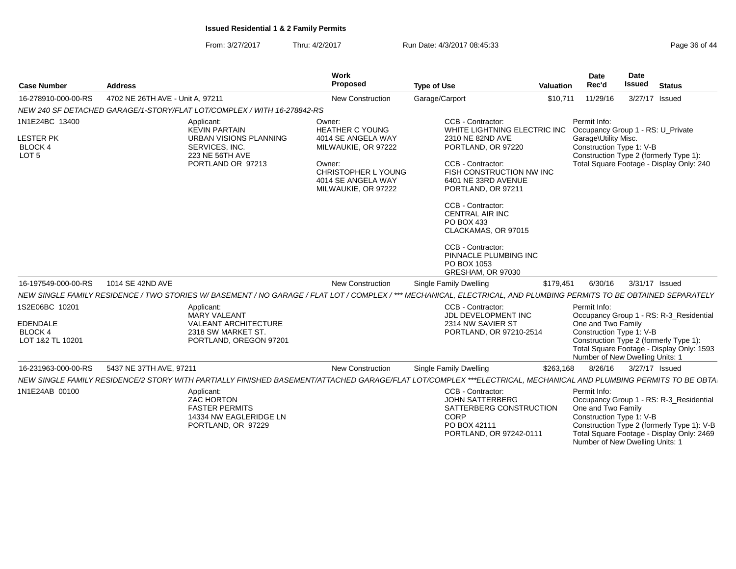From: 3/27/2017Thru: 4/2/2017 **Run Date: 4/3/2017 08:45:33** Page 36 of 44

| <b>Case Number</b>                                                       | <b>Address</b>                   |                                                                                                                        | Work<br>Proposed                                                                                                                                                   | <b>Type of Use</b>                                                                                                                                                                                                                                                                                                                                              | <b>Valuation</b> | <b>Date</b><br>Rec'd                                                                                  | Date<br><b>Issued</b> | <b>Status</b>                                                                                                                      |
|--------------------------------------------------------------------------|----------------------------------|------------------------------------------------------------------------------------------------------------------------|--------------------------------------------------------------------------------------------------------------------------------------------------------------------|-----------------------------------------------------------------------------------------------------------------------------------------------------------------------------------------------------------------------------------------------------------------------------------------------------------------------------------------------------------------|------------------|-------------------------------------------------------------------------------------------------------|-----------------------|------------------------------------------------------------------------------------------------------------------------------------|
| 16-278910-000-00-RS                                                      | 4702 NE 26TH AVE - Unit A, 97211 |                                                                                                                        | New Construction                                                                                                                                                   | Garage/Carport                                                                                                                                                                                                                                                                                                                                                  | \$10,711         | 11/29/16                                                                                              |                       | 3/27/17 Issued                                                                                                                     |
|                                                                          |                                  | NEW 240 SF DETACHED GARAGE/1-STORY/FLAT LOT/COMPLEX / WITH 16-278842-RS                                                |                                                                                                                                                                    |                                                                                                                                                                                                                                                                                                                                                                 |                  |                                                                                                       |                       |                                                                                                                                    |
| 1N1E24BC 13400<br><b>LESTER PK</b><br><b>BLOCK 4</b><br>LOT <sub>5</sub> |                                  | Applicant:<br><b>KEVIN PARTAIN</b><br>URBAN VISIONS PLANNING<br>SERVICES, INC.<br>223 NE 56TH AVE<br>PORTLAND OR 97213 | Owner:<br><b>HEATHER C YOUNG</b><br>4014 SE ANGELA WAY<br>MILWAUKIE, OR 97222<br>Owner:<br><b>CHRISTOPHER L YOUNG</b><br>4014 SE ANGELA WAY<br>MILWAUKIE, OR 97222 | CCB - Contractor:<br>WHITE LIGHTNING ELECTRIC INC<br>2310 NE 82ND AVE<br>PORTLAND, OR 97220<br>CCB - Contractor:<br>FISH CONSTRUCTION NW INC<br>6401 NE 33RD AVENUE<br>PORTLAND, OR 97211<br>CCB - Contractor:<br><b>CENTRAL AIR INC</b><br>PO BOX 433<br>CLACKAMAS, OR 97015<br>CCB - Contractor:<br>PINNACLE PLUMBING INC<br>PO BOX 1053<br>GRESHAM, OR 97030 |                  | Permit Info:<br>Occupancy Group 1 - RS: U_Private<br>Garage\Utility Misc.<br>Construction Type 1: V-B |                       | Construction Type 2 (formerly Type 1):<br>Total Square Footage - Display Only: 240                                                 |
| 16-197549-000-00-RS                                                      | 1014 SE 42ND AVE                 |                                                                                                                        | <b>New Construction</b>                                                                                                                                            | Single Family Dwelling                                                                                                                                                                                                                                                                                                                                          | \$179,451        | 6/30/16                                                                                               |                       | 3/31/17 Issued                                                                                                                     |
|                                                                          |                                  |                                                                                                                        |                                                                                                                                                                    | NEW SINGLE FAMILY RESIDENCE / TWO STORIES W/BASEMENT / NO GARAGE / FLAT LOT / COMPLEX / *** MECHANICAL, ELECTRICAL, AND PLUMBING PERMITS TO BE OBTAINED SEPARATELY                                                                                                                                                                                              |                  |                                                                                                       |                       |                                                                                                                                    |
| 1S2E06BC 10201<br><b>EDENDALE</b><br><b>BLOCK4</b><br>LOT 1&2 TL 10201   |                                  | Applicant:<br><b>MARY VALEANT</b><br><b>VALEANT ARCHITECTURE</b><br>2318 SW MARKET ST.<br>PORTLAND, OREGON 97201       |                                                                                                                                                                    | CCB - Contractor:<br><b>JDL DEVELOPMENT INC</b><br>2314 NW SAVIER ST<br>PORTLAND, OR 97210-2514                                                                                                                                                                                                                                                                 |                  | Permit Info:<br>One and Two Family<br>Construction Type 1: V-B<br>Number of New Dwelling Units: 1     |                       | Occupancy Group 1 - RS: R-3_Residential<br>Construction Type 2 (formerly Type 1):<br>Total Square Footage - Display Only: 1593     |
| 16-231963-000-00-RS                                                      | 5437 NE 37TH AVE, 97211          |                                                                                                                        | <b>New Construction</b>                                                                                                                                            | Single Family Dwelling                                                                                                                                                                                                                                                                                                                                          | \$263,168        | 8/26/16                                                                                               |                       | 3/27/17 Issued                                                                                                                     |
|                                                                          |                                  |                                                                                                                        |                                                                                                                                                                    | NEW SINGLE FAMILY RESIDENCE/2 STORY WITH PARTIALLY FINISHED BASEMENT/ATTACHED GARAGE/FLAT LOT/COMPLEX ***ELECTRICAL, MECHANICAL AND PLUMBING PERMITS TO BE OBTA                                                                                                                                                                                                 |                  |                                                                                                       |                       |                                                                                                                                    |
| 1N1E24AB 00100                                                           |                                  | Applicant:<br><b>ZAC HORTON</b><br><b>FASTER PERMITS</b><br>14334 NW EAGLERIDGE LN<br>PORTLAND, OR 97229               |                                                                                                                                                                    | CCB - Contractor:<br><b>JOHN SATTERBERG</b><br>SATTERBERG CONSTRUCTION<br><b>CORP</b><br>PO BOX 42111<br>PORTLAND, OR 97242-0111                                                                                                                                                                                                                                |                  | Permit Info:<br>One and Two Family<br>Construction Type 1: V-B<br>Number of New Dwelling Units: 1     |                       | Occupancy Group 1 - RS: R-3_Residential<br>Construction Type 2 (formerly Type 1): V-B<br>Total Square Footage - Display Only: 2469 |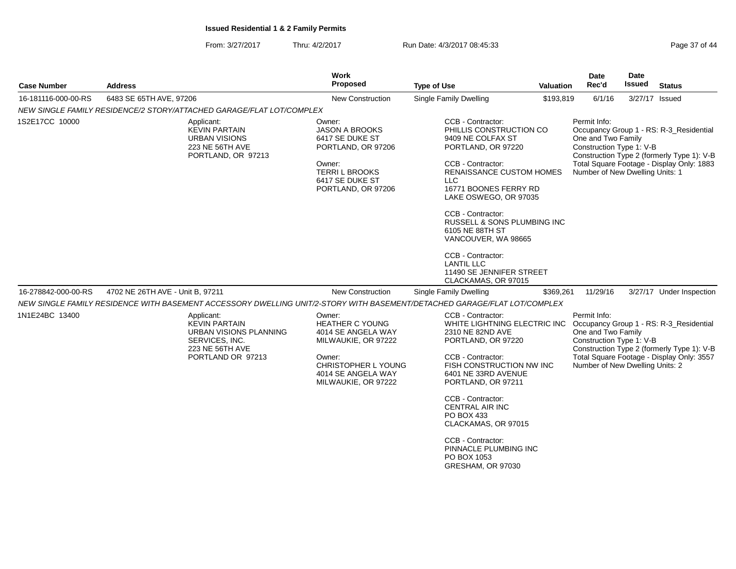From: 3/27/2017Thru: 4/2/2017 Run Date: 4/3/2017 08:45:33

| Page 37 of 44 |  |  |  |  |  |
|---------------|--|--|--|--|--|
|---------------|--|--|--|--|--|

| <b>Case Number</b>  | <b>Address</b>                                                                                                                                                                                                                                     | Work<br><b>Proposed</b>                                                                                                                                     | <b>Type of Use</b>                                                                                                                                                                                                                                                                                                                                                            | <b>Valuation</b> | Date<br>Rec'd                                                                                     | Date<br><b>Issued</b> | <b>Status</b>                                                                                                                      |
|---------------------|----------------------------------------------------------------------------------------------------------------------------------------------------------------------------------------------------------------------------------------------------|-------------------------------------------------------------------------------------------------------------------------------------------------------------|-------------------------------------------------------------------------------------------------------------------------------------------------------------------------------------------------------------------------------------------------------------------------------------------------------------------------------------------------------------------------------|------------------|---------------------------------------------------------------------------------------------------|-----------------------|------------------------------------------------------------------------------------------------------------------------------------|
| 16-181116-000-00-RS | 6483 SE 65TH AVE, 97206                                                                                                                                                                                                                            | <b>New Construction</b>                                                                                                                                     | Single Family Dwelling                                                                                                                                                                                                                                                                                                                                                        | \$193,819        | 6/1/16                                                                                            |                       | 3/27/17 Issued                                                                                                                     |
|                     | NEW SINGLE FAMILY RESIDENCE/2 STORY/ATTACHED GARAGE/FLAT LOT/COMPLEX                                                                                                                                                                               |                                                                                                                                                             |                                                                                                                                                                                                                                                                                                                                                                               |                  |                                                                                                   |                       |                                                                                                                                    |
| 1S2E17CC 10000      | Applicant:<br><b>KEVIN PARTAIN</b><br><b>URBAN VISIONS</b><br>223 NE 56TH AVE<br>PORTLAND, OR 97213                                                                                                                                                | Owner:<br><b>JASON A BROOKS</b><br>6417 SE DUKE ST<br>PORTLAND, OR 97206<br>Owner:<br><b>TERRIL BROOKS</b><br>6417 SE DUKE ST<br>PORTLAND, OR 97206         | CCB - Contractor:<br>PHILLIS CONSTRUCTION CO<br>9409 NE COLFAX ST<br>PORTLAND, OR 97220<br>CCB - Contractor:<br><b>RENAISSANCE CUSTOM HOMES</b><br>LLC.<br>16771 BOONES FERRY RD<br>LAKE OSWEGO, OR 97035<br>CCB - Contractor:<br>RUSSELL & SONS PLUMBING INC<br>6105 NE 88TH ST<br>VANCOUVER, WA 98665<br>CCB - Contractor:<br><b>LANTIL LLC</b><br>11490 SE JENNIFER STREET |                  | Permit Info:<br>One and Two Family<br>Construction Type 1: V-B<br>Number of New Dwelling Units: 1 |                       | Occupancy Group 1 - RS: R-3_Residential<br>Construction Type 2 (formerly Type 1): V-B<br>Total Square Footage - Display Only: 1883 |
|                     |                                                                                                                                                                                                                                                    |                                                                                                                                                             | CLACKAMAS, OR 97015                                                                                                                                                                                                                                                                                                                                                           |                  |                                                                                                   |                       |                                                                                                                                    |
| 16-278842-000-00-RS | 4702 NE 26TH AVE - Unit B, 97211                                                                                                                                                                                                                   | <b>New Construction</b>                                                                                                                                     | Single Family Dwelling                                                                                                                                                                                                                                                                                                                                                        | \$369,261        | 11/29/16                                                                                          |                       | 3/27/17 Under Inspection                                                                                                           |
| 1N1E24BC 13400      | NEW SINGLE FAMILY RESIDENCE WITH BASEMENT ACCESSORY DWELLING UNIT/2-STORY WITH BASEMENT/DETACHED GARAGE/FLAT LOT/COMPLEX<br>Applicant:<br><b>KEVIN PARTAIN</b><br>URBAN VISIONS PLANNING<br>SERVICES, INC.<br>223 NE 56TH AVE<br>PORTLAND OR 97213 | Owner:<br><b>HEATHER C YOUNG</b><br>4014 SE ANGELA WAY<br>MILWAUKIE, OR 97222<br>Owner:<br>CHRISTOPHER L YOUNG<br>4014 SE ANGELA WAY<br>MILWAUKIE, OR 97222 | CCB - Contractor:<br>WHITE LIGHTNING ELECTRIC INC<br>2310 NE 82ND AVE<br>PORTLAND, OR 97220<br>CCB - Contractor:<br>FISH CONSTRUCTION NW INC<br>6401 NE 33RD AVENUE<br>PORTLAND, OR 97211                                                                                                                                                                                     |                  | Permit Info:<br>One and Two Family<br>Construction Type 1: V-B<br>Number of New Dwelling Units: 2 |                       | Occupancy Group 1 - RS: R-3_Residential<br>Construction Type 2 (formerly Type 1): V-B<br>Total Square Footage - Display Only: 3557 |
|                     |                                                                                                                                                                                                                                                    |                                                                                                                                                             | <b>CCB - Contractor:</b><br><b>CENTRAL AIR INC</b><br>PO BOX 433<br>CLACKAMAS, OR 97015<br>CCB - Contractor:<br>PINNACLE PLUMBING INC<br>PO BOX 1053<br>GRESHAM, OR 97030                                                                                                                                                                                                     |                  |                                                                                                   |                       |                                                                                                                                    |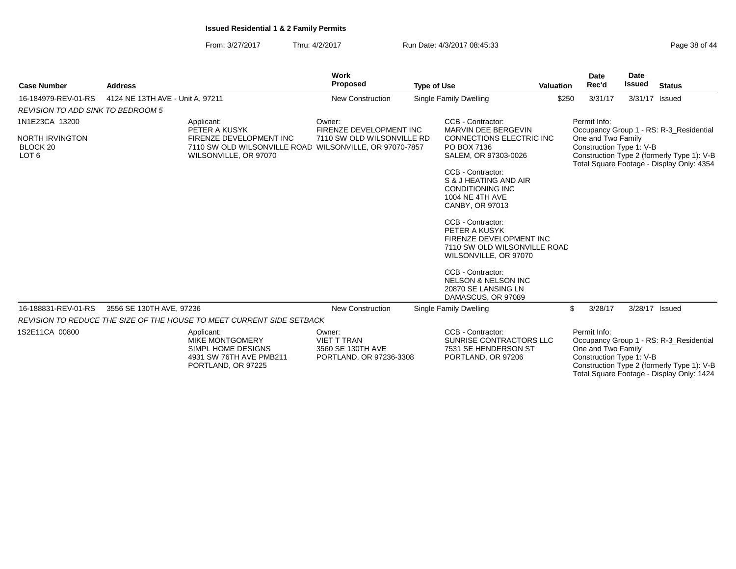From: 3/27/2017Thru: 4/2/2017 **Run Date: 4/3/2017 08:45:33** Page 38 of 44

|                                                                                     |                                                                                                                                            |                                                                                                             | Work                                                                         |                    |                                                                                                                                                                                                                                                                                                                             |           | Date                                                           | Date   |                                                                                                                                    |
|-------------------------------------------------------------------------------------|--------------------------------------------------------------------------------------------------------------------------------------------|-------------------------------------------------------------------------------------------------------------|------------------------------------------------------------------------------|--------------------|-----------------------------------------------------------------------------------------------------------------------------------------------------------------------------------------------------------------------------------------------------------------------------------------------------------------------------|-----------|----------------------------------------------------------------|--------|------------------------------------------------------------------------------------------------------------------------------------|
| <b>Case Number</b>                                                                  | <b>Address</b>                                                                                                                             |                                                                                                             | <b>Proposed</b>                                                              | <b>Type of Use</b> |                                                                                                                                                                                                                                                                                                                             | Valuation | Rec'd                                                          | Issued | <b>Status</b>                                                                                                                      |
| 16-184979-REV-01-RS                                                                 | 4124 NE 13TH AVE - Unit A, 97211                                                                                                           |                                                                                                             | <b>New Construction</b>                                                      |                    | <b>Single Family Dwelling</b>                                                                                                                                                                                                                                                                                               | \$250     | 3/31/17                                                        |        | 3/31/17 Issued                                                                                                                     |
| <b>REVISION TO ADD SINK TO BEDROOM 5</b>                                            |                                                                                                                                            |                                                                                                             |                                                                              |                    |                                                                                                                                                                                                                                                                                                                             |           |                                                                |        |                                                                                                                                    |
| 1N1E23CA 13200<br><b>NORTH IRVINGTON</b><br>BLOCK <sub>20</sub><br>LOT <sub>6</sub> | Applicant:<br>PETER A KUSYK<br>FIRENZE DEVELOPMENT INC<br>7110 SW OLD WILSONVILLE ROAD WILSONVILLE, OR 97070-7857<br>WILSONVILLE, OR 97070 |                                                                                                             | Owner:<br>FIRENZE DEVELOPMENT INC<br>7110 SW OLD WILSONVILLE RD              |                    | CCB - Contractor:<br>MARVIN DEE BERGEVIN<br>CONNECTIONS ELECTRIC INC<br>PO BOX 7136<br>SALEM, OR 97303-0026<br>CCB - Contractor:<br>S & J HEATING AND AIR<br><b>CONDITIONING INC</b><br>1004 NE 4TH AVE<br>CANBY, OR 97013<br>CCB - Contractor:<br>PETER A KUSYK<br>FIRENZE DEVELOPMENT INC<br>7110 SW OLD WILSONVILLE ROAD |           | Permit Info:<br>One and Two Family<br>Construction Type 1: V-B |        | Occupancy Group 1 - RS: R-3 Residential<br>Construction Type 2 (formerly Type 1): V-B<br>Total Square Footage - Display Only: 4354 |
| 16-188831-REV-01-RS                                                                 | 3556 SE 130TH AVE, 97236                                                                                                                   |                                                                                                             | <b>New Construction</b>                                                      |                    | WILSONVILLE, OR 97070<br>CCB - Contractor:<br><b>NELSON &amp; NELSON INC</b><br>20870 SE LANSING LN<br>DAMASCUS, OR 97089<br>Single Family Dwelling                                                                                                                                                                         |           | \$<br>3/28/17                                                  |        | 3/28/17 Issued                                                                                                                     |
|                                                                                     |                                                                                                                                            | REVISION TO REDUCE THE SIZE OF THE HOUSE TO MEET CURRENT SIDE SETBACK                                       |                                                                              |                    |                                                                                                                                                                                                                                                                                                                             |           |                                                                |        |                                                                                                                                    |
| 1S2E11CA 00800                                                                      |                                                                                                                                            | Applicant:<br><b>MIKE MONTGOMERY</b><br>SIMPL HOME DESIGNS<br>4931 SW 76TH AVE PMB211<br>PORTLAND, OR 97225 | Owner:<br><b>VIET T TRAN</b><br>3560 SE 130TH AVE<br>PORTLAND, OR 97236-3308 |                    | CCB - Contractor:<br>SUNRISE CONTRACTORS LLC<br>7531 SE HENDERSON ST<br>PORTLAND, OR 97206                                                                                                                                                                                                                                  |           | Permit Info:<br>One and Two Family<br>Construction Type 1: V-B |        | Occupancy Group 1 - RS: R-3 Residential<br>Construction Type 2 (formerly Type 1): V-B<br>Total Square Footage - Display Only: 1424 |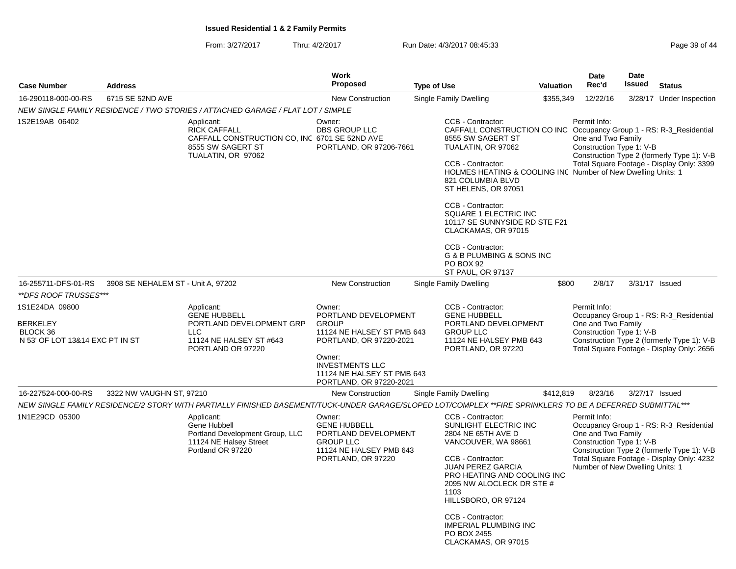From: 3/27/2017Thru: 4/2/2017 **Run Date: 4/3/2017 08:45:33** Page 39 of 44

| <b>Case Number</b>                                                               | <b>Address</b>                     |                                                                                                                                                           | Work<br><b>Proposed</b>                                                                                                    | <b>Type of Use</b>                                                                                                                                                                                                                                                                            | Valuation                                                                                                                                                            | Date<br>Rec'd                                                                                     | Date<br>Issued | <b>Status</b>                                                                                                                      |
|----------------------------------------------------------------------------------|------------------------------------|-----------------------------------------------------------------------------------------------------------------------------------------------------------|----------------------------------------------------------------------------------------------------------------------------|-----------------------------------------------------------------------------------------------------------------------------------------------------------------------------------------------------------------------------------------------------------------------------------------------|----------------------------------------------------------------------------------------------------------------------------------------------------------------------|---------------------------------------------------------------------------------------------------|----------------|------------------------------------------------------------------------------------------------------------------------------------|
| 16-290118-000-00-RS                                                              | 6715 SE 52ND AVE                   |                                                                                                                                                           | <b>New Construction</b>                                                                                                    | Single Family Dwelling                                                                                                                                                                                                                                                                        | \$355,349                                                                                                                                                            | 12/22/16                                                                                          |                | 3/28/17 Under Inspection                                                                                                           |
|                                                                                  |                                    | NEW SINGLE FAMILY RESIDENCE / TWO STORIES / ATTACHED GARAGE / FLAT LOT / SIMPLE                                                                           |                                                                                                                            |                                                                                                                                                                                                                                                                                               |                                                                                                                                                                      |                                                                                                   |                |                                                                                                                                    |
| 1S2E19AB 06402                                                                   |                                    | Applicant:<br><b>RICK CAFFALL</b><br>CAFFALL CONSTRUCTION CO, INC 6701 SE 52ND AVE<br>8555 SW SAGERT ST<br>TUALATIN, OR 97062                             | Owner:<br>DBS GROUP LLC<br>PORTLAND, OR 97206-7661                                                                         | CCB - Contractor:<br>8555 SW SAGERT ST<br>TUALATIN, OR 97062<br>CCB - Contractor:<br>821 COLUMBIA BLVD<br>ST HELENS, OR 97051<br>CCB - Contractor:<br>SQUARE 1 ELECTRIC INC<br>CLACKAMAS, OR 97015<br>CCB - Contractor:<br>G & B PLUMBING & SONS INC<br><b>PO BOX 92</b><br>ST PAUL, OR 97137 | CAFFALL CONSTRUCTION CO INC Occupancy Group 1 - RS: R-3_Residential<br>HOLMES HEATING & COOLING INC Number of New Dwelling Units: 1<br>10117 SE SUNNYSIDE RD STE F21 | Permit Info:<br>One and Two Family<br>Construction Type 1: V-B                                    |                | Construction Type 2 (formerly Type 1): V-B<br>Total Square Footage - Display Only: 3399                                            |
| 16-255711-DFS-01-RS                                                              | 3908 SE NEHALEM ST - Unit A, 97202 |                                                                                                                                                           | New Construction                                                                                                           | Single Family Dwelling                                                                                                                                                                                                                                                                        | \$800                                                                                                                                                                | 2/8/17                                                                                            |                | 3/31/17 Issued                                                                                                                     |
| **DFS ROOF TRUSSES***                                                            |                                    |                                                                                                                                                           |                                                                                                                            |                                                                                                                                                                                                                                                                                               |                                                                                                                                                                      |                                                                                                   |                |                                                                                                                                    |
| 1S1E24DA 09800<br><b>BERKELEY</b><br>BLOCK 36<br>N 53' OF LOT 13&14 EXC PT IN ST |                                    | Applicant:<br><b>GENE HUBBELL</b><br>PORTLAND DEVELOPMENT GRP<br><b>LLC</b><br>11124 NE HALSEY ST #643<br>PORTLAND OR 97220                               | Owner:<br>PORTLAND DEVELOPMENT<br><b>GROUP</b><br>11124 NE HALSEY ST PMB 643<br>PORTLAND, OR 97220-2021<br>Owner:          | CCB - Contractor:<br><b>GENE HUBBELL</b><br>PORTLAND DEVELOPMENT<br><b>GROUP LLC</b><br>11124 NE HALSEY PMB 643<br>PORTLAND, OR 97220                                                                                                                                                         |                                                                                                                                                                      | Permit Info:<br>One and Two Family<br>Construction Type 1: V-B                                    |                | Occupancy Group 1 - RS: R-3_Residential<br>Construction Type 2 (formerly Type 1): V-B<br>Total Square Footage - Display Only: 2656 |
|                                                                                  |                                    |                                                                                                                                                           | <b>INVESTMENTS LLC</b><br>11124 NE HALSEY ST PMB 643<br>PORTLAND, OR 97220-2021                                            |                                                                                                                                                                                                                                                                                               |                                                                                                                                                                      |                                                                                                   |                |                                                                                                                                    |
| 16-227524-000-00-RS                                                              | 3322 NW VAUGHN ST, 97210           |                                                                                                                                                           | <b>New Construction</b>                                                                                                    | <b>Single Family Dwelling</b>                                                                                                                                                                                                                                                                 | \$412,819                                                                                                                                                            | 8/23/16                                                                                           |                | 3/27/17 Issued                                                                                                                     |
|                                                                                  |                                    | NEW SINGLE FAMILY RESIDENCE/2 STORY WITH PARTIALLY FINISHED BASEMENT/TUCK-UNDER GARAGE/SLOPED LOT/COMPLEX **FIRE SPRINKLERS TO BE A DEFERRED SUBMITTAL*** |                                                                                                                            |                                                                                                                                                                                                                                                                                               |                                                                                                                                                                      |                                                                                                   |                |                                                                                                                                    |
| 1N1E29CD 05300                                                                   |                                    | Applicant:<br>Gene Hubbell<br>Portland Development Group, LLC<br>11124 NE Halsey Street<br>Portland OR 97220                                              | Owner:<br><b>GENE HUBBELL</b><br>PORTLAND DEVELOPMENT<br><b>GROUP LLC</b><br>11124 NE HALSEY PMB 643<br>PORTLAND, OR 97220 | CCB - Contractor:<br>SUNLIGHT ELECTRIC INC<br>2804 NE 65TH AVE D<br>VANCOUVER, WA 98661<br>CCB - Contractor:<br><b>JUAN PEREZ GARCIA</b><br>1103<br>HILLSBORO, OR 97124<br>CCB - Contractor:<br><b>IMPERIAL PLUMBING INC</b><br>PO BOX 2455<br>CLACKAMAS, OR 97015                            | PRO HEATING AND COOLING INC<br>2095 NW ALOCLECK DR STE #                                                                                                             | Permit Info:<br>One and Two Family<br>Construction Type 1: V-B<br>Number of New Dwelling Units: 1 |                | Occupancy Group 1 - RS: R-3_Residential<br>Construction Type 2 (formerly Type 1): V-B<br>Total Square Footage - Display Only: 4232 |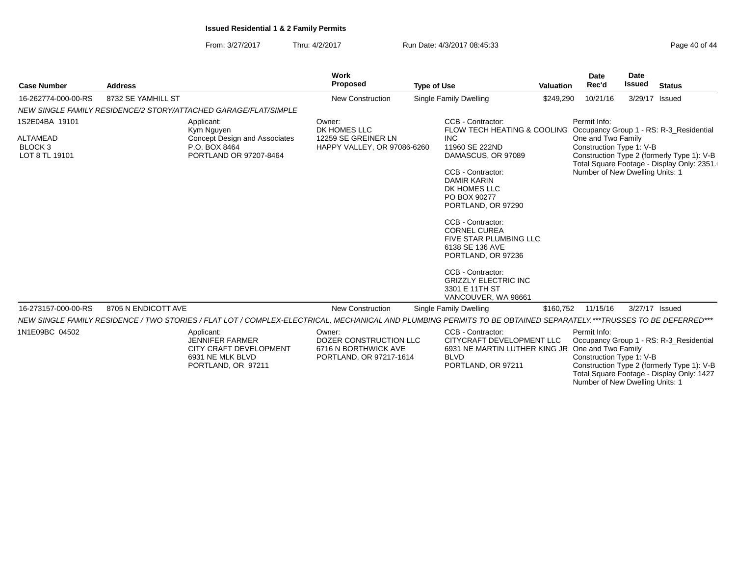From: 3/27/2017Thru: 4/2/2017 **Run Date: 4/3/2017 08:45:33** Page 40 of 44

|                                                  |                     |                                                                                                                                                                   | <b>Work</b>                                                                         |                                                                                                                                                                                                                                                                                                                                          |                  | <b>Date</b>                                                                       | <b>Date</b>   |                                                                                          |
|--------------------------------------------------|---------------------|-------------------------------------------------------------------------------------------------------------------------------------------------------------------|-------------------------------------------------------------------------------------|------------------------------------------------------------------------------------------------------------------------------------------------------------------------------------------------------------------------------------------------------------------------------------------------------------------------------------------|------------------|-----------------------------------------------------------------------------------|---------------|------------------------------------------------------------------------------------------|
| <b>Case Number</b>                               | <b>Address</b>      |                                                                                                                                                                   | <b>Proposed</b>                                                                     | <b>Type of Use</b>                                                                                                                                                                                                                                                                                                                       | <b>Valuation</b> | Rec'd                                                                             | <b>Issued</b> | <b>Status</b>                                                                            |
| 16-262774-000-00-RS                              | 8732 SE YAMHILL ST  |                                                                                                                                                                   | <b>New Construction</b>                                                             | Single Family Dwelling                                                                                                                                                                                                                                                                                                                   | \$249,290        | 10/21/16                                                                          |               | 3/29/17 Issued                                                                           |
|                                                  |                     | NEW SINGLE FAMILY RESIDENCE/2 STORY/ATTACHED GARAGE/FLAT/SIMPLE                                                                                                   |                                                                                     |                                                                                                                                                                                                                                                                                                                                          |                  |                                                                                   |               |                                                                                          |
| 1S2E04BA 19101                                   |                     | Applicant:<br>Kym Nguyen                                                                                                                                          | Owner:<br>DK HOMES LLC                                                              | CCB - Contractor:<br>FLOW TECH HEATING & COOLING Occupancy Group 1 - RS: R-3_Residential                                                                                                                                                                                                                                                 |                  | Permit Info:                                                                      |               |                                                                                          |
| ALTAMEAD<br>BLOCK <sub>3</sub><br>LOT 8 TL 19101 |                     | <b>Concept Design and Associates</b><br>P.O. BOX 8464<br>PORTLAND OR 97207-8464                                                                                   | 12259 SE GREINER LN<br>HAPPY VALLEY, OR 97086-6260                                  | <b>INC</b><br>11960 SE 222ND<br>DAMASCUS, OR 97089<br>CCB - Contractor:<br><b>DAMIR KARIN</b><br>DK HOMES LLC<br>PO BOX 90277<br>PORTLAND, OR 97290<br>CCB - Contractor:<br><b>CORNEL CUREA</b><br>FIVE STAR PLUMBING LLC<br>6138 SE 136 AVE<br>PORTLAND, OR 97236<br>CCB - Contractor:<br><b>GRIZZLY ELECTRIC INC</b><br>3301 E 11TH ST |                  | One and Two Family<br>Construction Type 1: V-B<br>Number of New Dwelling Units: 1 |               | Construction Type 2 (formerly Type 1): V-B<br>Total Square Footage - Display Only: 2351. |
| 16-273157-000-00-RS                              | 8705 N ENDICOTT AVE |                                                                                                                                                                   | <b>New Construction</b>                                                             | VANCOUVER, WA 98661<br>Single Family Dwelling                                                                                                                                                                                                                                                                                            | \$160,752        | 11/15/16                                                                          |               | 3/27/17 Issued                                                                           |
|                                                  |                     | NEW SINGLE FAMILY RESIDENCE / TWO STORIES / FLAT LOT / COMPLEX-ELECTRICAL, MECHANICAL AND PLUMBING PERMITS TO BE OBTAINED SEPARATELY.***TRUSSES TO BE DEFERRED*** |                                                                                     |                                                                                                                                                                                                                                                                                                                                          |                  |                                                                                   |               |                                                                                          |
| 1N1E09BC 04502                                   |                     | Applicant:<br><b>JENNIFER FARMER</b><br><b>CITY CRAFT DEVELOPMENT</b><br>6931 NE MLK BLVD<br>PORTLAND, OR 97211                                                   | Owner:<br>DOZER CONSTRUCTION LLC<br>6716 N BORTHWICK AVE<br>PORTLAND, OR 97217-1614 | CCB - Contractor:<br>CITYCRAFT DEVELOPMENT LLC<br>6931 NE MARTIN LUTHER KING JR One and Two Family<br><b>BLVD</b><br>PORTLAND, OR 97211                                                                                                                                                                                                  |                  | Permit Info:<br>Construction Type 1: V-B                                          |               | Occupancy Group 1 - RS: R-3_Residential<br>Construction Type 2 (formerly Type 1): V-B    |

Construction Type 2 (formerly Type 1): V-B Total Square Footage - Display Only: 1427 Number of New Dwelling Units: 1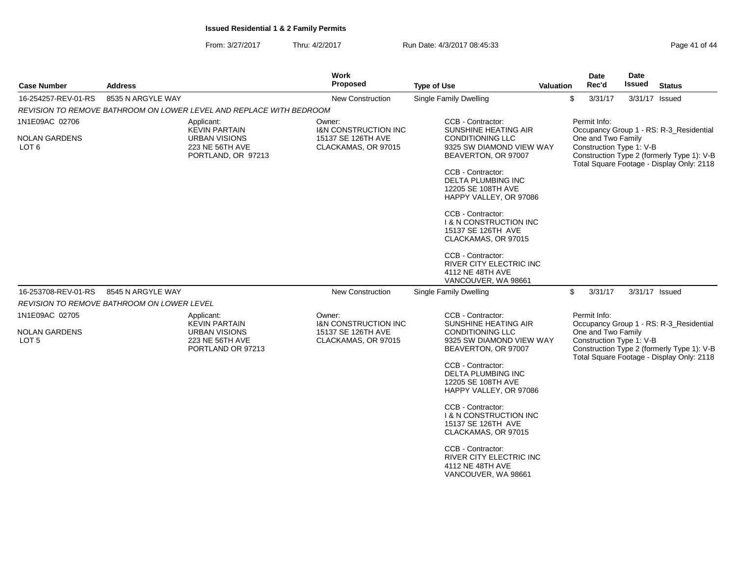From: 3/27/2017Thru: 4/2/2017 **Run Date: 4/3/2017 08:45:33** Page 41 of 44

| <b>Case Number</b>                       | <b>Address</b>                                                |                                                                                      | Work<br>Proposed                                                             | <b>Type of Use</b>                                                                                  | Valuation                                                                                    |              | Date<br>Rec'd | Date<br>Issued                                 | <b>Status</b>                                                                                                                      |
|------------------------------------------|---------------------------------------------------------------|--------------------------------------------------------------------------------------|------------------------------------------------------------------------------|-----------------------------------------------------------------------------------------------------|----------------------------------------------------------------------------------------------|--------------|---------------|------------------------------------------------|------------------------------------------------------------------------------------------------------------------------------------|
| 16-254257-REV-01-RS                      | 8535 N ARGYLE WAY                                             |                                                                                      | <b>New Construction</b>                                                      | Single Family Dwelling                                                                              |                                                                                              | \$           | 3/31/17       |                                                | 3/31/17 Issued                                                                                                                     |
|                                          |                                                               | REVISION TO REMOVE BATHROOM ON LOWER LEVEL AND REPLACE WITH BEDROOM                  |                                                                              |                                                                                                     |                                                                                              |              |               |                                                |                                                                                                                                    |
| 1N1E09AC 02706                           |                                                               | Applicant:<br><b>KEVIN PARTAIN</b>                                                   | Owner:<br><b>I&amp;N CONSTRUCTION INC</b>                                    | CCB - Contractor:<br>SUNSHINE HEATING AIR                                                           |                                                                                              | Permit Info: |               |                                                | Occupancy Group 1 - RS: R-3_Residential                                                                                            |
| <b>NOLAN GARDENS</b><br>LOT <sub>6</sub> | <b>URBAN VISIONS</b><br>223 NE 56TH AVE<br>PORTLAND, OR 97213 |                                                                                      | 15137 SE 126TH AVE<br>CLACKAMAS, OR 97015                                    | CONDITIONING LLC<br>9325 SW DIAMOND VIEW WAY<br>BEAVERTON, OR 97007                                 | One and Two Family<br>Construction Type 1: V-B<br>Construction Type 2 (formerly Type 1): V-B |              |               | Total Square Footage - Display Only: 2118      |                                                                                                                                    |
|                                          |                                                               |                                                                                      |                                                                              | CCB - Contractor:<br><b>DELTA PLUMBING INC</b><br>12205 SE 108TH AVE<br>HAPPY VALLEY, OR 97086      |                                                                                              |              |               |                                                |                                                                                                                                    |
|                                          |                                                               |                                                                                      |                                                                              | CCB - Contractor:<br><b>I &amp; N CONSTRUCTION INC</b><br>15137 SE 126TH AVE<br>CLACKAMAS, OR 97015 |                                                                                              |              |               |                                                |                                                                                                                                    |
|                                          |                                                               |                                                                                      |                                                                              | CCB - Contractor:<br>RIVER CITY ELECTRIC INC<br>4112 NE 48TH AVE<br>VANCOUVER, WA 98661             |                                                                                              |              |               |                                                |                                                                                                                                    |
| 16-253708-REV-01-RS                      | 8545 N ARGYLE WAY                                             |                                                                                      | New Construction                                                             | Single Family Dwelling                                                                              |                                                                                              | \$           | 3/31/17       |                                                | 3/31/17 Issued                                                                                                                     |
|                                          | REVISION TO REMOVE BATHROOM ON LOWER LEVEL                    |                                                                                      |                                                                              |                                                                                                     |                                                                                              |              |               |                                                |                                                                                                                                    |
| 1N1E09AC 02705                           |                                                               | Applicant:                                                                           | Owner:                                                                       | CCB - Contractor:                                                                                   |                                                                                              | Permit Info: |               |                                                |                                                                                                                                    |
| <b>NOLAN GARDENS</b><br>LOT 5            |                                                               | <b>KEVIN PARTAIN</b><br><b>URBAN VISIONS</b><br>223 NE 56TH AVE<br>PORTLAND OR 97213 | <b>I&amp;N CONSTRUCTION INC</b><br>15137 SE 126TH AVE<br>CLACKAMAS, OR 97015 | SUNSHINE HEATING AIR<br><b>CONDITIONING LLC</b><br>9325 SW DIAMOND VIEW WAY<br>BEAVERTON, OR 97007  |                                                                                              |              |               | One and Two Family<br>Construction Type 1: V-B | Occupancy Group 1 - RS: R-3 Residential<br>Construction Type 2 (formerly Type 1): V-B<br>Total Square Footage - Display Only: 2118 |
|                                          |                                                               |                                                                                      |                                                                              | CCB - Contractor:<br>DELTA PLUMBING INC<br>12205 SE 108TH AVE<br>HAPPY VALLEY, OR 97086             |                                                                                              |              |               |                                                |                                                                                                                                    |
|                                          |                                                               |                                                                                      |                                                                              | CCB - Contractor:<br><b>1 &amp; N CONSTRUCTION INC</b><br>15137 SE 126TH AVE<br>CLACKAMAS, OR 97015 |                                                                                              |              |               |                                                |                                                                                                                                    |
|                                          |                                                               |                                                                                      |                                                                              | CCB - Contractor:<br>RIVER CITY ELECTRIC INC<br>4112 NE 48TH AVE<br>VANCOUVER, WA 98661             |                                                                                              |              |               |                                                |                                                                                                                                    |
|                                          |                                                               |                                                                                      |                                                                              |                                                                                                     |                                                                                              |              |               |                                                |                                                                                                                                    |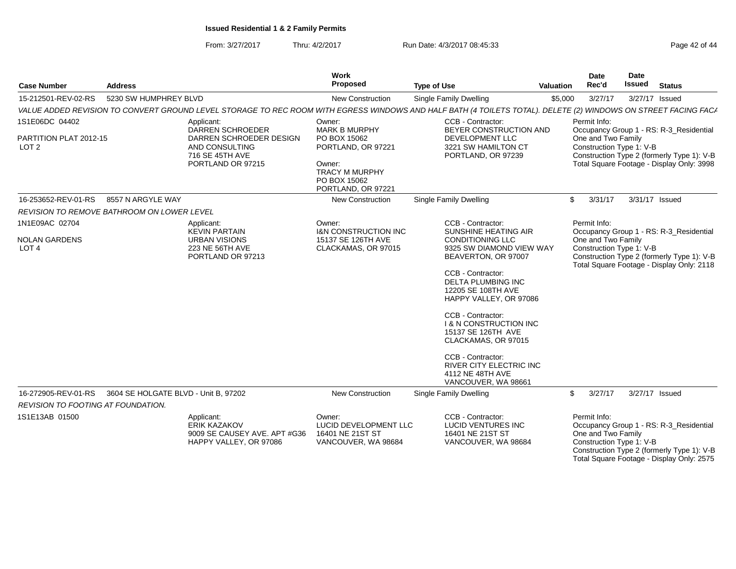From: 3/27/2017Thru: 4/2/2017 **Run Date: 4/3/2017 08:45:33** Page 42 of 44

| <b>Case Number</b>                                        | <b>Address</b>                                    |                                                                                                                                                                | Work<br><b>Proposed</b>                                               | <b>Type of Use</b>                                                                                  | <b>Valuation</b> | Date<br>Rec'd                                  | Date<br>Issued | <b>Status</b>                                                                                                                      |  |  |
|-----------------------------------------------------------|---------------------------------------------------|----------------------------------------------------------------------------------------------------------------------------------------------------------------|-----------------------------------------------------------------------|-----------------------------------------------------------------------------------------------------|------------------|------------------------------------------------|----------------|------------------------------------------------------------------------------------------------------------------------------------|--|--|
| 15-212501-REV-02-RS                                       | 5230 SW HUMPHREY BLVD                             |                                                                                                                                                                | <b>New Construction</b>                                               | <b>Single Family Dwelling</b>                                                                       | \$5,000          | 3/27/17                                        |                | 3/27/17 Issued                                                                                                                     |  |  |
|                                                           |                                                   | VALUE ADDED REVISION TO CONVERT GROUND LEVEL STORAGE TO REC ROOM WITH EGRESS WINDOWS AND HALF BATH (4 TOILETS TOTAL). DELETE (2) WINDOWS ON STREET FACING FACA |                                                                       |                                                                                                     |                  |                                                |                |                                                                                                                                    |  |  |
| 1S1E06DC 04402                                            |                                                   | Applicant:<br><b>DARREN SCHROEDER</b>                                                                                                                          | Owner:<br><b>MARK B MURPHY</b>                                        | CCB - Contractor:<br>BEYER CONSTRUCTION AND                                                         |                  | Permit Info:                                   |                | Occupancy Group 1 - RS: R-3_Residential                                                                                            |  |  |
| PARTITION PLAT 2012-15<br>LOT <sub>2</sub>                |                                                   | DARREN SCHROEDER DESIGN<br>AND CONSULTING<br>716 SE 45TH AVE                                                                                                   | PO BOX 15062<br>PORTLAND, OR 97221                                    | DEVELOPMENT LLC<br>3221 SW HAMILTON CT<br>PORTLAND, OR 97239                                        |                  | One and Two Family<br>Construction Type 1: V-B |                | Construction Type 2 (formerly Type 1): V-B                                                                                         |  |  |
|                                                           |                                                   | PORTLAND OR 97215                                                                                                                                              | Owner:<br><b>TRACY M MURPHY</b><br>PO BOX 15062<br>PORTLAND, OR 97221 |                                                                                                     |                  | Total Square Footage - Display Only: 3998      |                |                                                                                                                                    |  |  |
| 16-253652-REV-01-RS                                       | 8557 N ARGYLE WAY                                 |                                                                                                                                                                | <b>New Construction</b>                                               | Single Family Dwelling                                                                              | \$               | 3/31/17                                        |                | 3/31/17 Issued                                                                                                                     |  |  |
|                                                           | <b>REVISION TO REMOVE BATHROOM ON LOWER LEVEL</b> |                                                                                                                                                                |                                                                       |                                                                                                     |                  |                                                |                |                                                                                                                                    |  |  |
| 1N1E09AC 02704                                            |                                                   | Applicant:<br><b>KEVIN PARTAIN</b>                                                                                                                             | Owner:<br><b>I&amp;N CONSTRUCTION INC</b>                             | CCB - Contractor:<br><b>SUNSHINE HEATING AIR</b>                                                    |                  | Permit Info:                                   |                | Occupancy Group 1 - RS: R-3_Residential                                                                                            |  |  |
| <b>NOLAN GARDENS</b><br>LOT <sub>4</sub>                  |                                                   | <b>URBAN VISIONS</b><br>223 NE 56TH AVE<br>PORTLAND OR 97213                                                                                                   | 15137 SE 126TH AVE<br>CLACKAMAS, OR 97015                             | <b>CONDITIONING LLC</b><br>9325 SW DIAMOND VIEW WAY<br>BEAVERTON, OR 97007                          |                  | One and Two Family<br>Construction Type 1: V-B |                | Construction Type 2 (formerly Type 1): V-B<br>Total Square Footage - Display Only: 2118                                            |  |  |
|                                                           |                                                   |                                                                                                                                                                |                                                                       | CCB - Contractor:<br><b>DELTA PLUMBING INC</b><br>12205 SE 108TH AVE<br>HAPPY VALLEY, OR 97086      |                  |                                                |                |                                                                                                                                    |  |  |
|                                                           |                                                   |                                                                                                                                                                |                                                                       | CCB - Contractor:<br><b>I &amp; N CONSTRUCTION INC</b><br>15137 SE 126TH AVE<br>CLACKAMAS, OR 97015 |                  |                                                |                |                                                                                                                                    |  |  |
|                                                           |                                                   |                                                                                                                                                                |                                                                       | CCB - Contractor:<br>RIVER CITY ELECTRIC INC<br>4112 NE 48TH AVE<br>VANCOUVER, WA 98661             |                  |                                                |                |                                                                                                                                    |  |  |
| 16-272905-REV-01-RS<br>REVISION TO FOOTING AT FOUNDATION. | 3604 SE HOLGATE BLVD - Unit B, 97202              |                                                                                                                                                                | <b>New Construction</b>                                               | <b>Single Family Dwelling</b>                                                                       | \$               | 3/27/17                                        |                | 3/27/17 Issued                                                                                                                     |  |  |
| 1S1E13AB 01500                                            |                                                   | Applicant:                                                                                                                                                     | Owner:                                                                | CCB - Contractor:                                                                                   |                  | Permit Info:                                   |                |                                                                                                                                    |  |  |
|                                                           |                                                   | <b>ERIK KAZAKOV</b><br>9009 SE CAUSEY AVE. APT #G36<br>HAPPY VALLEY, OR 97086                                                                                  | LUCID DEVELOPMENT LLC<br>16401 NE 21ST ST<br>VANCOUVER, WA 98684      | <b>LUCID VENTURES INC</b><br>16401 NE 21ST ST<br>VANCOUVER, WA 98684                                |                  | One and Two Family<br>Construction Type 1: V-B |                | Occupancy Group 1 - RS: R-3_Residential<br>Construction Type 2 (formerly Type 1): V-B<br>Total Square Footage - Display Only: 2575 |  |  |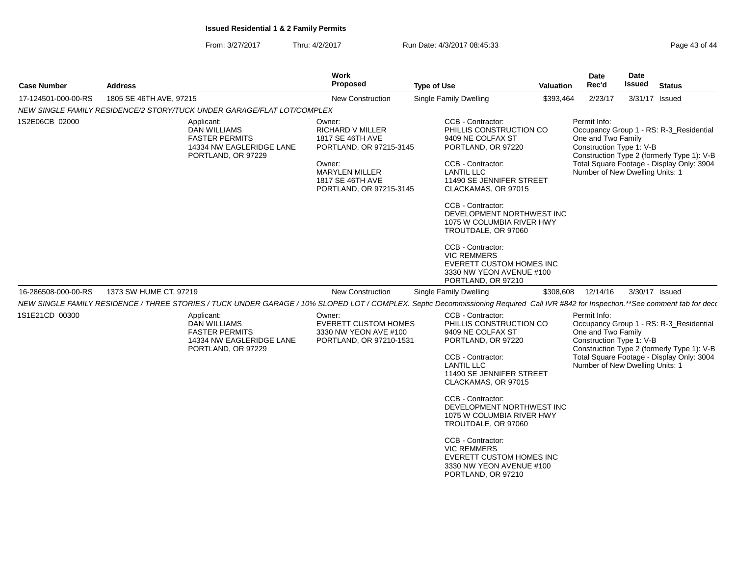From: 3/27/2017Thru: 4/2/2017 **Run Date: 4/3/2017 08:45:33** Page 43 of 44

| <b>Case Number</b>  | <b>Address</b>                                                                                                                                                                      | <b>Work</b><br><b>Proposed</b>                                                                                                                                     | <b>Type of Use</b>                                                                                                                                                                                                                                                                                                                    | <b>Valuation</b> | Date<br>Rec'd                                                                                                                                                                                                                           | Date<br>Issued | <b>Status</b>                                                                                                                      |
|---------------------|-------------------------------------------------------------------------------------------------------------------------------------------------------------------------------------|--------------------------------------------------------------------------------------------------------------------------------------------------------------------|---------------------------------------------------------------------------------------------------------------------------------------------------------------------------------------------------------------------------------------------------------------------------------------------------------------------------------------|------------------|-----------------------------------------------------------------------------------------------------------------------------------------------------------------------------------------------------------------------------------------|----------------|------------------------------------------------------------------------------------------------------------------------------------|
| 17-124501-000-00-RS | 1805 SE 46TH AVE, 97215                                                                                                                                                             | <b>New Construction</b>                                                                                                                                            | Single Family Dwelling                                                                                                                                                                                                                                                                                                                | \$393,464        | 2/23/17                                                                                                                                                                                                                                 | 3/31/17 Issued |                                                                                                                                    |
|                     | NEW SINGLE FAMILY RESIDENCE/2 STORY/TUCK UNDER GARAGE/FLAT LOT/COMPLEX                                                                                                              |                                                                                                                                                                    |                                                                                                                                                                                                                                                                                                                                       |                  |                                                                                                                                                                                                                                         |                |                                                                                                                                    |
| 1S2E06CB 02000      | Applicant:<br><b>DAN WILLIAMS</b><br><b>FASTER PERMITS</b><br>14334 NW EAGLERIDGE LANE<br>PORTLAND, OR 97229                                                                        | Owner:<br><b>RICHARD V MILLER</b><br>1817 SE 46TH AVE<br>PORTLAND, OR 97215-3145<br>Owner:<br><b>MARYLEN MILLER</b><br>1817 SE 46TH AVE<br>PORTLAND, OR 97215-3145 | CCB - Contractor:<br>PHILLIS CONSTRUCTION CO<br>9409 NE COLFAX ST<br>PORTLAND, OR 97220<br>CCB - Contractor:<br><b>LANTIL LLC</b><br>11490 SE JENNIFER STREET<br>CLACKAMAS, OR 97015<br>CCB - Contractor:<br>DEVELOPMENT NORTHWEST INC<br>1075 W COLUMBIA RIVER HWY<br>TROUTDALE, OR 97060<br>CCB - Contractor:<br><b>VIC REMMERS</b> |                  | Permit Info:<br>Occupancy Group 1 - RS: R-3_Residential<br>One and Two Family<br>Construction Type 1: V-B<br>Construction Type 2 (formerly Type 1): V-B<br>Total Square Footage - Display Only: 3904<br>Number of New Dwelling Units: 1 |                |                                                                                                                                    |
| 16-286508-000-00-RS | 1373 SW HUME CT, 97219                                                                                                                                                              | <b>New Construction</b>                                                                                                                                            | EVERETT CUSTOM HOMES INC<br>3330 NW YEON AVENUE #100<br>PORTLAND, OR 97210<br><b>Single Family Dwelling</b>                                                                                                                                                                                                                           | \$308,608        | 12/14/16                                                                                                                                                                                                                                | 3/30/17 Issued |                                                                                                                                    |
|                     | NEW SINGLE FAMILY RESIDENCE / THREE STORIES / TUCK UNDER GARAGE / 10% SLOPED LOT / COMPLEX. Septic Decommissioning Required Call IVR #842 for Inspection.**See comment tab for deco |                                                                                                                                                                    |                                                                                                                                                                                                                                                                                                                                       |                  |                                                                                                                                                                                                                                         |                |                                                                                                                                    |
| 1S1E21CD 00300      | Applicant:<br><b>DAN WILLIAMS</b><br><b>FASTER PERMITS</b><br>14334 NW EAGLERIDGE LANE<br>PORTLAND, OR 97229                                                                        | Owner:<br><b>EVERETT CUSTOM HOMES</b><br>3330 NW YEON AVE #100<br>PORTLAND, OR 97210-1531                                                                          | CCB - Contractor:<br>PHILLIS CONSTRUCTION CO<br>9409 NE COLFAX ST<br>PORTLAND, OR 97220<br>CCB - Contractor:<br><b>LANTIL LLC</b><br>11490 SE JENNIFER STREET<br>CLACKAMAS, OR 97015                                                                                                                                                  |                  | Permit Info:<br>One and Two Family<br>Construction Type 1: V-B<br>Number of New Dwelling Units: 1                                                                                                                                       |                | Occupancy Group 1 - RS: R-3_Residential<br>Construction Type 2 (formerly Type 1): V-B<br>Total Square Footage - Display Only: 3004 |
|                     |                                                                                                                                                                                     |                                                                                                                                                                    | CCB - Contractor:<br>DEVELOPMENT NORTHWEST INC<br>1075 W COLUMBIA RIVER HWY<br>TROUTDALE, OR 97060<br>CCB - Contractor:<br><b>VIC REMMERS</b><br>EVERETT CUSTOM HOMES INC<br>3330 NW YEON AVENUE #100<br>PORTLAND, OR 97210                                                                                                           |                  |                                                                                                                                                                                                                                         |                |                                                                                                                                    |
|                     |                                                                                                                                                                                     |                                                                                                                                                                    |                                                                                                                                                                                                                                                                                                                                       |                  |                                                                                                                                                                                                                                         |                |                                                                                                                                    |